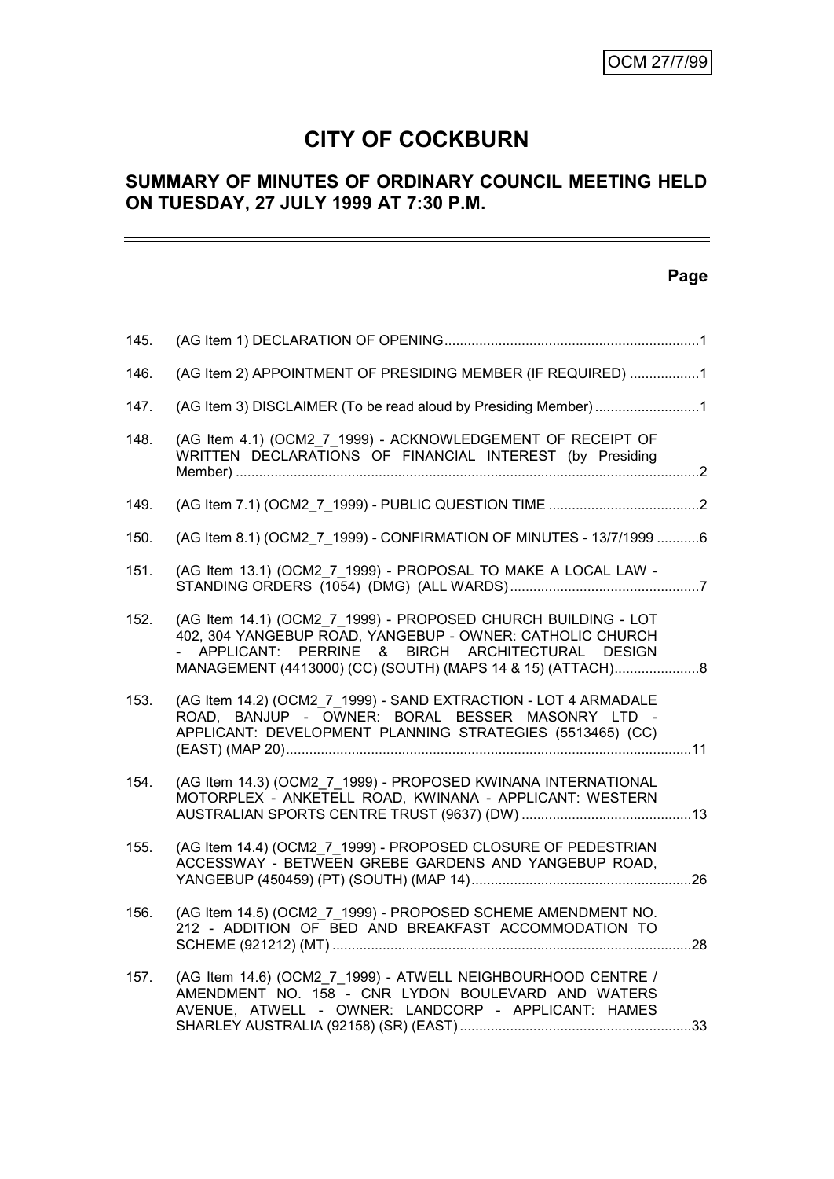# **CITY OF COCKBURN**

# **SUMMARY OF MINUTES OF ORDINARY COUNCIL MEETING HELD ON TUESDAY, 27 JULY 1999 AT 7:30 P.M.**

# **Page**

| 145. |                                                                                                                                                                                                                                                   |
|------|---------------------------------------------------------------------------------------------------------------------------------------------------------------------------------------------------------------------------------------------------|
| 146. | (AG Item 2) APPOINTMENT OF PRESIDING MEMBER (IF REQUIRED) 1                                                                                                                                                                                       |
| 147. |                                                                                                                                                                                                                                                   |
| 148. | (AG Item 4.1) (OCM2 7 1999) - ACKNOWLEDGEMENT OF RECEIPT OF<br>WRITTEN DECLARATIONS OF FINANCIAL INTEREST (by Presiding                                                                                                                           |
| 149. |                                                                                                                                                                                                                                                   |
| 150. | (AG Item 8.1) (OCM2_7_1999) - CONFIRMATION OF MINUTES - 13/7/1999 6                                                                                                                                                                               |
| 151. | (AG Item 13.1) (OCM2 7 1999) - PROPOSAL TO MAKE A LOCAL LAW -                                                                                                                                                                                     |
| 152. | (AG Item 14.1) (OCM2_7_1999) - PROPOSED CHURCH BUILDING - LOT<br>402, 304 YANGEBUP ROAD, YANGEBUP - OWNER: CATHOLIC CHURCH<br>APPLICANT: PERRINE<br>BIRCH ARCHITECTURAL DESIGN<br>&<br>MANAGEMENT (4413000) (CC) (SOUTH) (MAPS 14 & 15) (ATTACH)8 |
| 153. | (AG Item 14.2) (OCM2 7 1999) - SAND EXTRACTION - LOT 4 ARMADALE<br>ROAD, BANJUP - OWNER: BORAL BESSER MASONRY LTD -<br>APPLICANT: DEVELOPMENT PLANNING STRATEGIES (5513465) (CC)                                                                  |
| 154. | (AG Item 14.3) (OCM2_7_1999) - PROPOSED KWINANA INTERNATIONAL<br>MOTORPLEX - ANKETELL ROAD, KWINANA - APPLICANT: WESTERN                                                                                                                          |
| 155. | (AG Item 14.4) (OCM2 7 1999) - PROPOSED CLOSURE OF PEDESTRIAN<br>ACCESSWAY - BETWEEN GREBE GARDENS AND YANGEBUP ROAD,                                                                                                                             |
| 156. | (AG Item 14.5) (OCM2_7_1999) - PROPOSED SCHEME AMENDMENT NO.<br>212 - ADDITION OF BED AND BREAKFAST ACCOMMODATION TO                                                                                                                              |
| 157. | (AG Item 14.6) (OCM2_7_1999) - ATWELL NEIGHBOURHOOD CENTRE /<br>AMENDMENT NO. 158 - CNR LYDON BOULEVARD AND WATERS<br>AVENUE, ATWELL - OWNER: LANDCORP - APPLICANT: HAMES                                                                         |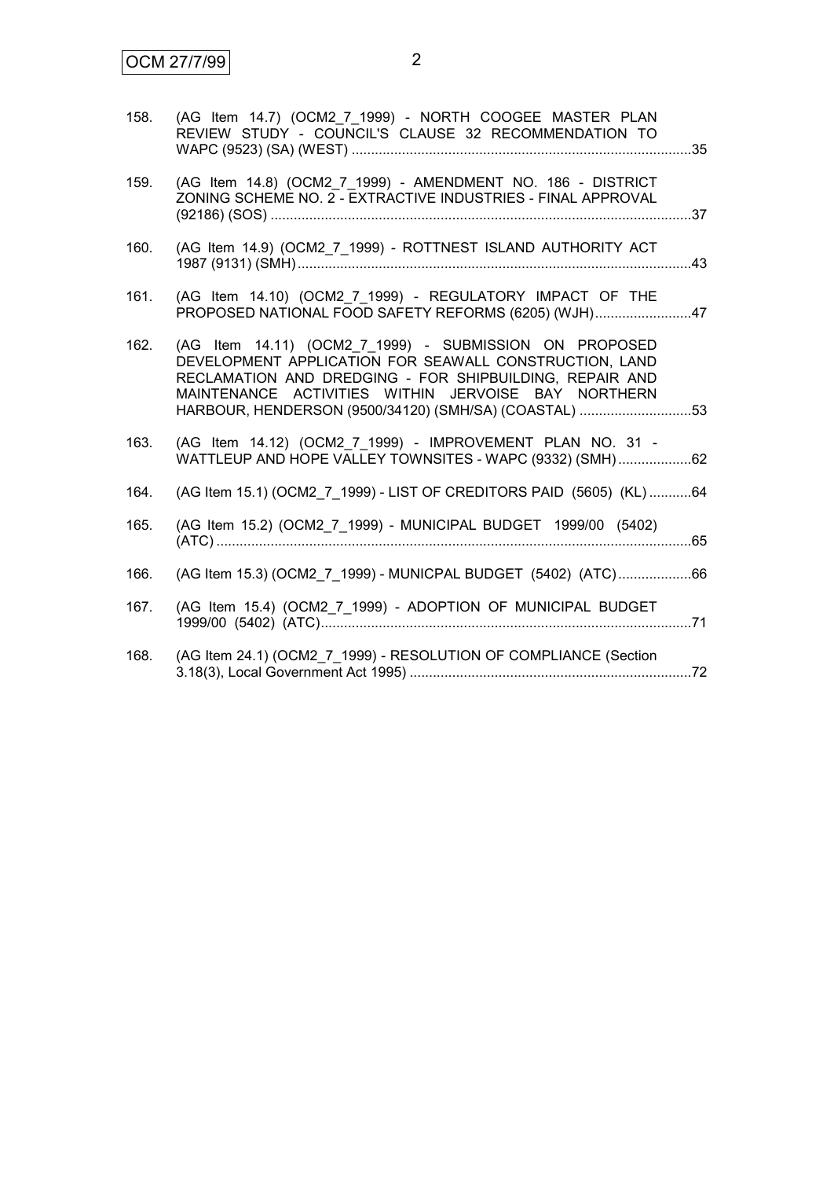| 158. | (AG Item 14.7) (OCM2 7 1999) - NORTH COOGEE MASTER PLAN<br>REVIEW STUDY - COUNCIL'S CLAUSE 32 RECOMMENDATION TO                                                                                                                                                                             |     |
|------|---------------------------------------------------------------------------------------------------------------------------------------------------------------------------------------------------------------------------------------------------------------------------------------------|-----|
| 159. | (AG Item 14.8) (OCM2 7 1999) - AMENDMENT NO. 186 - DISTRICT<br>ZONING SCHEME NO. 2 - EXTRACTIVE INDUSTRIES - FINAL APPROVAL                                                                                                                                                                 |     |
| 160. | (AG Item 14.9) (OCM2_7_1999) - ROTTNEST ISLAND AUTHORITY ACT                                                                                                                                                                                                                                | .43 |
| 161. | (AG Item 14.10) (OCM2_7_1999) - REGULATORY IMPACT OF THE<br>PROPOSED NATIONAL FOOD SAFETY REFORMS (6205) (WJH)47                                                                                                                                                                            |     |
| 162. | (AG Item 14.11) (OCM2 7 1999) - SUBMISSION ON PROPOSED<br>DEVELOPMENT APPLICATION FOR SEAWALL CONSTRUCTION, LAND<br>RECLAMATION AND DREDGING - FOR SHIPBUILDING, REPAIR AND<br>MAINTENANCE ACTIVITIES WITHIN JERVOISE BAY NORTHERN<br>HARBOUR, HENDERSON (9500/34120) (SMH/SA) (COASTAL) 53 |     |
| 163. | (AG Item 14.12) (OCM2 7 1999) - IMPROVEMENT PLAN NO. 31 -<br>WATTLEUP AND HOPE VALLEY TOWNSITES - WAPC (9332) (SMH)62                                                                                                                                                                       |     |
| 164. | (AG Item 15.1) (OCM2 7 1999) - LIST OF CREDITORS PAID (5605) (KL) 64                                                                                                                                                                                                                        |     |
| 165. | (AG Item 15.2) (OCM2_7_1999) - MUNICIPAL BUDGET 1999/00 (5402)                                                                                                                                                                                                                              |     |
| 166. | (AG Item 15.3) (OCM2 7 1999) - MUNICPAL BUDGET (5402) (ATC)66                                                                                                                                                                                                                               |     |
| 167. | (AG Item 15.4) (OCM2_7_1999) - ADOPTION OF MUNICIPAL BUDGET                                                                                                                                                                                                                                 |     |
| 168. | (AG Item 24.1) (OCM2_7_1999) - RESOLUTION OF COMPLIANCE (Section                                                                                                                                                                                                                            |     |
|      |                                                                                                                                                                                                                                                                                             |     |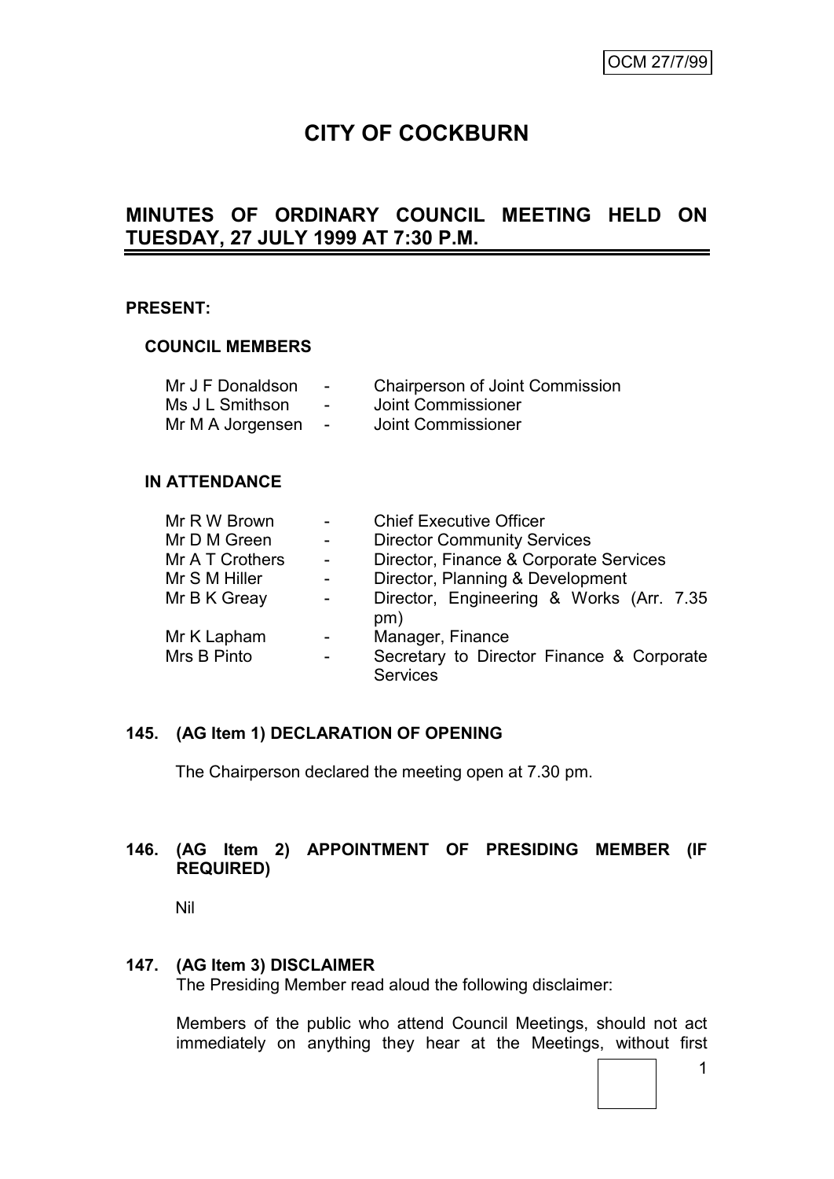# **CITY OF COCKBURN**

# **MINUTES OF ORDINARY COUNCIL MEETING HELD ON TUESDAY, 27 JULY 1999 AT 7:30 P.M.**

#### **PRESENT:**

## **COUNCIL MEMBERS**

| Mr J F Donaldson | $\sim$                   | <b>Chairperson of Joint Commission</b> |
|------------------|--------------------------|----------------------------------------|
| Ms J L Smithson  | $\overline{\phantom{0}}$ | Joint Commissioner                     |
| Mr M A Jorgensen | $\sim$                   | Joint Commissioner                     |

#### **IN ATTENDANCE**

| Mr R W Brown    |                | <b>Chief Executive Officer</b>                               |
|-----------------|----------------|--------------------------------------------------------------|
| Mr D M Green    | $\blacksquare$ | <b>Director Community Services</b>                           |
| Mr A T Crothers | $\blacksquare$ | Director, Finance & Corporate Services                       |
| Mr S M Hiller   | $\blacksquare$ | Director, Planning & Development                             |
| Mr B K Greay    | $\blacksquare$ | Director, Engineering & Works (Arr. 7.35<br>pm)              |
| Mr K Lapham     |                | Manager, Finance                                             |
| Mrs B Pinto     | -              | Secretary to Director Finance & Corporate<br><b>Services</b> |

# **145. (AG Item 1) DECLARATION OF OPENING**

The Chairperson declared the meeting open at 7.30 pm.

# **146. (AG Item 2) APPOINTMENT OF PRESIDING MEMBER (IF REQUIRED)**

Nil

## **147. (AG Item 3) DISCLAIMER**

The Presiding Member read aloud the following disclaimer:

Members of the public who attend Council Meetings, should not act immediately on anything they hear at the Meetings, without first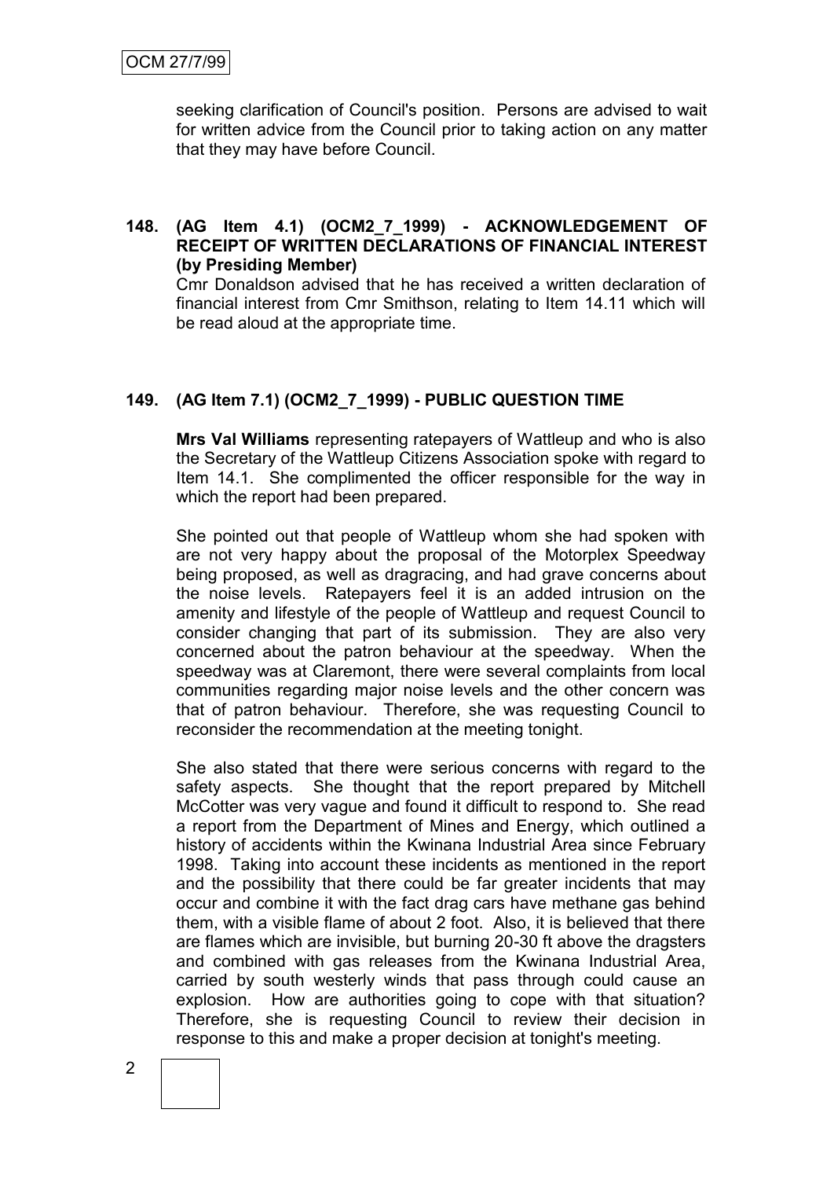seeking clarification of Council's position. Persons are advised to wait for written advice from the Council prior to taking action on any matter that they may have before Council.

# **148. (AG Item 4.1) (OCM2\_7\_1999) - ACKNOWLEDGEMENT OF RECEIPT OF WRITTEN DECLARATIONS OF FINANCIAL INTEREST (by Presiding Member)**

Cmr Donaldson advised that he has received a written declaration of financial interest from Cmr Smithson, relating to Item 14.11 which will be read aloud at the appropriate time.

# **149. (AG Item 7.1) (OCM2\_7\_1999) - PUBLIC QUESTION TIME**

**Mrs Val Williams** representing ratepayers of Wattleup and who is also the Secretary of the Wattleup Citizens Association spoke with regard to Item 14.1. She complimented the officer responsible for the way in which the report had been prepared.

She pointed out that people of Wattleup whom she had spoken with are not very happy about the proposal of the Motorplex Speedway being proposed, as well as dragracing, and had grave concerns about the noise levels. Ratepayers feel it is an added intrusion on the amenity and lifestyle of the people of Wattleup and request Council to consider changing that part of its submission. They are also very concerned about the patron behaviour at the speedway. When the speedway was at Claremont, there were several complaints from local communities regarding major noise levels and the other concern was that of patron behaviour. Therefore, she was requesting Council to reconsider the recommendation at the meeting tonight.

She also stated that there were serious concerns with regard to the safety aspects. She thought that the report prepared by Mitchell McCotter was very vague and found it difficult to respond to. She read a report from the Department of Mines and Energy, which outlined a history of accidents within the Kwinana Industrial Area since February 1998. Taking into account these incidents as mentioned in the report and the possibility that there could be far greater incidents that may occur and combine it with the fact drag cars have methane gas behind them, with a visible flame of about 2 foot. Also, it is believed that there are flames which are invisible, but burning 20-30 ft above the dragsters and combined with gas releases from the Kwinana Industrial Area, carried by south westerly winds that pass through could cause an explosion. How are authorities going to cope with that situation? Therefore, she is requesting Council to review their decision in response to this and make a proper decision at tonight's meeting.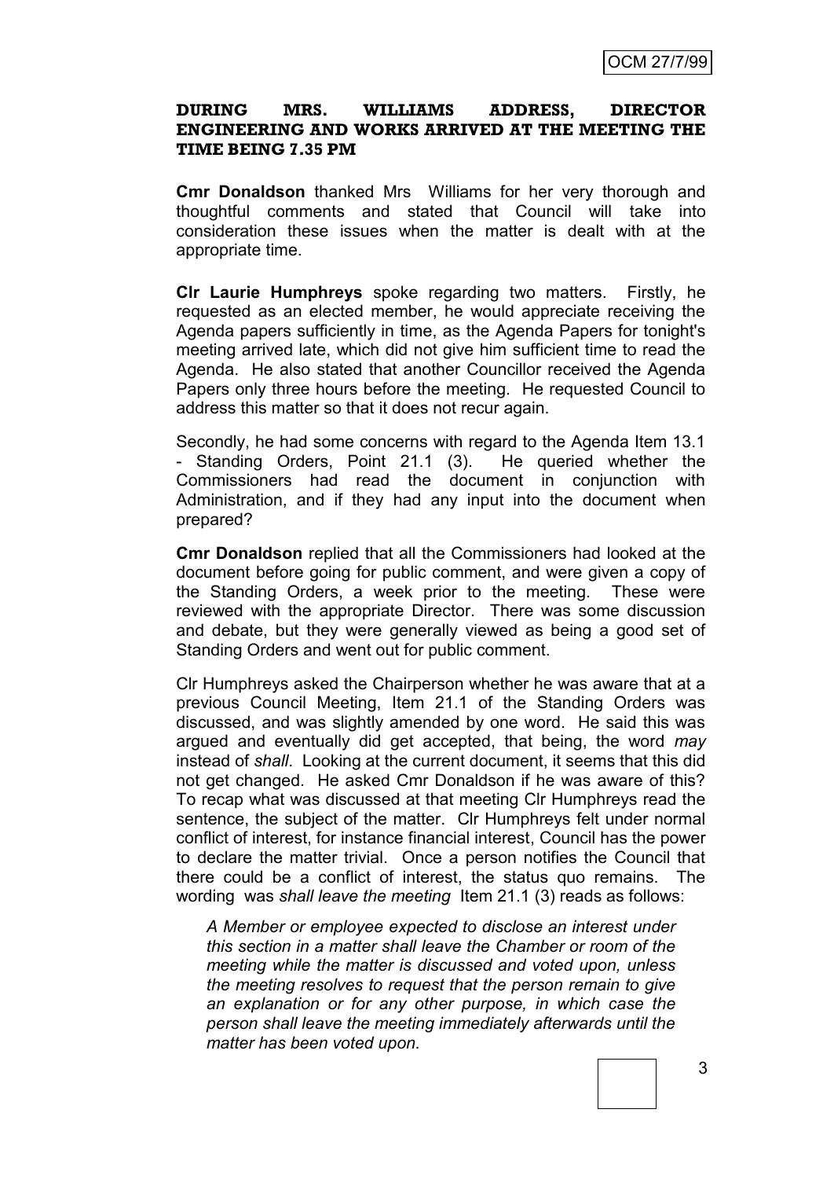#### **DURING MRS. WILLIAMS ADDRESS, DIRECTOR ENGINEERING AND WORKS ARRIVED AT THE MEETING THE TIME BEING 7.35 PM**

**Cmr Donaldson** thanked Mrs Williams for her very thorough and thoughtful comments and stated that Council will take into consideration these issues when the matter is dealt with at the appropriate time.

**Clr Laurie Humphreys** spoke regarding two matters. Firstly, he requested as an elected member, he would appreciate receiving the Agenda papers sufficiently in time, as the Agenda Papers for tonight's meeting arrived late, which did not give him sufficient time to read the Agenda. He also stated that another Councillor received the Agenda Papers only three hours before the meeting. He requested Council to address this matter so that it does not recur again.

Secondly, he had some concerns with regard to the Agenda Item 13.1 - Standing Orders, Point 21.1 (3). He queried whether the Commissioners had read the document in conjunction with Administration, and if they had any input into the document when prepared?

**Cmr Donaldson** replied that all the Commissioners had looked at the document before going for public comment, and were given a copy of the Standing Orders, a week prior to the meeting. These were reviewed with the appropriate Director. There was some discussion and debate, but they were generally viewed as being a good set of Standing Orders and went out for public comment.

Clr Humphreys asked the Chairperson whether he was aware that at a previous Council Meeting, Item 21.1 of the Standing Orders was discussed, and was slightly amended by one word. He said this was argued and eventually did get accepted, that being, the word *may* instead of *shall*. Looking at the current document, it seems that this did not get changed. He asked Cmr Donaldson if he was aware of this? To recap what was discussed at that meeting Clr Humphreys read the sentence, the subject of the matter. Clr Humphreys felt under normal conflict of interest, for instance financial interest, Council has the power to declare the matter trivial. Once a person notifies the Council that there could be a conflict of interest, the status quo remains. The wording was *shall leave the meeting* Item 21.1 (3) reads as follows:

*A Member or employee expected to disclose an interest under this section in a matter shall leave the Chamber or room of the meeting while the matter is discussed and voted upon, unless the meeting resolves to request that the person remain to give an explanation or for any other purpose, in which case the person shall leave the meeting immediately afterwards until the matter has been voted upon.*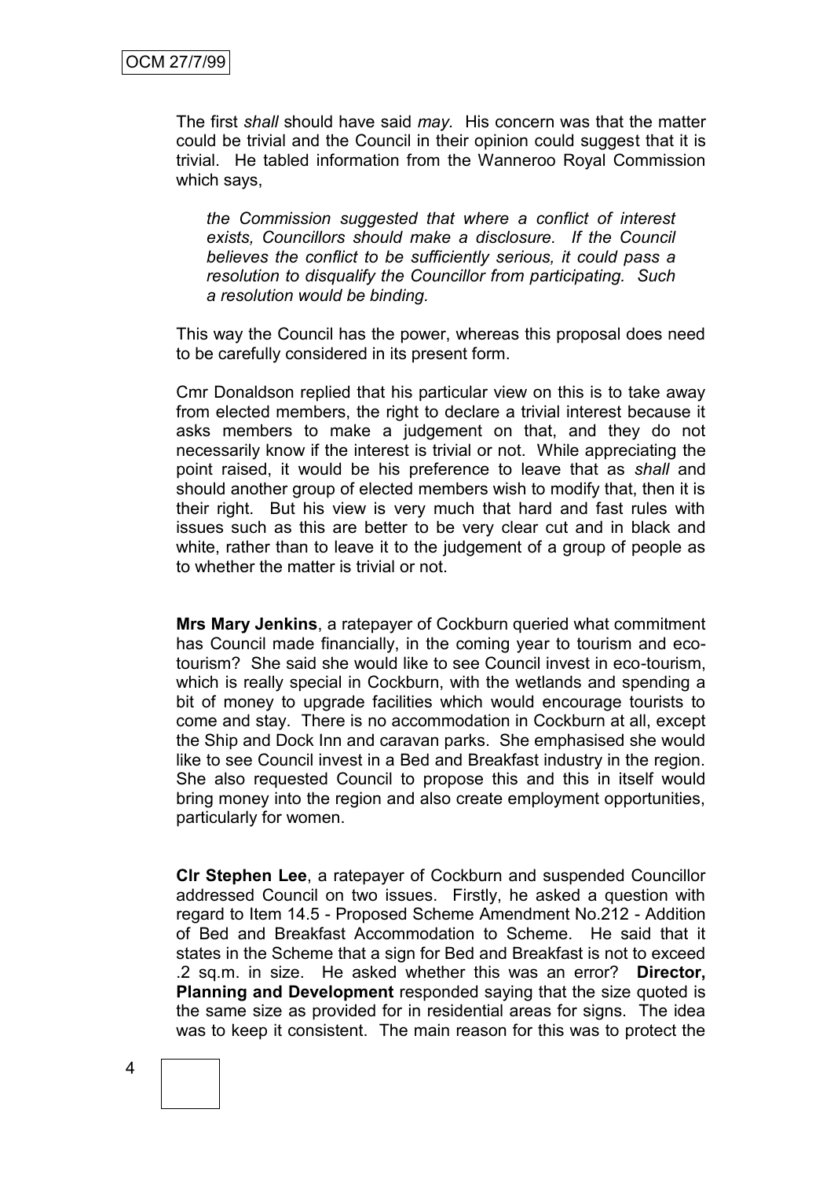The first *shall* should have said *may.* His concern was that the matter could be trivial and the Council in their opinion could suggest that it is trivial. He tabled information from the Wanneroo Royal Commission which says,

*the Commission suggested that where a conflict of interest exists, Councillors should make a disclosure. If the Council believes the conflict to be sufficiently serious, it could pass a resolution to disqualify the Councillor from participating. Such a resolution would be binding.*

This way the Council has the power, whereas this proposal does need to be carefully considered in its present form.

Cmr Donaldson replied that his particular view on this is to take away from elected members, the right to declare a trivial interest because it asks members to make a judgement on that, and they do not necessarily know if the interest is trivial or not. While appreciating the point raised, it would be his preference to leave that as *shall* and should another group of elected members wish to modify that, then it is their right. But his view is very much that hard and fast rules with issues such as this are better to be very clear cut and in black and white, rather than to leave it to the judgement of a group of people as to whether the matter is trivial or not.

**Mrs Mary Jenkins**, a ratepayer of Cockburn queried what commitment has Council made financially, in the coming year to tourism and ecotourism? She said she would like to see Council invest in eco-tourism, which is really special in Cockburn, with the wetlands and spending a bit of money to upgrade facilities which would encourage tourists to come and stay. There is no accommodation in Cockburn at all, except the Ship and Dock Inn and caravan parks. She emphasised she would like to see Council invest in a Bed and Breakfast industry in the region. She also requested Council to propose this and this in itself would bring money into the region and also create employment opportunities, particularly for women.

**Clr Stephen Lee**, a ratepayer of Cockburn and suspended Councillor addressed Council on two issues. Firstly, he asked a question with regard to Item 14.5 - Proposed Scheme Amendment No.212 - Addition of Bed and Breakfast Accommodation to Scheme. He said that it states in the Scheme that a sign for Bed and Breakfast is not to exceed .2 sq.m. in size. He asked whether this was an error? **Director, Planning and Development** responded saying that the size quoted is the same size as provided for in residential areas for signs. The idea was to keep it consistent. The main reason for this was to protect the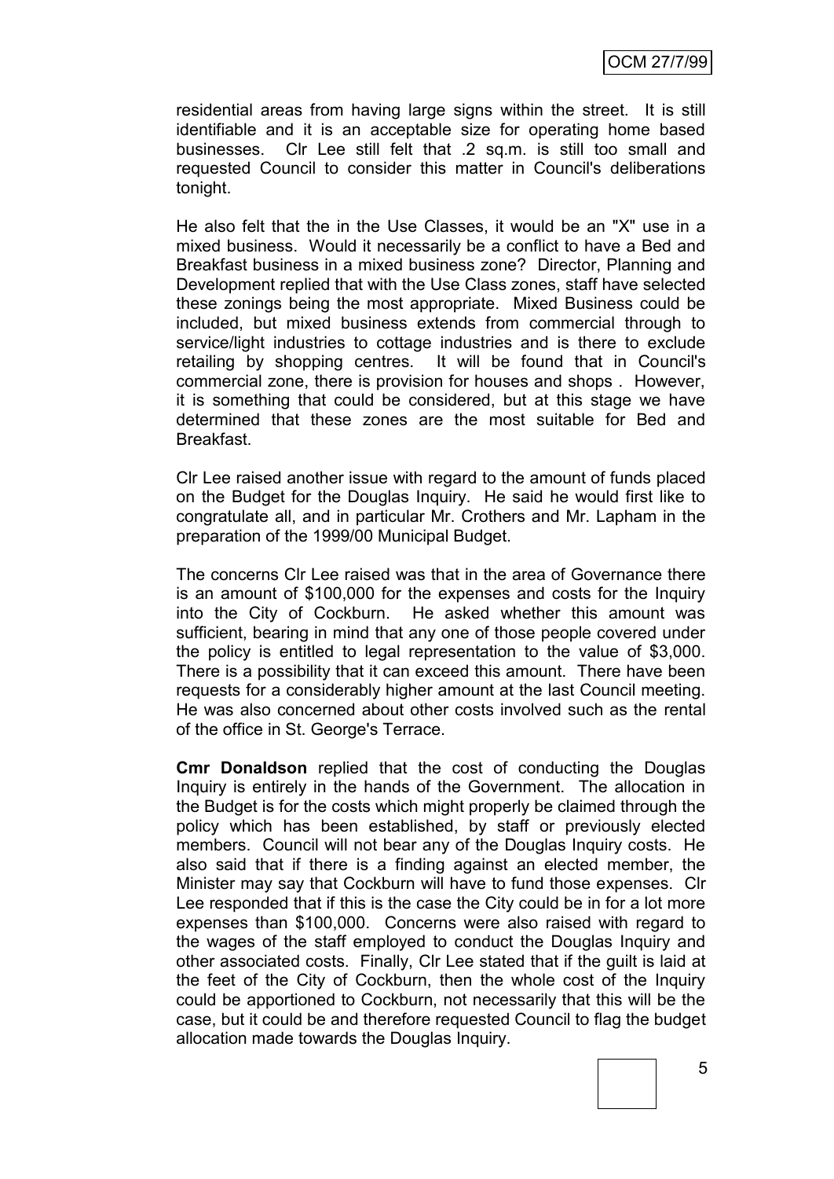residential areas from having large signs within the street. It is still identifiable and it is an acceptable size for operating home based businesses. Clr Lee still felt that .2 sq.m. is still too small and requested Council to consider this matter in Council's deliberations tonight.

He also felt that the in the Use Classes, it would be an "X" use in a mixed business. Would it necessarily be a conflict to have a Bed and Breakfast business in a mixed business zone? Director, Planning and Development replied that with the Use Class zones, staff have selected these zonings being the most appropriate. Mixed Business could be included, but mixed business extends from commercial through to service/light industries to cottage industries and is there to exclude retailing by shopping centres. It will be found that in Council's commercial zone, there is provision for houses and shops . However, it is something that could be considered, but at this stage we have determined that these zones are the most suitable for Bed and Breakfast.

Clr Lee raised another issue with regard to the amount of funds placed on the Budget for the Douglas Inquiry. He said he would first like to congratulate all, and in particular Mr. Crothers and Mr. Lapham in the preparation of the 1999/00 Municipal Budget.

The concerns Clr Lee raised was that in the area of Governance there is an amount of \$100,000 for the expenses and costs for the Inquiry into the City of Cockburn. He asked whether this amount was sufficient, bearing in mind that any one of those people covered under the policy is entitled to legal representation to the value of \$3,000. There is a possibility that it can exceed this amount. There have been requests for a considerably higher amount at the last Council meeting. He was also concerned about other costs involved such as the rental of the office in St. George's Terrace.

**Cmr Donaldson** replied that the cost of conducting the Douglas Inquiry is entirely in the hands of the Government. The allocation in the Budget is for the costs which might properly be claimed through the policy which has been established, by staff or previously elected members. Council will not bear any of the Douglas Inquiry costs. He also said that if there is a finding against an elected member, the Minister may say that Cockburn will have to fund those expenses. Clr Lee responded that if this is the case the City could be in for a lot more expenses than \$100,000. Concerns were also raised with regard to the wages of the staff employed to conduct the Douglas Inquiry and other associated costs. Finally, Clr Lee stated that if the guilt is laid at the feet of the City of Cockburn, then the whole cost of the Inquiry could be apportioned to Cockburn, not necessarily that this will be the case, but it could be and therefore requested Council to flag the budget allocation made towards the Douglas Inquiry.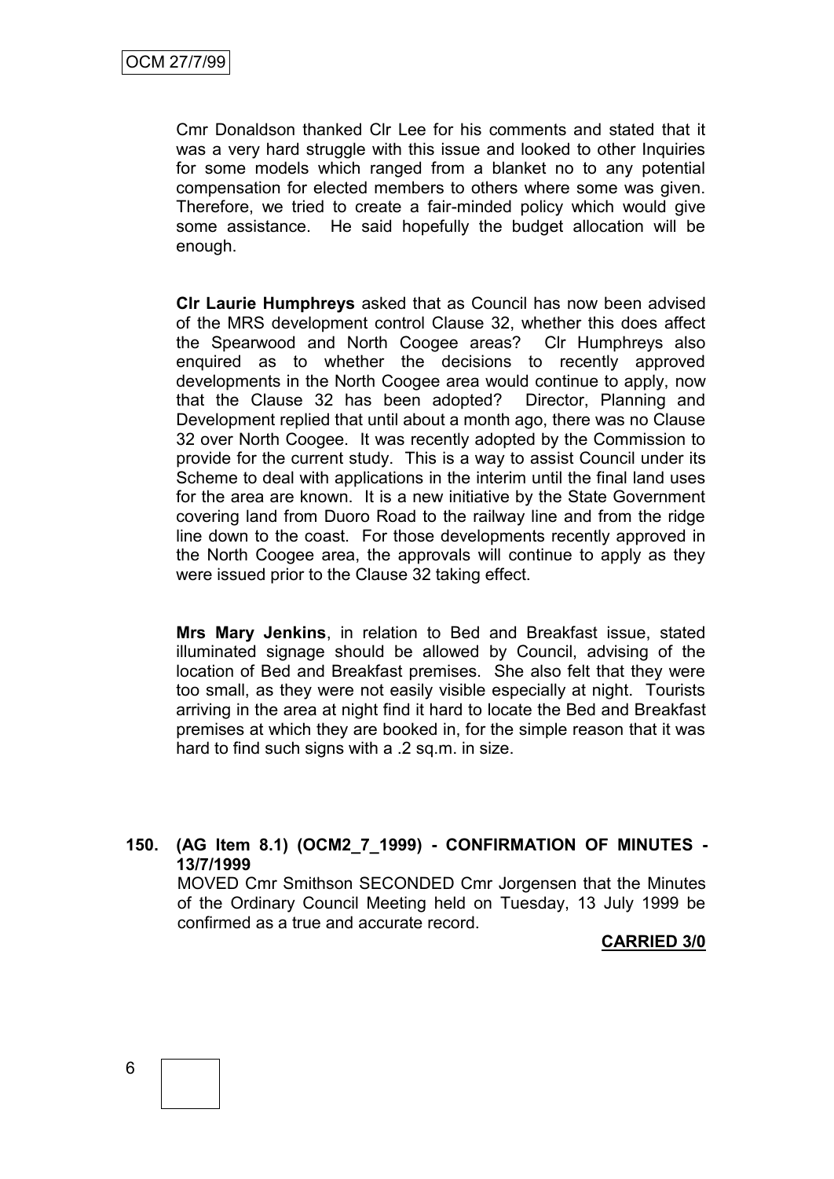Cmr Donaldson thanked Clr Lee for his comments and stated that it was a very hard struggle with this issue and looked to other Inquiries for some models which ranged from a blanket no to any potential compensation for elected members to others where some was given. Therefore, we tried to create a fair-minded policy which would give some assistance. He said hopefully the budget allocation will be enough.

**Clr Laurie Humphreys** asked that as Council has now been advised of the MRS development control Clause 32, whether this does affect the Spearwood and North Coogee areas? Clr Humphreys also enquired as to whether the decisions to recently approved developments in the North Coogee area would continue to apply, now that the Clause 32 has been adopted? Director, Planning and Development replied that until about a month ago, there was no Clause 32 over North Coogee. It was recently adopted by the Commission to provide for the current study. This is a way to assist Council under its Scheme to deal with applications in the interim until the final land uses for the area are known. It is a new initiative by the State Government covering land from Duoro Road to the railway line and from the ridge line down to the coast. For those developments recently approved in the North Coogee area, the approvals will continue to apply as they were issued prior to the Clause 32 taking effect.

**Mrs Mary Jenkins**, in relation to Bed and Breakfast issue, stated illuminated signage should be allowed by Council, advising of the location of Bed and Breakfast premises. She also felt that they were too small, as they were not easily visible especially at night. Tourists arriving in the area at night find it hard to locate the Bed and Breakfast premises at which they are booked in, for the simple reason that it was hard to find such signs with a .2 sq.m. in size.

## **150. (AG Item 8.1) (OCM2\_7\_1999) - CONFIRMATION OF MINUTES - 13/7/1999**

MOVED Cmr Smithson SECONDED Cmr Jorgensen that the Minutes of the Ordinary Council Meeting held on Tuesday, 13 July 1999 be confirmed as a true and accurate record.

#### **CARRIED 3/0**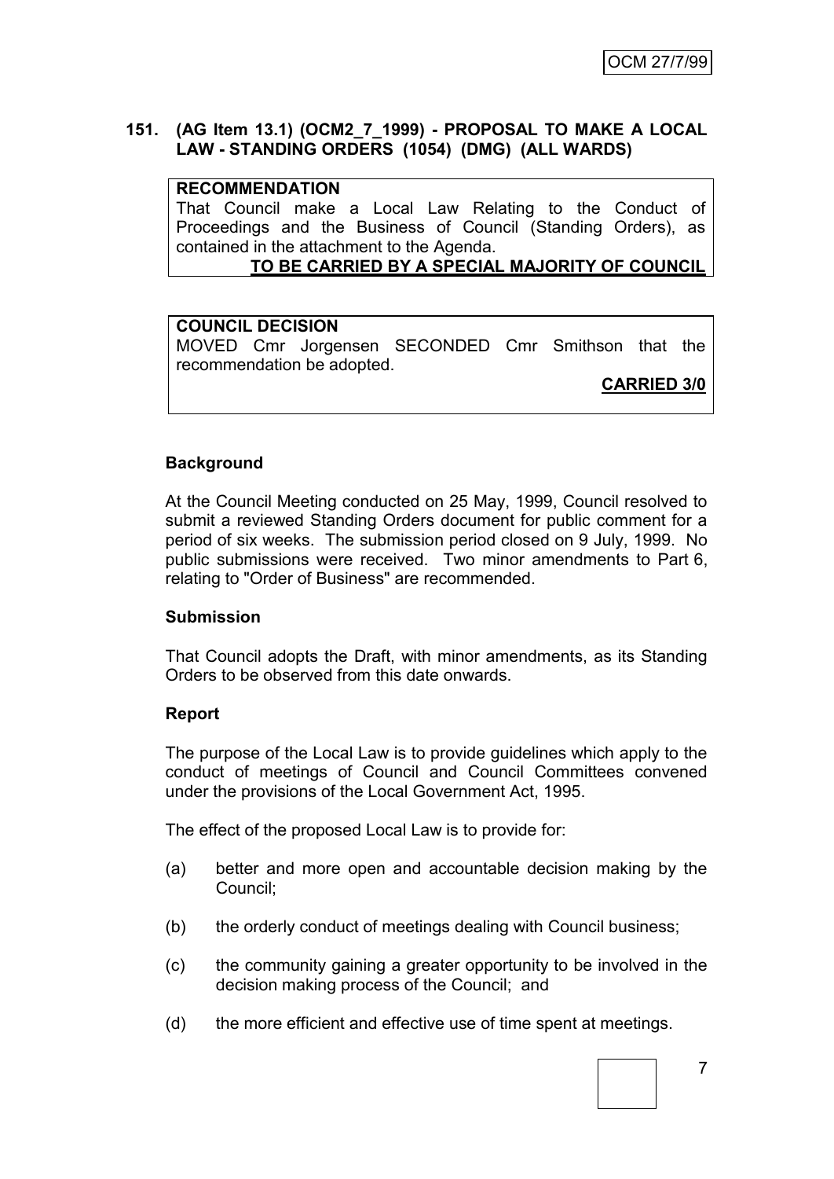# **151. (AG Item 13.1) (OCM2\_7\_1999) - PROPOSAL TO MAKE A LOCAL LAW - STANDING ORDERS (1054) (DMG) (ALL WARDS)**

#### **RECOMMENDATION**

That Council make a Local Law Relating to the Conduct of Proceedings and the Business of Council (Standing Orders), as contained in the attachment to the Agenda.

# **TO BE CARRIED BY A SPECIAL MAJORITY OF COUNCIL**

## **COUNCIL DECISION**

MOVED Cmr Jorgensen SECONDED Cmr Smithson that the recommendation be adopted.

**CARRIED 3/0**

## **Background**

At the Council Meeting conducted on 25 May, 1999, Council resolved to submit a reviewed Standing Orders document for public comment for a period of six weeks. The submission period closed on 9 July, 1999. No public submissions were received. Two minor amendments to Part 6, relating to "Order of Business" are recommended.

#### **Submission**

That Council adopts the Draft, with minor amendments, as its Standing Orders to be observed from this date onwards.

#### **Report**

The purpose of the Local Law is to provide guidelines which apply to the conduct of meetings of Council and Council Committees convened under the provisions of the Local Government Act, 1995.

The effect of the proposed Local Law is to provide for:

- (a) better and more open and accountable decision making by the Council;
- (b) the orderly conduct of meetings dealing with Council business;
- (c) the community gaining a greater opportunity to be involved in the decision making process of the Council; and
- (d) the more efficient and effective use of time spent at meetings.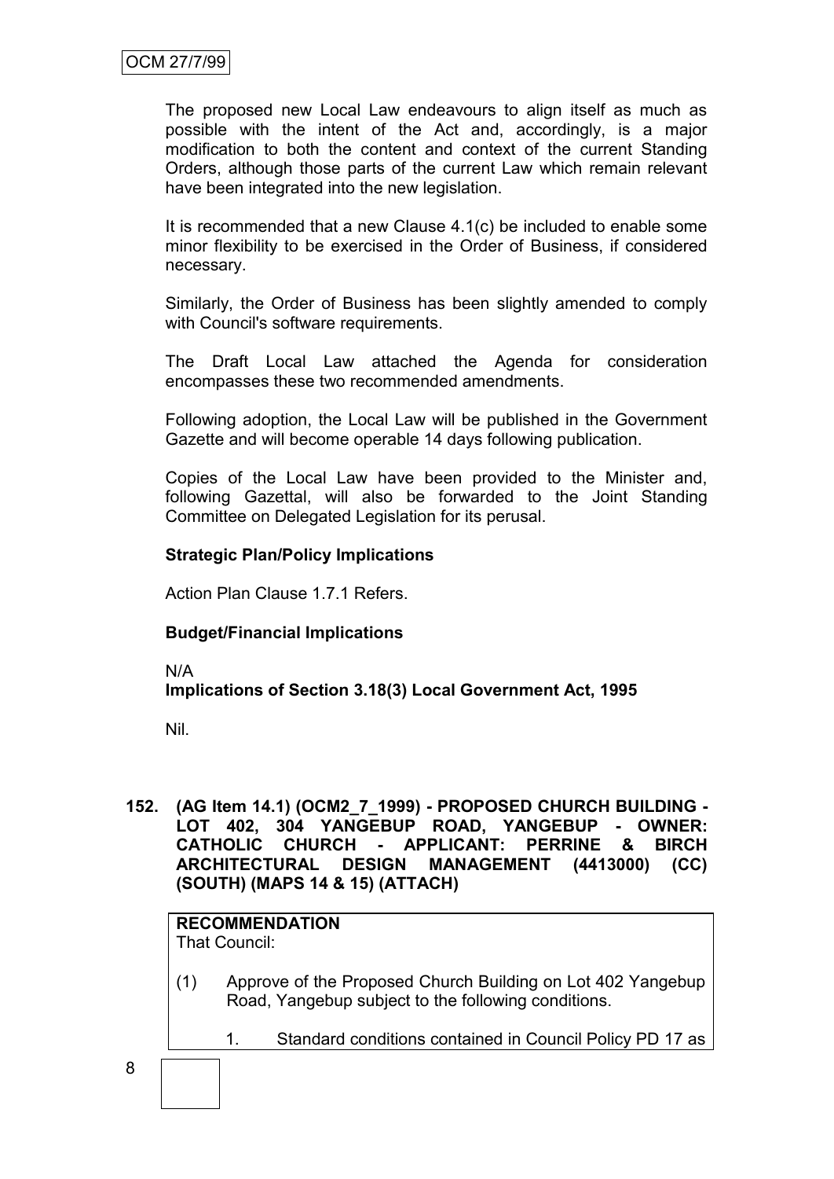The proposed new Local Law endeavours to align itself as much as possible with the intent of the Act and, accordingly, is a major modification to both the content and context of the current Standing Orders, although those parts of the current Law which remain relevant have been integrated into the new legislation.

It is recommended that a new Clause 4.1(c) be included to enable some minor flexibility to be exercised in the Order of Business, if considered necessary.

Similarly, the Order of Business has been slightly amended to comply with Council's software requirements.

The Draft Local Law attached the Agenda for consideration encompasses these two recommended amendments.

Following adoption, the Local Law will be published in the Government Gazette and will become operable 14 days following publication.

Copies of the Local Law have been provided to the Minister and, following Gazettal, will also be forwarded to the Joint Standing Committee on Delegated Legislation for its perusal.

# **Strategic Plan/Policy Implications**

Action Plan Clause 1.7.1 Refers.

# **Budget/Financial Implications**

N/A

# **Implications of Section 3.18(3) Local Government Act, 1995**

Nil.

8

**152. (AG Item 14.1) (OCM2\_7\_1999) - PROPOSED CHURCH BUILDING - LOT 402, 304 YANGEBUP ROAD, YANGEBUP - OWNER: CATHOLIC CHURCH - APPLICANT: PERRINE & BIRCH ARCHITECTURAL DESIGN MANAGEMENT (4413000) (CC) (SOUTH) (MAPS 14 & 15) (ATTACH)**

# **RECOMMENDATION**

That Council:

(1) Approve of the Proposed Church Building on Lot 402 Yangebup Road, Yangebup subject to the following conditions.

1. Standard conditions contained in Council Policy PD 17 as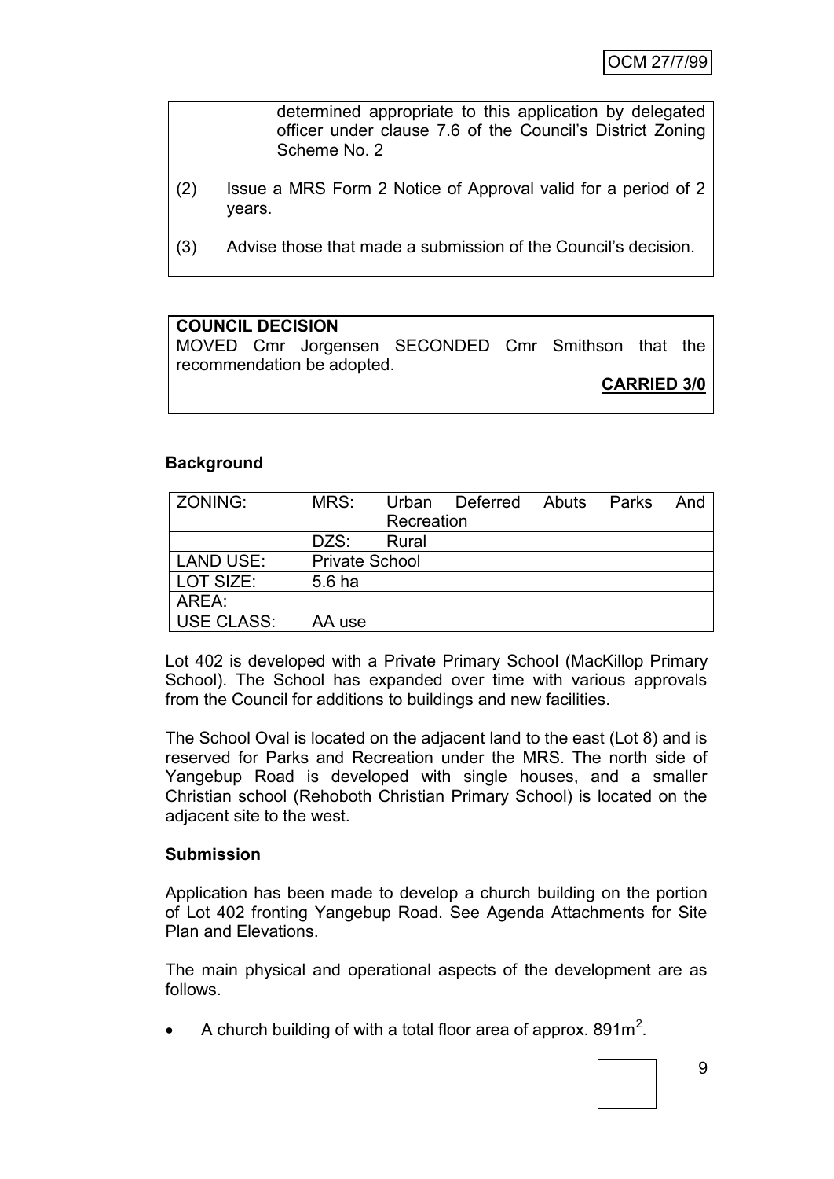determined appropriate to this application by delegated officer under clause 7.6 of the Council's District Zoning Scheme No. 2

- (2) Issue a MRS Form 2 Notice of Approval valid for a period of 2 years.
- (3) Advise those that made a submission of the Council's decision.

#### **COUNCIL DECISION**

MOVED Cmr Jorgensen SECONDED Cmr Smithson that the recommendation be adopted.

**CARRIED 3/0**

#### **Background**

| <b>ZONING:</b>    | MRS:                  |            | Urban Deferred | Abuts | Parks | And |
|-------------------|-----------------------|------------|----------------|-------|-------|-----|
|                   |                       | Recreation |                |       |       |     |
|                   | DZS:                  | Rural      |                |       |       |     |
| LAND USE:         | <b>Private School</b> |            |                |       |       |     |
| LOT SIZE:         | 5.6 ha                |            |                |       |       |     |
| AREA:             |                       |            |                |       |       |     |
| <b>USE CLASS:</b> | AA use                |            |                |       |       |     |

Lot 402 is developed with a Private Primary School (MacKillop Primary School). The School has expanded over time with various approvals from the Council for additions to buildings and new facilities.

The School Oval is located on the adjacent land to the east (Lot 8) and is reserved for Parks and Recreation under the MRS. The north side of Yangebup Road is developed with single houses, and a smaller Christian school (Rehoboth Christian Primary School) is located on the adjacent site to the west.

#### **Submission**

Application has been made to develop a church building on the portion of Lot 402 fronting Yangebup Road. See Agenda Attachments for Site Plan and Elevations.

The main physical and operational aspects of the development are as follows.

• A church building of with a total floor area of approx. 891 $m^2$ .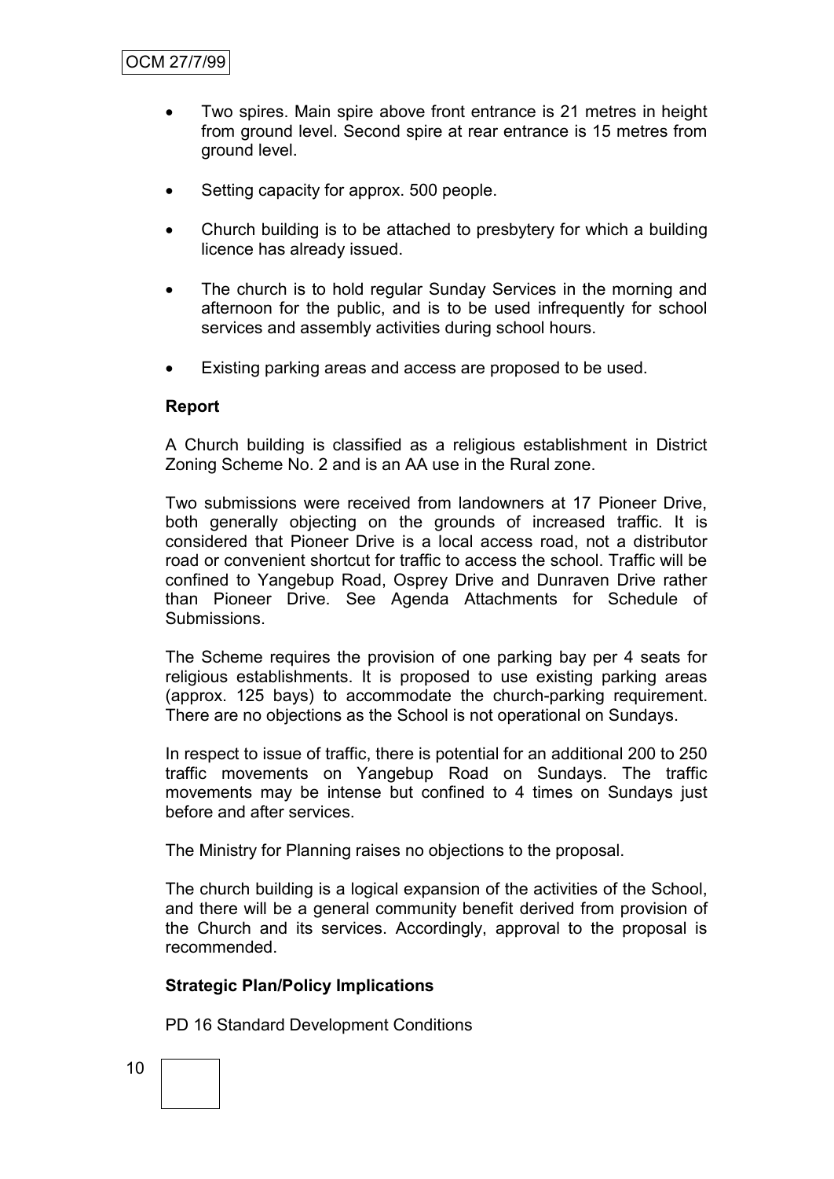- Two spires. Main spire above front entrance is 21 metres in height from ground level. Second spire at rear entrance is 15 metres from ground level.
- Setting capacity for approx. 500 people.
- Church building is to be attached to presbytery for which a building licence has already issued.
- The church is to hold regular Sunday Services in the morning and afternoon for the public, and is to be used infrequently for school services and assembly activities during school hours.
- Existing parking areas and access are proposed to be used.

#### **Report**

A Church building is classified as a religious establishment in District Zoning Scheme No. 2 and is an AA use in the Rural zone.

Two submissions were received from landowners at 17 Pioneer Drive, both generally objecting on the grounds of increased traffic. It is considered that Pioneer Drive is a local access road, not a distributor road or convenient shortcut for traffic to access the school. Traffic will be confined to Yangebup Road, Osprey Drive and Dunraven Drive rather than Pioneer Drive. See Agenda Attachments for Schedule of Submissions.

The Scheme requires the provision of one parking bay per 4 seats for religious establishments. It is proposed to use existing parking areas (approx. 125 bays) to accommodate the church-parking requirement. There are no objections as the School is not operational on Sundays.

In respect to issue of traffic, there is potential for an additional 200 to 250 traffic movements on Yangebup Road on Sundays. The traffic movements may be intense but confined to 4 times on Sundays just before and after services.

The Ministry for Planning raises no objections to the proposal.

The church building is a logical expansion of the activities of the School, and there will be a general community benefit derived from provision of the Church and its services. Accordingly, approval to the proposal is recommended.

## **Strategic Plan/Policy Implications**

PD 16 Standard Development Conditions

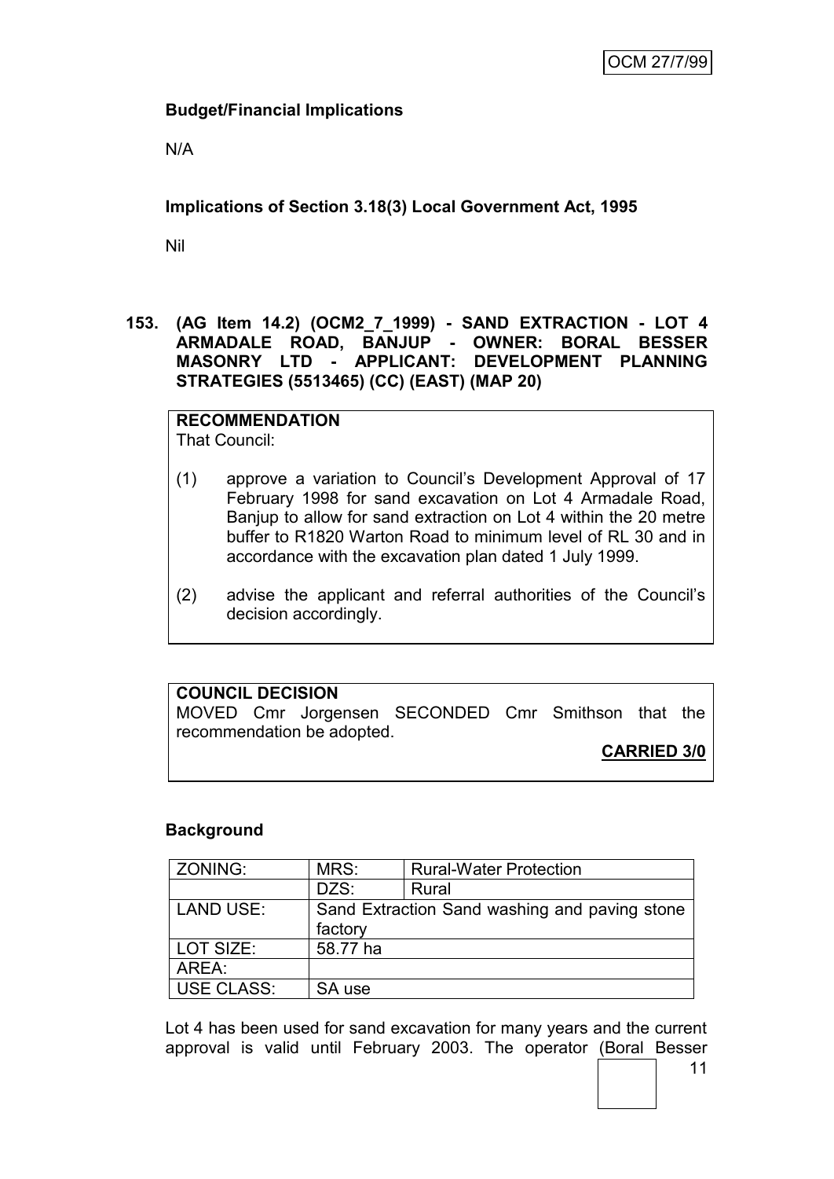# **Budget/Financial Implications**

N/A

# **Implications of Section 3.18(3) Local Government Act, 1995**

Nil

**153. (AG Item 14.2) (OCM2\_7\_1999) - SAND EXTRACTION - LOT 4 ARMADALE ROAD, BANJUP - OWNER: BORAL BESSER MASONRY LTD - APPLICANT: DEVELOPMENT PLANNING STRATEGIES (5513465) (CC) (EAST) (MAP 20)**

**RECOMMENDATION** That Council:

- (1) approve a variation to Council's Development Approval of 17 February 1998 for sand excavation on Lot 4 Armadale Road, Banjup to allow for sand extraction on Lot 4 within the 20 metre buffer to R1820 Warton Road to minimum level of RL 30 and in accordance with the excavation plan dated 1 July 1999.
- (2) advise the applicant and referral authorities of the Council's decision accordingly.

# **COUNCIL DECISION**

MOVED Cmr Jorgensen SECONDED Cmr Smithson that the recommendation be adopted.

**CARRIED 3/0**

# **Background**

| ZONING:           | MRS:                                          | <b>Rural-Water Protection</b> |  |  |
|-------------------|-----------------------------------------------|-------------------------------|--|--|
|                   | DZS:                                          | Rural                         |  |  |
| <b>LAND USE:</b>  | Sand Extraction Sand washing and paving stone |                               |  |  |
|                   | factory                                       |                               |  |  |
| LOT SIZE:         | 58.77 ha                                      |                               |  |  |
| AREA:             |                                               |                               |  |  |
| <b>USE CLASS:</b> | SA use                                        |                               |  |  |

Lot 4 has been used for sand excavation for many years and the current approval is valid until February 2003. The operator (Boral Besser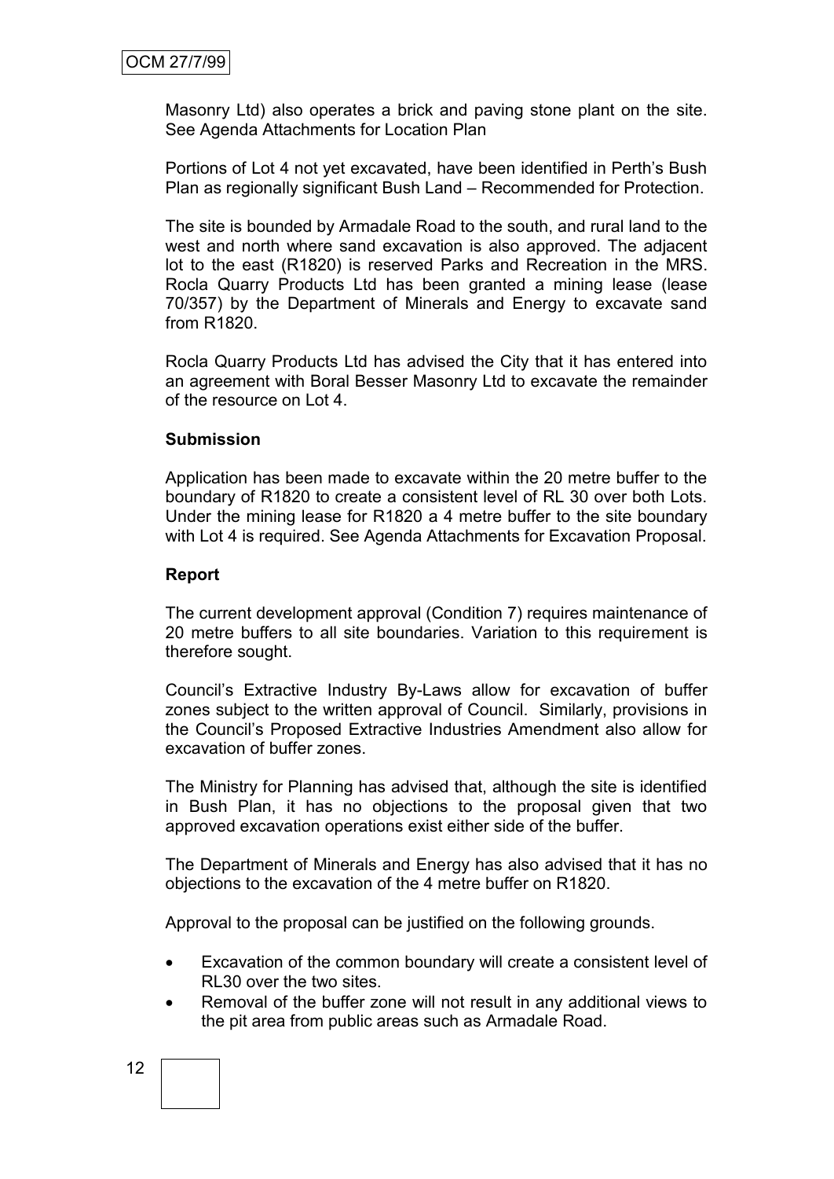Masonry Ltd) also operates a brick and paving stone plant on the site. See Agenda Attachments for Location Plan

Portions of Lot 4 not yet excavated, have been identified in Perth's Bush Plan as regionally significant Bush Land – Recommended for Protection.

The site is bounded by Armadale Road to the south, and rural land to the west and north where sand excavation is also approved. The adjacent lot to the east (R1820) is reserved Parks and Recreation in the MRS. Rocla Quarry Products Ltd has been granted a mining lease (lease 70/357) by the Department of Minerals and Energy to excavate sand from R1820.

Rocla Quarry Products Ltd has advised the City that it has entered into an agreement with Boral Besser Masonry Ltd to excavate the remainder of the resource on Lot 4.

#### **Submission**

Application has been made to excavate within the 20 metre buffer to the boundary of R1820 to create a consistent level of RL 30 over both Lots. Under the mining lease for R1820 a 4 metre buffer to the site boundary with Lot 4 is required. See Agenda Attachments for Excavation Proposal.

#### **Report**

The current development approval (Condition 7) requires maintenance of 20 metre buffers to all site boundaries. Variation to this requirement is therefore sought.

Council's Extractive Industry By-Laws allow for excavation of buffer zones subject to the written approval of Council. Similarly, provisions in the Council's Proposed Extractive Industries Amendment also allow for excavation of buffer zones.

The Ministry for Planning has advised that, although the site is identified in Bush Plan, it has no objections to the proposal given that two approved excavation operations exist either side of the buffer.

The Department of Minerals and Energy has also advised that it has no objections to the excavation of the 4 metre buffer on R1820.

Approval to the proposal can be justified on the following grounds.

- Excavation of the common boundary will create a consistent level of RL30 over the two sites.
- Removal of the buffer zone will not result in any additional views to the pit area from public areas such as Armadale Road.

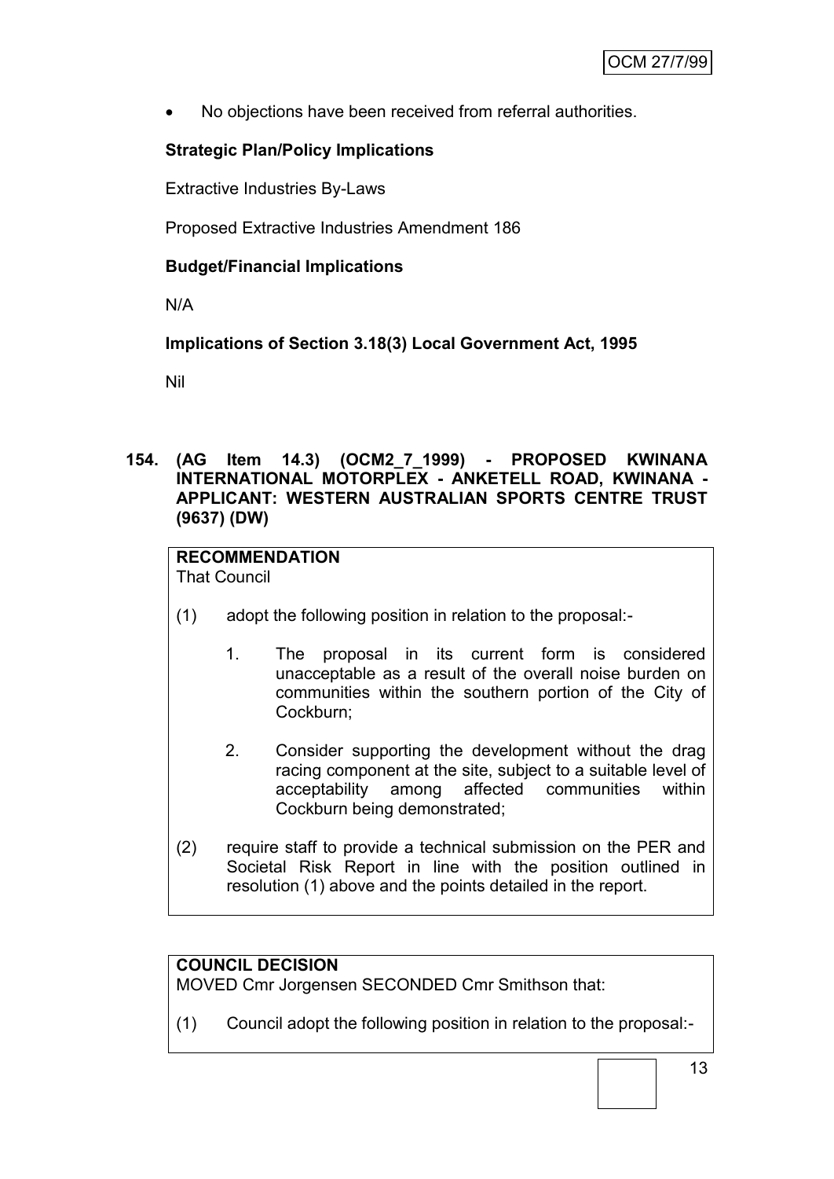No objections have been received from referral authorities.

# **Strategic Plan/Policy Implications**

Extractive Industries By-Laws

Proposed Extractive Industries Amendment 186

# **Budget/Financial Implications**

N/A

**Implications of Section 3.18(3) Local Government Act, 1995**

Nil

# **154. (AG Item 14.3) (OCM2\_7\_1999) - PROPOSED KWINANA INTERNATIONAL MOTORPLEX - ANKETELL ROAD, KWINANA - APPLICANT: WESTERN AUSTRALIAN SPORTS CENTRE TRUST (9637) (DW)**

# **RECOMMENDATION**

That Council

- (1) adopt the following position in relation to the proposal:-
	- 1. The proposal in its current form is considered unacceptable as a result of the overall noise burden on communities within the southern portion of the City of Cockburn;
	- 2. Consider supporting the development without the drag racing component at the site, subject to a suitable level of acceptability among affected communities within Cockburn being demonstrated;
- (2) require staff to provide a technical submission on the PER and Societal Risk Report in line with the position outlined in resolution (1) above and the points detailed in the report.

# **COUNCIL DECISION**

MOVED Cmr Jorgensen SECONDED Cmr Smithson that:

(1) Council adopt the following position in relation to the proposal:-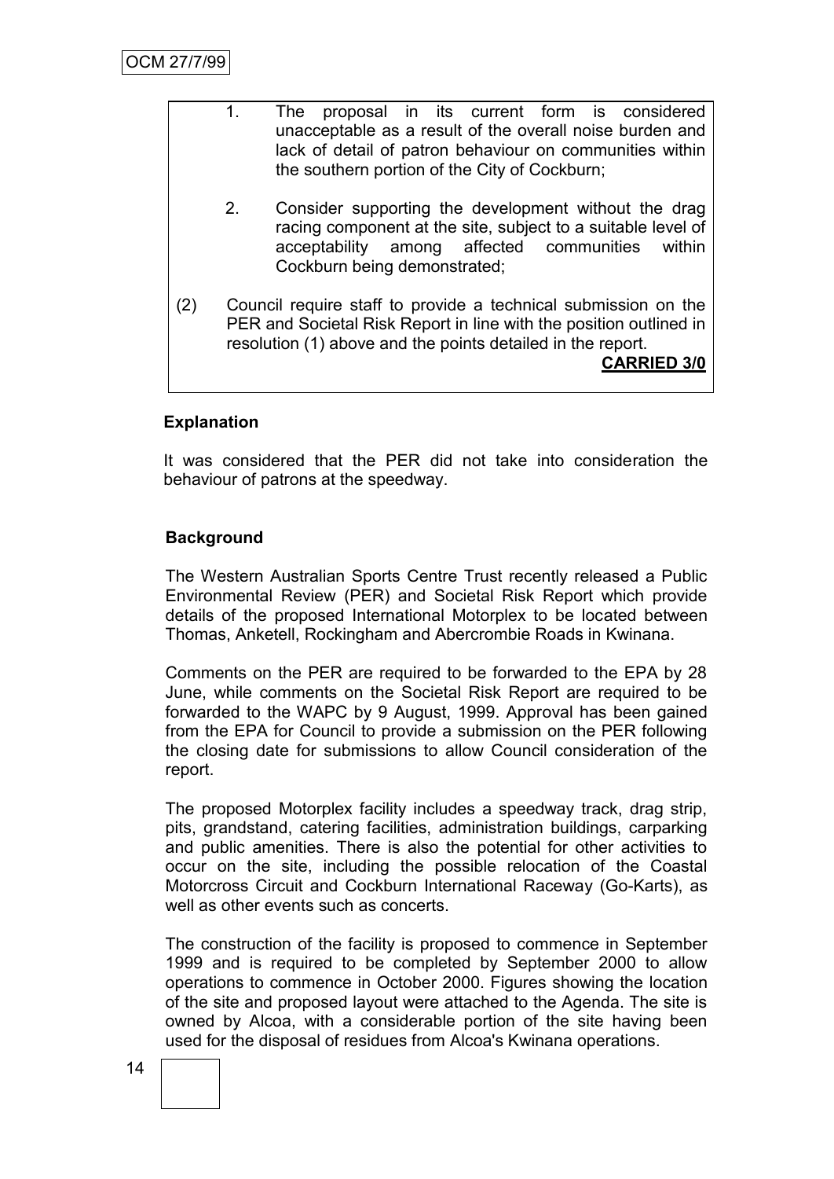|     | 1.             | The |                              |  | proposal in its current form is considered<br>unacceptable as a result of the overall noise burden and<br>lack of detail of patron behaviour on communities within                                                       |  |                    |
|-----|----------------|-----|------------------------------|--|--------------------------------------------------------------------------------------------------------------------------------------------------------------------------------------------------------------------------|--|--------------------|
|     | 2 <sub>1</sub> |     | Cockburn being demonstrated; |  | the southern portion of the City of Cockburn;<br>Consider supporting the development without the drag<br>racing component at the site, subject to a suitable level of<br>acceptability among affected communities within |  |                    |
| (2) |                |     |                              |  | Council require staff to provide a technical submission on the<br>PER and Societal Risk Report in line with the position outlined in<br>resolution (1) above and the points detailed in the report.                      |  | <b>CARRIED 3/0</b> |

# **Explanation**

It was considered that the PER did not take into consideration the behaviour of patrons at the speedway.

# **Background**

The Western Australian Sports Centre Trust recently released a Public Environmental Review (PER) and Societal Risk Report which provide details of the proposed International Motorplex to be located between Thomas, Anketell, Rockingham and Abercrombie Roads in Kwinana.

Comments on the PER are required to be forwarded to the EPA by 28 June, while comments on the Societal Risk Report are required to be forwarded to the WAPC by 9 August, 1999. Approval has been gained from the EPA for Council to provide a submission on the PER following the closing date for submissions to allow Council consideration of the report.

The proposed Motorplex facility includes a speedway track, drag strip, pits, grandstand, catering facilities, administration buildings, carparking and public amenities. There is also the potential for other activities to occur on the site, including the possible relocation of the Coastal Motorcross Circuit and Cockburn International Raceway (Go-Karts), as well as other events such as concerts.

The construction of the facility is proposed to commence in September 1999 and is required to be completed by September 2000 to allow operations to commence in October 2000. Figures showing the location of the site and proposed layout were attached to the Agenda. The site is owned by Alcoa, with a considerable portion of the site having been used for the disposal of residues from Alcoa's Kwinana operations.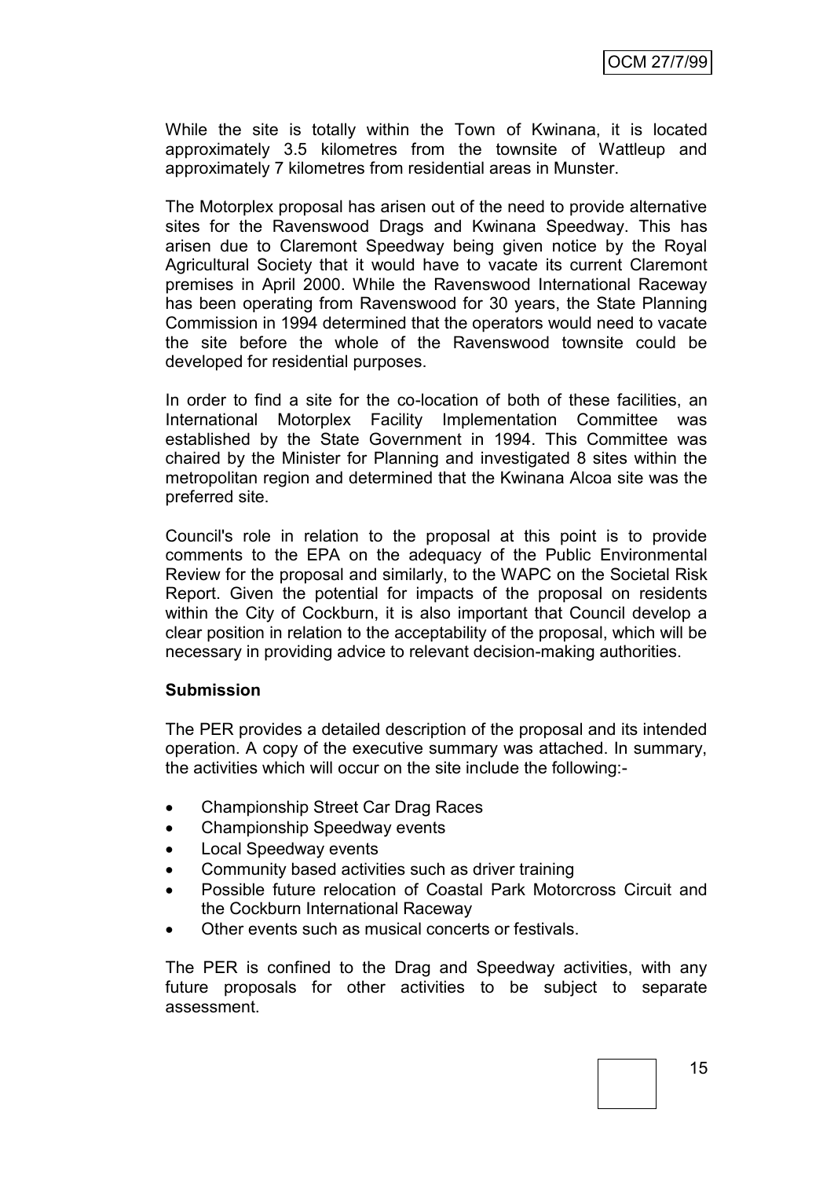While the site is totally within the Town of Kwinana, it is located approximately 3.5 kilometres from the townsite of Wattleup and approximately 7 kilometres from residential areas in Munster.

The Motorplex proposal has arisen out of the need to provide alternative sites for the Ravenswood Drags and Kwinana Speedway. This has arisen due to Claremont Speedway being given notice by the Royal Agricultural Society that it would have to vacate its current Claremont premises in April 2000. While the Ravenswood International Raceway has been operating from Ravenswood for 30 years, the State Planning Commission in 1994 determined that the operators would need to vacate the site before the whole of the Ravenswood townsite could be developed for residential purposes.

In order to find a site for the co-location of both of these facilities, an International Motorplex Facility Implementation Committee was established by the State Government in 1994. This Committee was chaired by the Minister for Planning and investigated 8 sites within the metropolitan region and determined that the Kwinana Alcoa site was the preferred site.

Council's role in relation to the proposal at this point is to provide comments to the EPA on the adequacy of the Public Environmental Review for the proposal and similarly, to the WAPC on the Societal Risk Report. Given the potential for impacts of the proposal on residents within the City of Cockburn, it is also important that Council develop a clear position in relation to the acceptability of the proposal, which will be necessary in providing advice to relevant decision-making authorities.

#### **Submission**

The PER provides a detailed description of the proposal and its intended operation. A copy of the executive summary was attached. In summary, the activities which will occur on the site include the following:-

- Championship Street Car Drag Races
- Championship Speedway events
- Local Speedway events
- Community based activities such as driver training
- Possible future relocation of Coastal Park Motorcross Circuit and the Cockburn International Raceway
- Other events such as musical concerts or festivals.

The PER is confined to the Drag and Speedway activities, with any future proposals for other activities to be subject to separate assessment.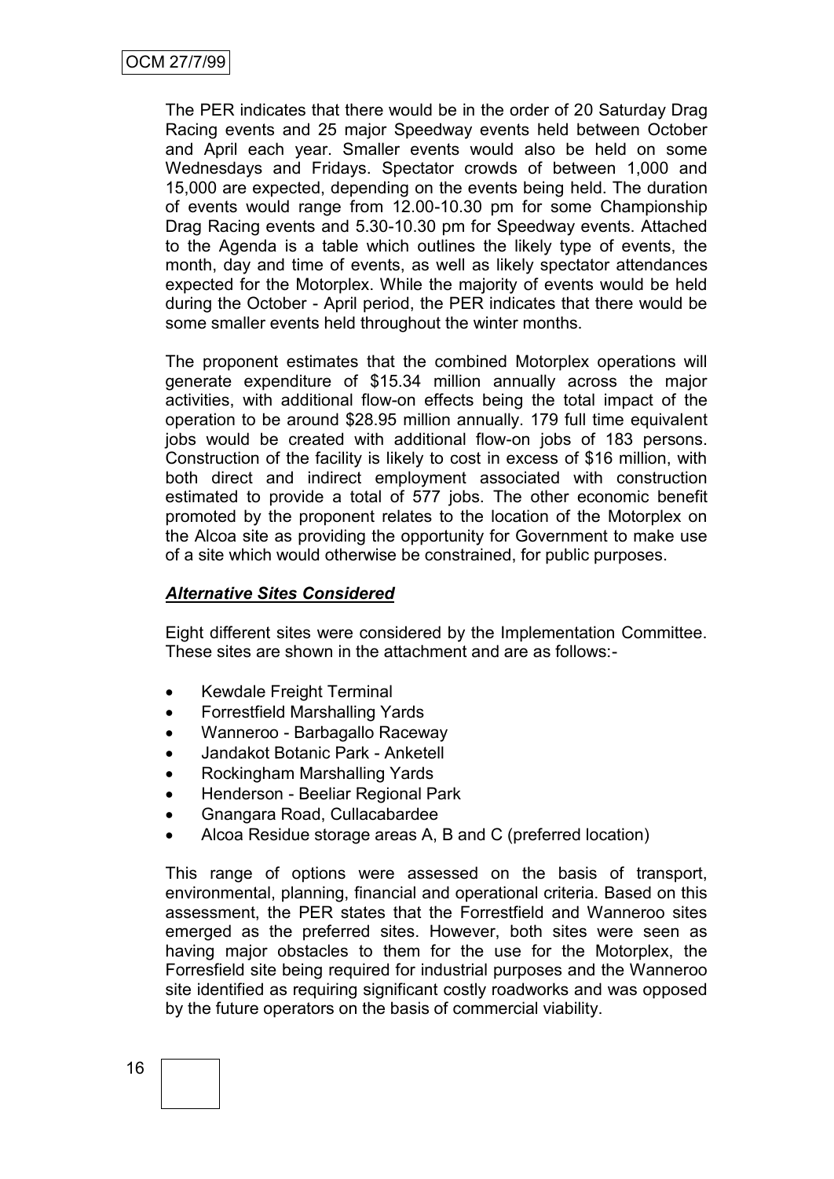The PER indicates that there would be in the order of 20 Saturday Drag Racing events and 25 major Speedway events held between October and April each year. Smaller events would also be held on some Wednesdays and Fridays. Spectator crowds of between 1,000 and 15,000 are expected, depending on the events being held. The duration of events would range from 12.00-10.30 pm for some Championship Drag Racing events and 5.30-10.30 pm for Speedway events. Attached to the Agenda is a table which outlines the likely type of events, the month, day and time of events, as well as likely spectator attendances expected for the Motorplex. While the majority of events would be held during the October - April period, the PER indicates that there would be some smaller events held throughout the winter months.

The proponent estimates that the combined Motorplex operations will generate expenditure of \$15.34 million annually across the major activities, with additional flow-on effects being the total impact of the operation to be around \$28.95 million annually. 179 full time equivalent jobs would be created with additional flow-on jobs of 183 persons. Construction of the facility is likely to cost in excess of \$16 million, with both direct and indirect employment associated with construction estimated to provide a total of 577 jobs. The other economic benefit promoted by the proponent relates to the location of the Motorplex on the Alcoa site as providing the opportunity for Government to make use of a site which would otherwise be constrained, for public purposes.

# *Alternative Sites Considered*

Eight different sites were considered by the Implementation Committee. These sites are shown in the attachment and are as follows:-

- Kewdale Freight Terminal
- Forrestfield Marshalling Yards
- Wanneroo Barbagallo Raceway
- Jandakot Botanic Park Anketell
- Rockingham Marshalling Yards
- Henderson Beeliar Regional Park
- Gnangara Road, Cullacabardee
- Alcoa Residue storage areas A, B and C (preferred location)

This range of options were assessed on the basis of transport, environmental, planning, financial and operational criteria. Based on this assessment, the PER states that the Forrestfield and Wanneroo sites emerged as the preferred sites. However, both sites were seen as having major obstacles to them for the use for the Motorplex, the Forresfield site being required for industrial purposes and the Wanneroo site identified as requiring significant costly roadworks and was opposed by the future operators on the basis of commercial viability.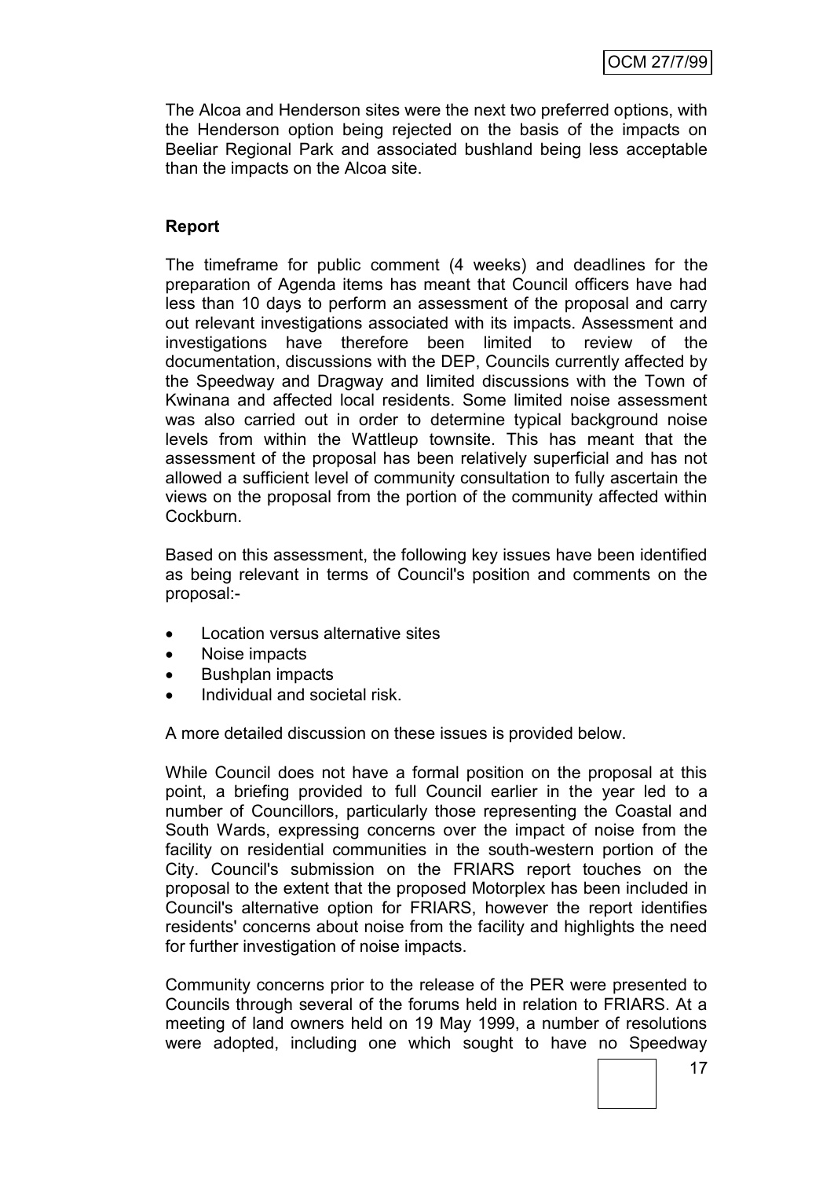The Alcoa and Henderson sites were the next two preferred options, with the Henderson option being rejected on the basis of the impacts on Beeliar Regional Park and associated bushland being less acceptable than the impacts on the Alcoa site.

# **Report**

The timeframe for public comment (4 weeks) and deadlines for the preparation of Agenda items has meant that Council officers have had less than 10 days to perform an assessment of the proposal and carry out relevant investigations associated with its impacts. Assessment and investigations have therefore been limited to review of the documentation, discussions with the DEP, Councils currently affected by the Speedway and Dragway and limited discussions with the Town of Kwinana and affected local residents. Some limited noise assessment was also carried out in order to determine typical background noise levels from within the Wattleup townsite. This has meant that the assessment of the proposal has been relatively superficial and has not allowed a sufficient level of community consultation to fully ascertain the views on the proposal from the portion of the community affected within Cockburn.

Based on this assessment, the following key issues have been identified as being relevant in terms of Council's position and comments on the proposal:-

- Location versus alternative sites
- Noise impacts
- Bushplan impacts
- Individual and societal risk.

A more detailed discussion on these issues is provided below.

While Council does not have a formal position on the proposal at this point, a briefing provided to full Council earlier in the year led to a number of Councillors, particularly those representing the Coastal and South Wards, expressing concerns over the impact of noise from the facility on residential communities in the south-western portion of the City. Council's submission on the FRIARS report touches on the proposal to the extent that the proposed Motorplex has been included in Council's alternative option for FRIARS, however the report identifies residents' concerns about noise from the facility and highlights the need for further investigation of noise impacts.

Community concerns prior to the release of the PER were presented to Councils through several of the forums held in relation to FRIARS. At a meeting of land owners held on 19 May 1999, a number of resolutions were adopted, including one which sought to have no Speedway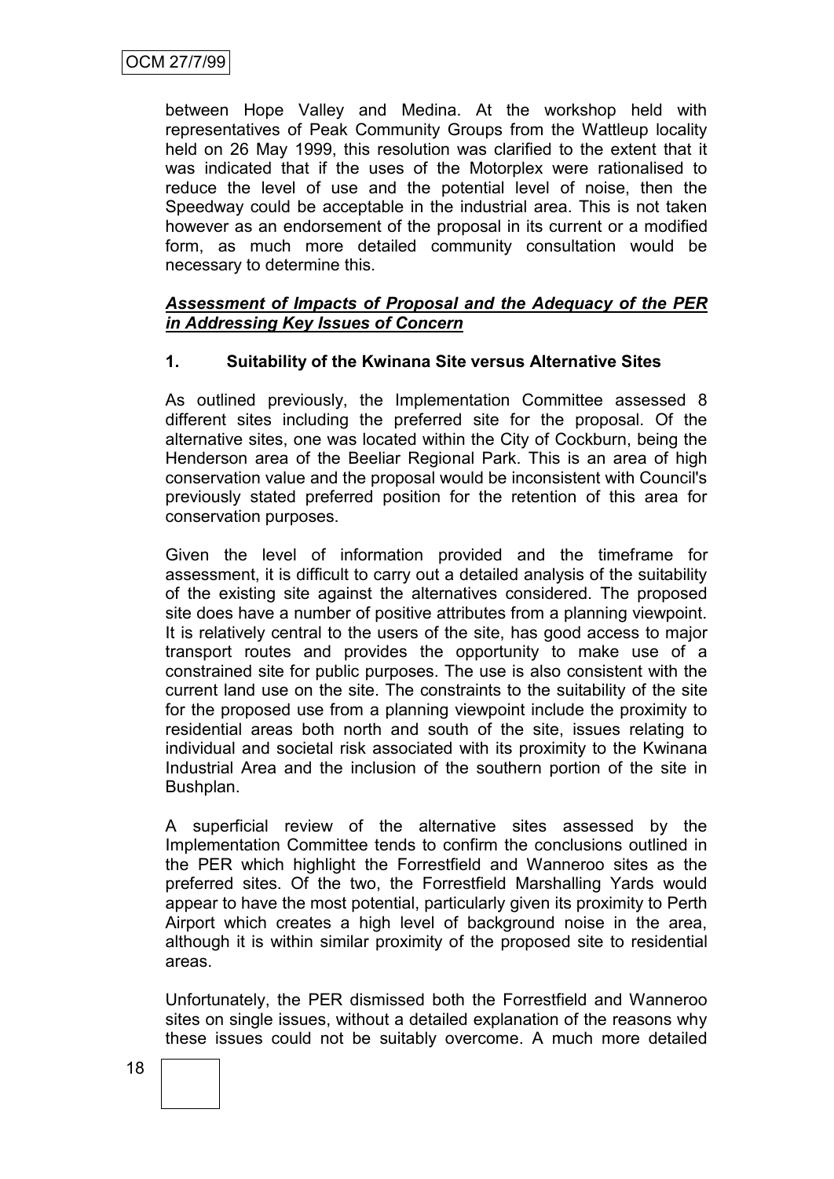between Hope Valley and Medina. At the workshop held with representatives of Peak Community Groups from the Wattleup locality held on 26 May 1999, this resolution was clarified to the extent that it was indicated that if the uses of the Motorplex were rationalised to reduce the level of use and the potential level of noise, then the Speedway could be acceptable in the industrial area. This is not taken however as an endorsement of the proposal in its current or a modified form, as much more detailed community consultation would be necessary to determine this.

## *Assessment of Impacts of Proposal and the Adequacy of the PER in Addressing Key Issues of Concern*

# **1. Suitability of the Kwinana Site versus Alternative Sites**

As outlined previously, the Implementation Committee assessed 8 different sites including the preferred site for the proposal. Of the alternative sites, one was located within the City of Cockburn, being the Henderson area of the Beeliar Regional Park. This is an area of high conservation value and the proposal would be inconsistent with Council's previously stated preferred position for the retention of this area for conservation purposes.

Given the level of information provided and the timeframe for assessment, it is difficult to carry out a detailed analysis of the suitability of the existing site against the alternatives considered. The proposed site does have a number of positive attributes from a planning viewpoint. It is relatively central to the users of the site, has good access to major transport routes and provides the opportunity to make use of a constrained site for public purposes. The use is also consistent with the current land use on the site. The constraints to the suitability of the site for the proposed use from a planning viewpoint include the proximity to residential areas both north and south of the site, issues relating to individual and societal risk associated with its proximity to the Kwinana Industrial Area and the inclusion of the southern portion of the site in Bushplan.

A superficial review of the alternative sites assessed by the Implementation Committee tends to confirm the conclusions outlined in the PER which highlight the Forrestfield and Wanneroo sites as the preferred sites. Of the two, the Forrestfield Marshalling Yards would appear to have the most potential, particularly given its proximity to Perth Airport which creates a high level of background noise in the area, although it is within similar proximity of the proposed site to residential areas.

Unfortunately, the PER dismissed both the Forrestfield and Wanneroo sites on single issues, without a detailed explanation of the reasons why these issues could not be suitably overcome. A much more detailed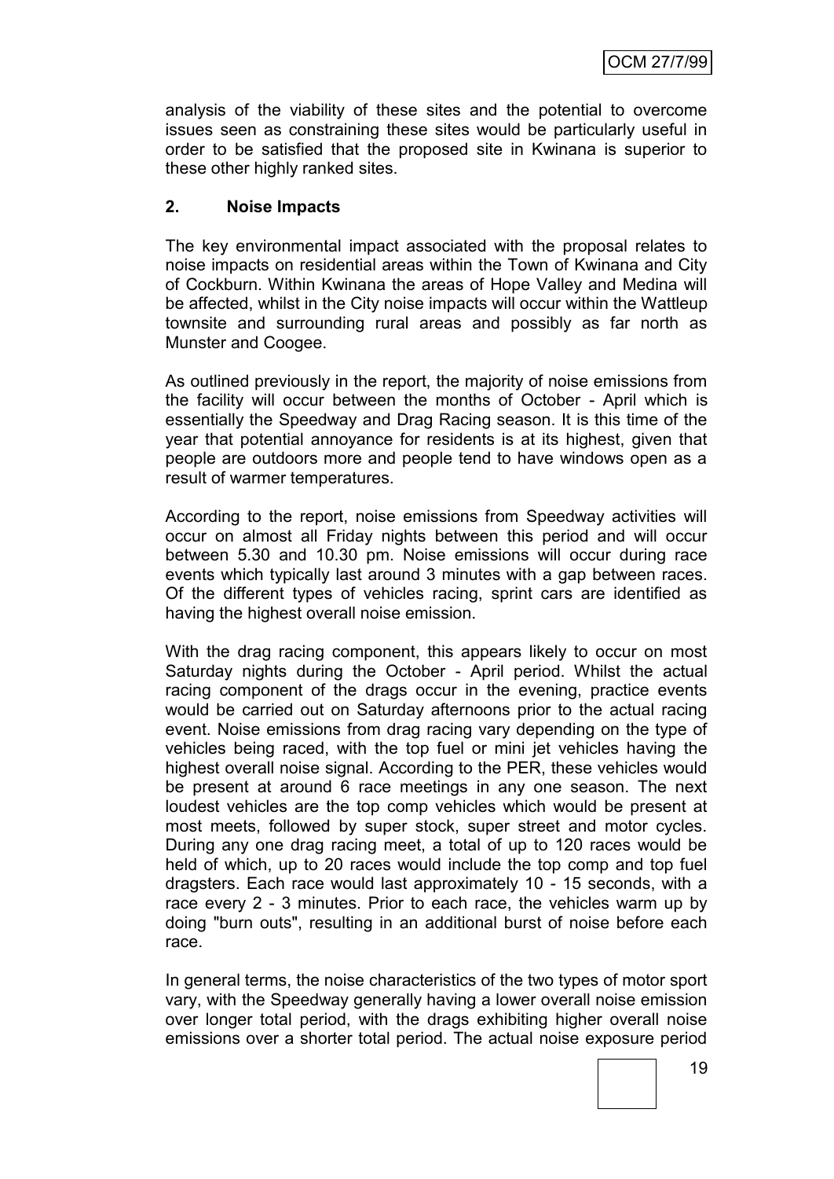analysis of the viability of these sites and the potential to overcome issues seen as constraining these sites would be particularly useful in order to be satisfied that the proposed site in Kwinana is superior to these other highly ranked sites.

## **2. Noise Impacts**

The key environmental impact associated with the proposal relates to noise impacts on residential areas within the Town of Kwinana and City of Cockburn. Within Kwinana the areas of Hope Valley and Medina will be affected, whilst in the City noise impacts will occur within the Wattleup townsite and surrounding rural areas and possibly as far north as Munster and Coogee.

As outlined previously in the report, the majority of noise emissions from the facility will occur between the months of October - April which is essentially the Speedway and Drag Racing season. It is this time of the year that potential annoyance for residents is at its highest, given that people are outdoors more and people tend to have windows open as a result of warmer temperatures.

According to the report, noise emissions from Speedway activities will occur on almost all Friday nights between this period and will occur between 5.30 and 10.30 pm. Noise emissions will occur during race events which typically last around 3 minutes with a gap between races. Of the different types of vehicles racing, sprint cars are identified as having the highest overall noise emission.

With the drag racing component, this appears likely to occur on most Saturday nights during the October - April period. Whilst the actual racing component of the drags occur in the evening, practice events would be carried out on Saturday afternoons prior to the actual racing event. Noise emissions from drag racing vary depending on the type of vehicles being raced, with the top fuel or mini jet vehicles having the highest overall noise signal. According to the PER, these vehicles would be present at around 6 race meetings in any one season. The next loudest vehicles are the top comp vehicles which would be present at most meets, followed by super stock, super street and motor cycles. During any one drag racing meet, a total of up to 120 races would be held of which, up to 20 races would include the top comp and top fuel dragsters. Each race would last approximately 10 - 15 seconds, with a race every 2 - 3 minutes. Prior to each race, the vehicles warm up by doing "burn outs", resulting in an additional burst of noise before each race.

In general terms, the noise characteristics of the two types of motor sport vary, with the Speedway generally having a lower overall noise emission over longer total period, with the drags exhibiting higher overall noise emissions over a shorter total period. The actual noise exposure period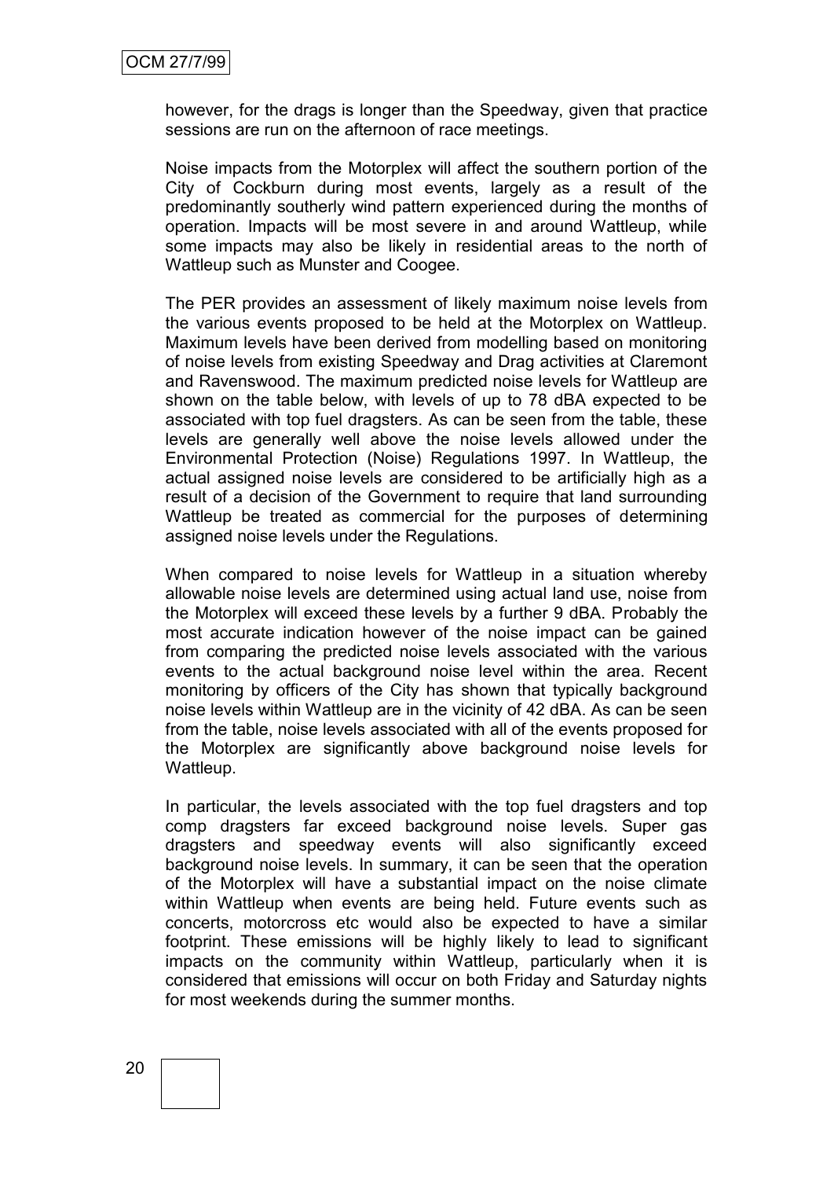however, for the drags is longer than the Speedway, given that practice sessions are run on the afternoon of race meetings.

Noise impacts from the Motorplex will affect the southern portion of the City of Cockburn during most events, largely as a result of the predominantly southerly wind pattern experienced during the months of operation. Impacts will be most severe in and around Wattleup, while some impacts may also be likely in residential areas to the north of Wattleup such as Munster and Coogee.

The PER provides an assessment of likely maximum noise levels from the various events proposed to be held at the Motorplex on Wattleup. Maximum levels have been derived from modelling based on monitoring of noise levels from existing Speedway and Drag activities at Claremont and Ravenswood. The maximum predicted noise levels for Wattleup are shown on the table below, with levels of up to 78 dBA expected to be associated with top fuel dragsters. As can be seen from the table, these levels are generally well above the noise levels allowed under the Environmental Protection (Noise) Regulations 1997. In Wattleup, the actual assigned noise levels are considered to be artificially high as a result of a decision of the Government to require that land surrounding Wattleup be treated as commercial for the purposes of determining assigned noise levels under the Regulations.

When compared to noise levels for Wattleup in a situation whereby allowable noise levels are determined using actual land use, noise from the Motorplex will exceed these levels by a further 9 dBA. Probably the most accurate indication however of the noise impact can be gained from comparing the predicted noise levels associated with the various events to the actual background noise level within the area. Recent monitoring by officers of the City has shown that typically background noise levels within Wattleup are in the vicinity of 42 dBA. As can be seen from the table, noise levels associated with all of the events proposed for the Motorplex are significantly above background noise levels for Wattleup.

In particular, the levels associated with the top fuel dragsters and top comp dragsters far exceed background noise levels. Super gas dragsters and speedway events will also significantly exceed background noise levels. In summary, it can be seen that the operation of the Motorplex will have a substantial impact on the noise climate within Wattleup when events are being held. Future events such as concerts, motorcross etc would also be expected to have a similar footprint. These emissions will be highly likely to lead to significant impacts on the community within Wattleup, particularly when it is considered that emissions will occur on both Friday and Saturday nights for most weekends during the summer months.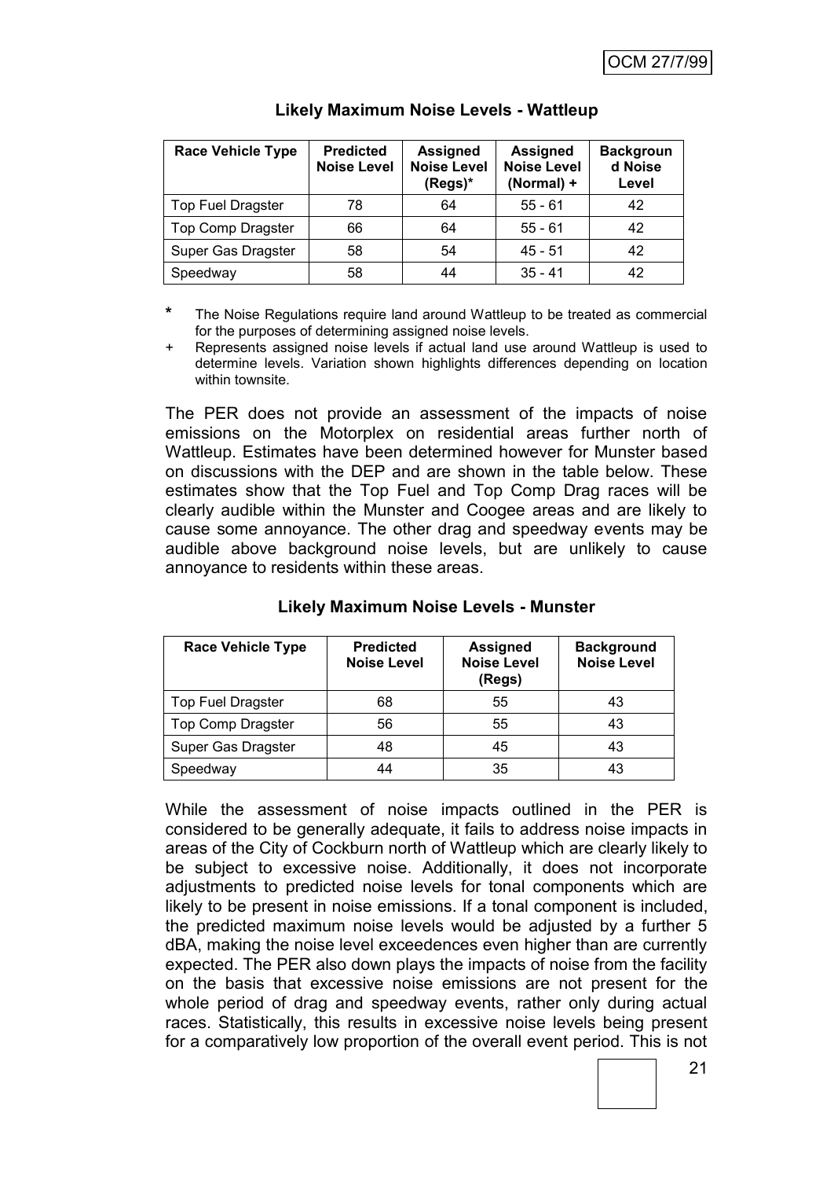| <b>Race Vehicle Type</b> | <b>Predicted</b><br><b>Noise Level</b> | <b>Assigned</b><br><b>Noise Level</b><br>(Regs)* | <b>Assigned</b><br><b>Noise Level</b><br>(Normal) + | <b>Backgroun</b><br>d Noise<br>Level |
|--------------------------|----------------------------------------|--------------------------------------------------|-----------------------------------------------------|--------------------------------------|
| <b>Top Fuel Dragster</b> | 78                                     | 64                                               | $55 - 61$                                           | 42                                   |
| <b>Top Comp Dragster</b> | 66                                     | 64                                               | $55 - 61$                                           | 42                                   |
| Super Gas Dragster       | 58                                     | 54                                               | $45 - 51$                                           | 42                                   |
| Speedway                 | 58                                     | 44                                               | $35 - 41$                                           | 42                                   |

# **Likely Maximum Noise Levels - Wattleup**

**\*** The Noise Regulations require land around Wattleup to be treated as commercial for the purposes of determining assigned noise levels.

+ Represents assigned noise levels if actual land use around Wattleup is used to determine levels. Variation shown highlights differences depending on location within townsite.

The PER does not provide an assessment of the impacts of noise emissions on the Motorplex on residential areas further north of Wattleup. Estimates have been determined however for Munster based on discussions with the DEP and are shown in the table below. These estimates show that the Top Fuel and Top Comp Drag races will be clearly audible within the Munster and Coogee areas and are likely to cause some annoyance. The other drag and speedway events may be audible above background noise levels, but are unlikely to cause annoyance to residents within these areas.

| <b>Race Vehicle Type</b> | <b>Predicted</b><br><b>Noise Level</b> | <b>Assigned</b><br><b>Noise Level</b><br>(Regs) | <b>Background</b><br><b>Noise Level</b> |
|--------------------------|----------------------------------------|-------------------------------------------------|-----------------------------------------|
| <b>Top Fuel Dragster</b> | 68                                     | 55                                              | 43                                      |
| <b>Top Comp Dragster</b> | 56                                     | 55                                              | 43                                      |
| Super Gas Dragster       | 48                                     | 45                                              | 43                                      |
| Speedway                 | 44                                     | 35                                              | 43                                      |

## **Likely Maximum Noise Levels - Munster**

While the assessment of noise impacts outlined in the PER is considered to be generally adequate, it fails to address noise impacts in areas of the City of Cockburn north of Wattleup which are clearly likely to be subject to excessive noise. Additionally, it does not incorporate adjustments to predicted noise levels for tonal components which are likely to be present in noise emissions. If a tonal component is included, the predicted maximum noise levels would be adjusted by a further 5 dBA, making the noise level exceedences even higher than are currently expected. The PER also down plays the impacts of noise from the facility on the basis that excessive noise emissions are not present for the whole period of drag and speedway events, rather only during actual races. Statistically, this results in excessive noise levels being present for a comparatively low proportion of the overall event period. This is not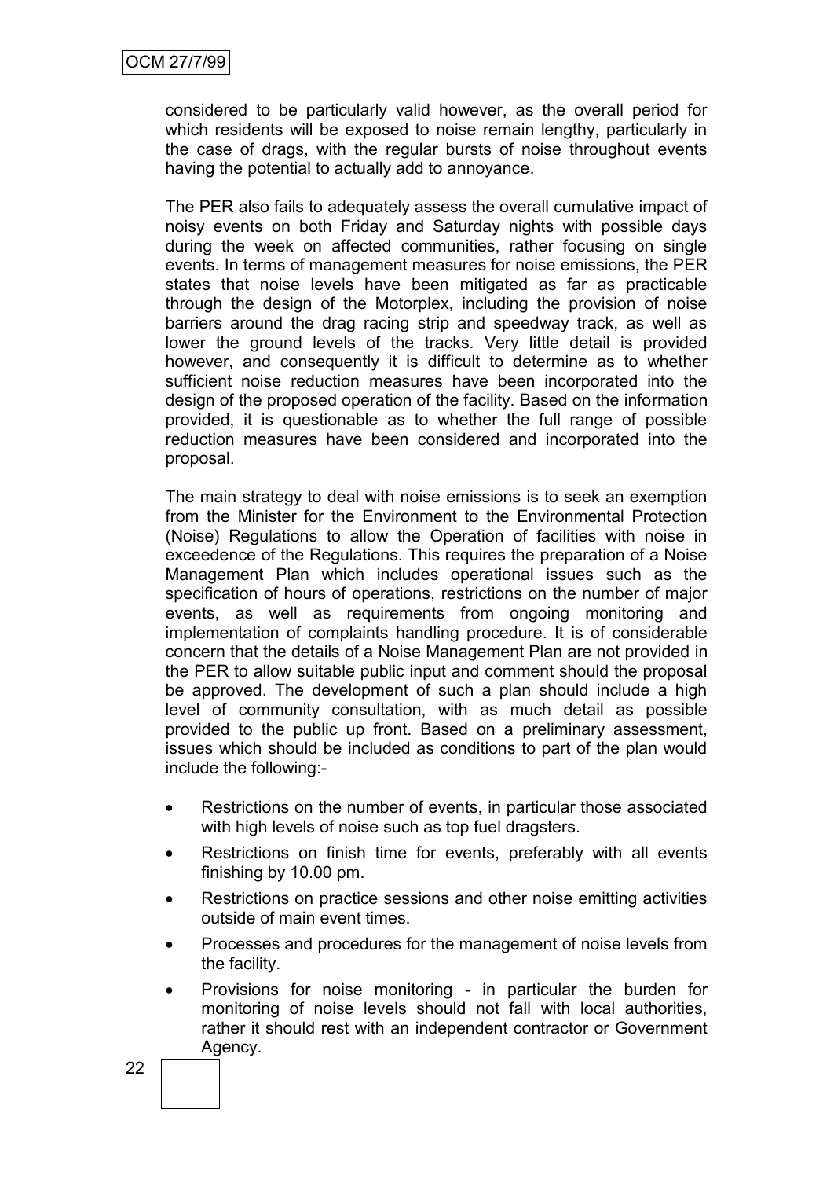considered to be particularly valid however, as the overall period for which residents will be exposed to noise remain lengthy, particularly in the case of drags, with the regular bursts of noise throughout events having the potential to actually add to annoyance.

The PER also fails to adequately assess the overall cumulative impact of noisy events on both Friday and Saturday nights with possible days during the week on affected communities, rather focusing on single events. In terms of management measures for noise emissions, the PER states that noise levels have been mitigated as far as practicable through the design of the Motorplex, including the provision of noise barriers around the drag racing strip and speedway track, as well as lower the ground levels of the tracks. Very little detail is provided however, and consequently it is difficult to determine as to whether sufficient noise reduction measures have been incorporated into the design of the proposed operation of the facility. Based on the information provided, it is questionable as to whether the full range of possible reduction measures have been considered and incorporated into the proposal.

The main strategy to deal with noise emissions is to seek an exemption from the Minister for the Environment to the Environmental Protection (Noise) Regulations to allow the Operation of facilities with noise in exceedence of the Regulations. This requires the preparation of a Noise Management Plan which includes operational issues such as the specification of hours of operations, restrictions on the number of major events, as well as requirements from ongoing monitoring and implementation of complaints handling procedure. It is of considerable concern that the details of a Noise Management Plan are not provided in the PER to allow suitable public input and comment should the proposal be approved. The development of such a plan should include a high level of community consultation, with as much detail as possible provided to the public up front. Based on a preliminary assessment, issues which should be included as conditions to part of the plan would include the following:-

- Restrictions on the number of events, in particular those associated with high levels of noise such as top fuel dragsters.
- Restrictions on finish time for events, preferably with all events finishing by 10.00 pm.
- Restrictions on practice sessions and other noise emitting activities outside of main event times.
- Processes and procedures for the management of noise levels from the facility.
- Provisions for noise monitoring in particular the burden for monitoring of noise levels should not fall with local authorities, rather it should rest with an independent contractor or Government Agency.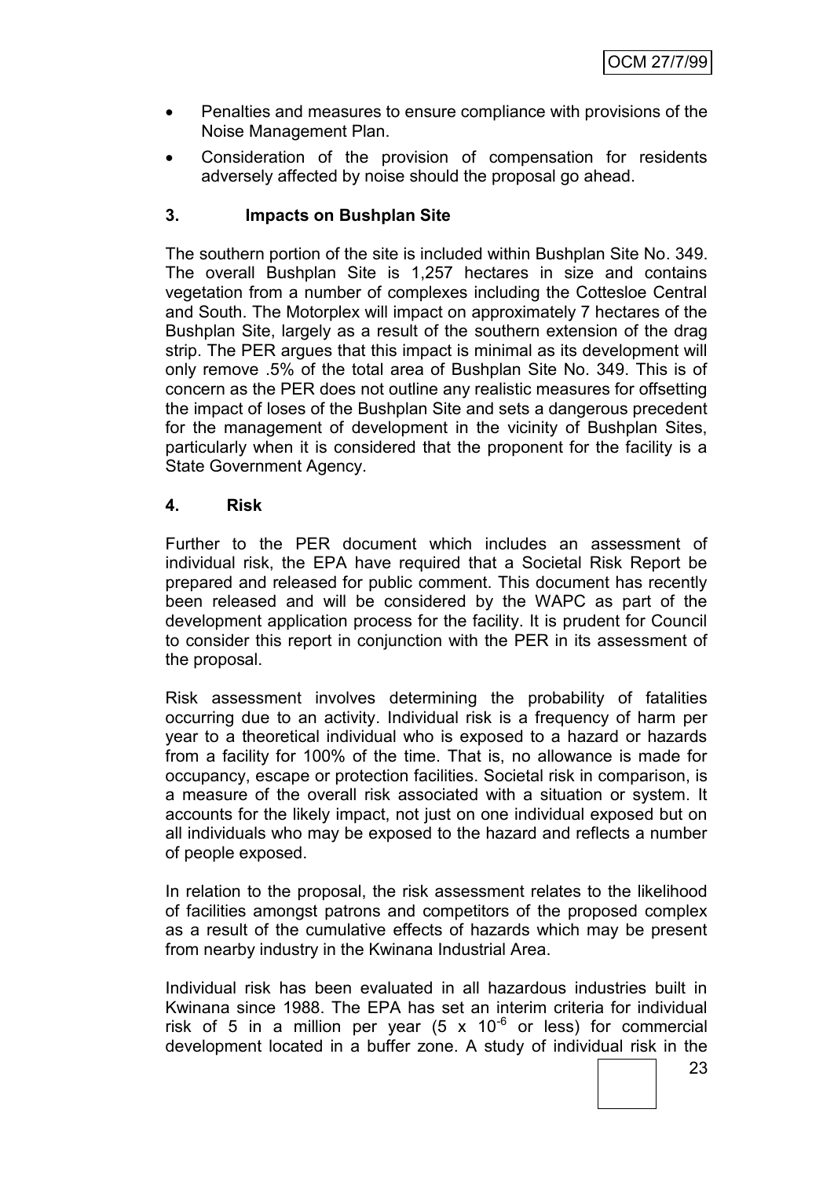- Penalties and measures to ensure compliance with provisions of the Noise Management Plan.
- Consideration of the provision of compensation for residents adversely affected by noise should the proposal go ahead.

# **3. Impacts on Bushplan Site**

The southern portion of the site is included within Bushplan Site No. 349. The overall Bushplan Site is 1,257 hectares in size and contains vegetation from a number of complexes including the Cottesloe Central and South. The Motorplex will impact on approximately 7 hectares of the Bushplan Site, largely as a result of the southern extension of the drag strip. The PER argues that this impact is minimal as its development will only remove .5% of the total area of Bushplan Site No. 349. This is of concern as the PER does not outline any realistic measures for offsetting the impact of loses of the Bushplan Site and sets a dangerous precedent for the management of development in the vicinity of Bushplan Sites, particularly when it is considered that the proponent for the facility is a State Government Agency.

# **4. Risk**

Further to the PER document which includes an assessment of individual risk, the EPA have required that a Societal Risk Report be prepared and released for public comment. This document has recently been released and will be considered by the WAPC as part of the development application process for the facility. It is prudent for Council to consider this report in conjunction with the PER in its assessment of the proposal.

Risk assessment involves determining the probability of fatalities occurring due to an activity. Individual risk is a frequency of harm per year to a theoretical individual who is exposed to a hazard or hazards from a facility for 100% of the time. That is, no allowance is made for occupancy, escape or protection facilities. Societal risk in comparison, is a measure of the overall risk associated with a situation or system. It accounts for the likely impact, not just on one individual exposed but on all individuals who may be exposed to the hazard and reflects a number of people exposed.

In relation to the proposal, the risk assessment relates to the likelihood of facilities amongst patrons and competitors of the proposed complex as a result of the cumulative effects of hazards which may be present from nearby industry in the Kwinana Industrial Area.

Individual risk has been evaluated in all hazardous industries built in Kwinana since 1988. The EPA has set an interim criteria for individual risk of 5 in a million per year  $(5 \times 10^{-6}$  or less) for commercial development located in a buffer zone. A study of individual risk in the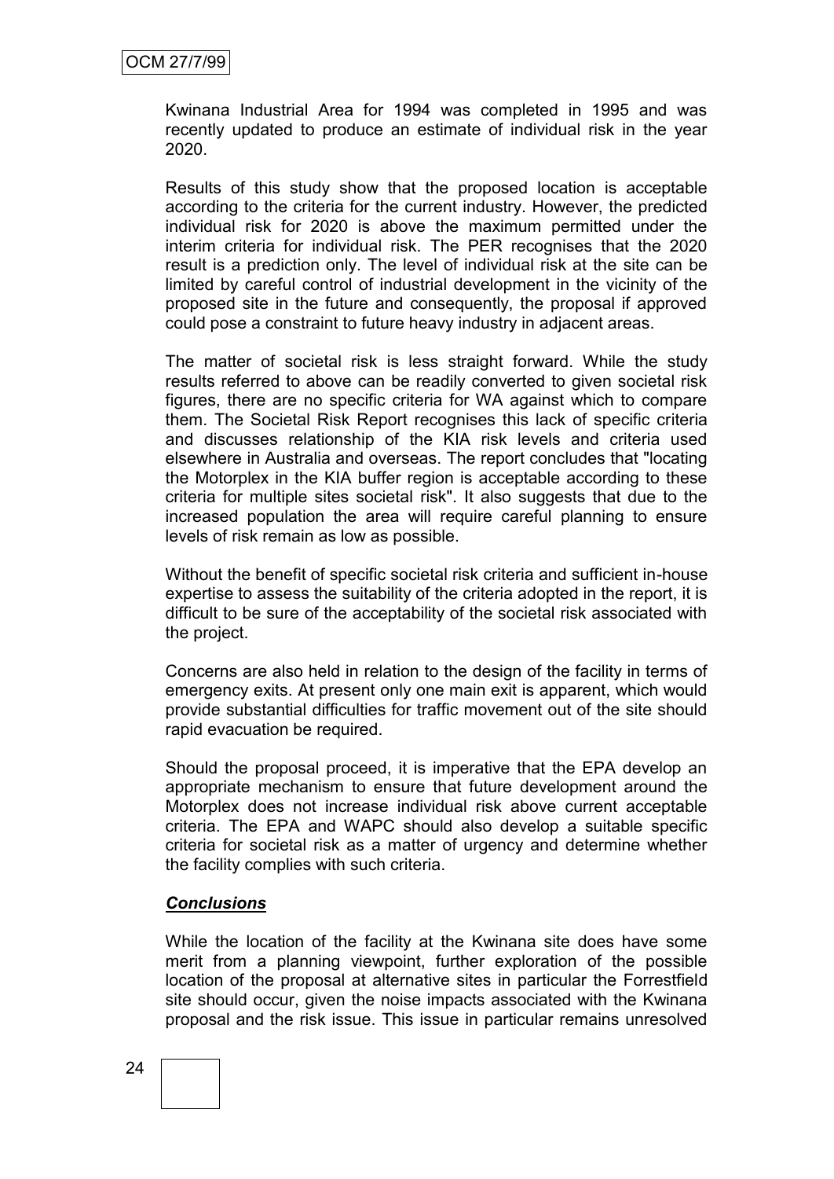Kwinana Industrial Area for 1994 was completed in 1995 and was recently updated to produce an estimate of individual risk in the year 2020.

Results of this study show that the proposed location is acceptable according to the criteria for the current industry. However, the predicted individual risk for 2020 is above the maximum permitted under the interim criteria for individual risk. The PER recognises that the 2020 result is a prediction only. The level of individual risk at the site can be limited by careful control of industrial development in the vicinity of the proposed site in the future and consequently, the proposal if approved could pose a constraint to future heavy industry in adjacent areas.

The matter of societal risk is less straight forward. While the study results referred to above can be readily converted to given societal risk figures, there are no specific criteria for WA against which to compare them. The Societal Risk Report recognises this lack of specific criteria and discusses relationship of the KIA risk levels and criteria used elsewhere in Australia and overseas. The report concludes that "locating the Motorplex in the KIA buffer region is acceptable according to these criteria for multiple sites societal risk". It also suggests that due to the increased population the area will require careful planning to ensure levels of risk remain as low as possible.

Without the benefit of specific societal risk criteria and sufficient in-house expertise to assess the suitability of the criteria adopted in the report, it is difficult to be sure of the acceptability of the societal risk associated with the project.

Concerns are also held in relation to the design of the facility in terms of emergency exits. At present only one main exit is apparent, which would provide substantial difficulties for traffic movement out of the site should rapid evacuation be required.

Should the proposal proceed, it is imperative that the EPA develop an appropriate mechanism to ensure that future development around the Motorplex does not increase individual risk above current acceptable criteria. The EPA and WAPC should also develop a suitable specific criteria for societal risk as a matter of urgency and determine whether the facility complies with such criteria.

## *Conclusions*

While the location of the facility at the Kwinana site does have some merit from a planning viewpoint, further exploration of the possible location of the proposal at alternative sites in particular the Forrestfield site should occur, given the noise impacts associated with the Kwinana proposal and the risk issue. This issue in particular remains unresolved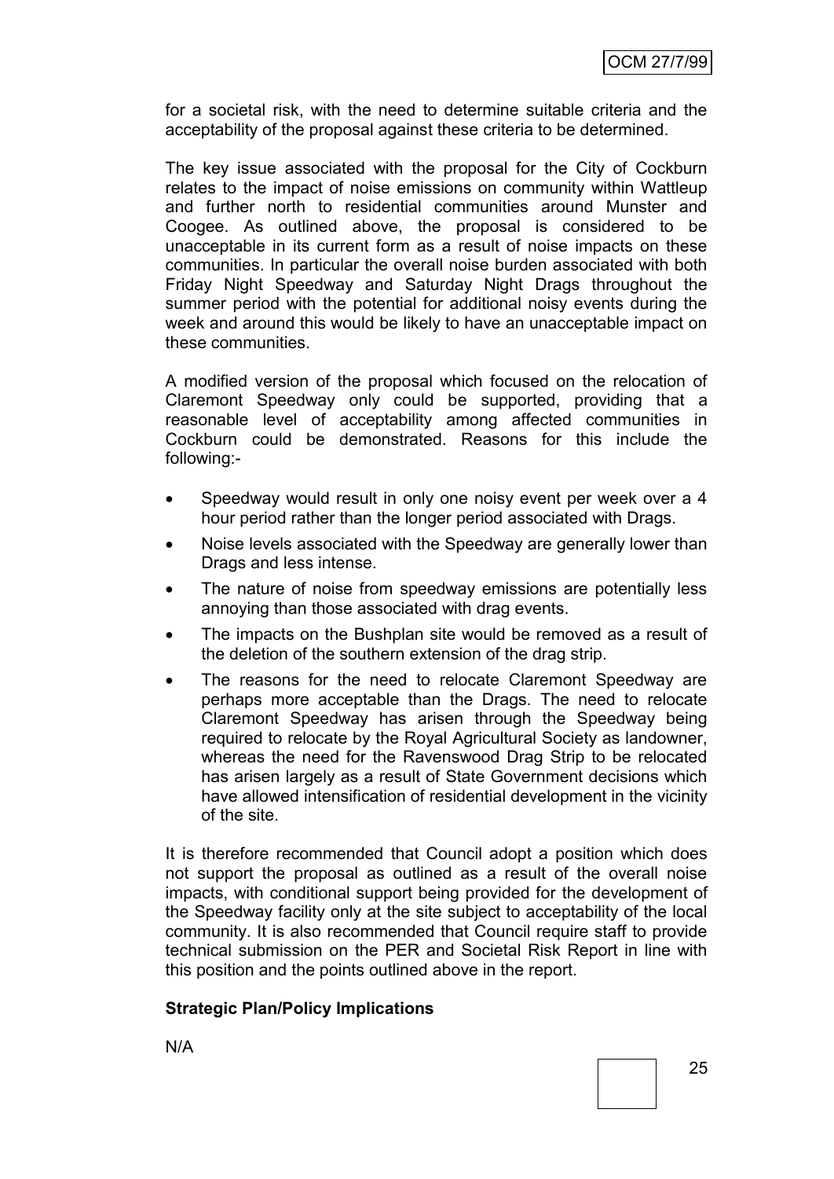for a societal risk, with the need to determine suitable criteria and the acceptability of the proposal against these criteria to be determined.

The key issue associated with the proposal for the City of Cockburn relates to the impact of noise emissions on community within Wattleup and further north to residential communities around Munster and Coogee. As outlined above, the proposal is considered to be unacceptable in its current form as a result of noise impacts on these communities. In particular the overall noise burden associated with both Friday Night Speedway and Saturday Night Drags throughout the summer period with the potential for additional noisy events during the week and around this would be likely to have an unacceptable impact on these communities.

A modified version of the proposal which focused on the relocation of Claremont Speedway only could be supported, providing that a reasonable level of acceptability among affected communities in Cockburn could be demonstrated. Reasons for this include the following:-

- Speedway would result in only one noisy event per week over a 4 hour period rather than the longer period associated with Drags.
- Noise levels associated with the Speedway are generally lower than Drags and less intense.
- The nature of noise from speedway emissions are potentially less annoying than those associated with drag events.
- The impacts on the Bushplan site would be removed as a result of the deletion of the southern extension of the drag strip.
- The reasons for the need to relocate Claremont Speedway are perhaps more acceptable than the Drags. The need to relocate Claremont Speedway has arisen through the Speedway being required to relocate by the Royal Agricultural Society as landowner, whereas the need for the Ravenswood Drag Strip to be relocated has arisen largely as a result of State Government decisions which have allowed intensification of residential development in the vicinity of the site.

It is therefore recommended that Council adopt a position which does not support the proposal as outlined as a result of the overall noise impacts, with conditional support being provided for the development of the Speedway facility only at the site subject to acceptability of the local community. It is also recommended that Council require staff to provide technical submission on the PER and Societal Risk Report in line with this position and the points outlined above in the report.

## **Strategic Plan/Policy Implications**

N/A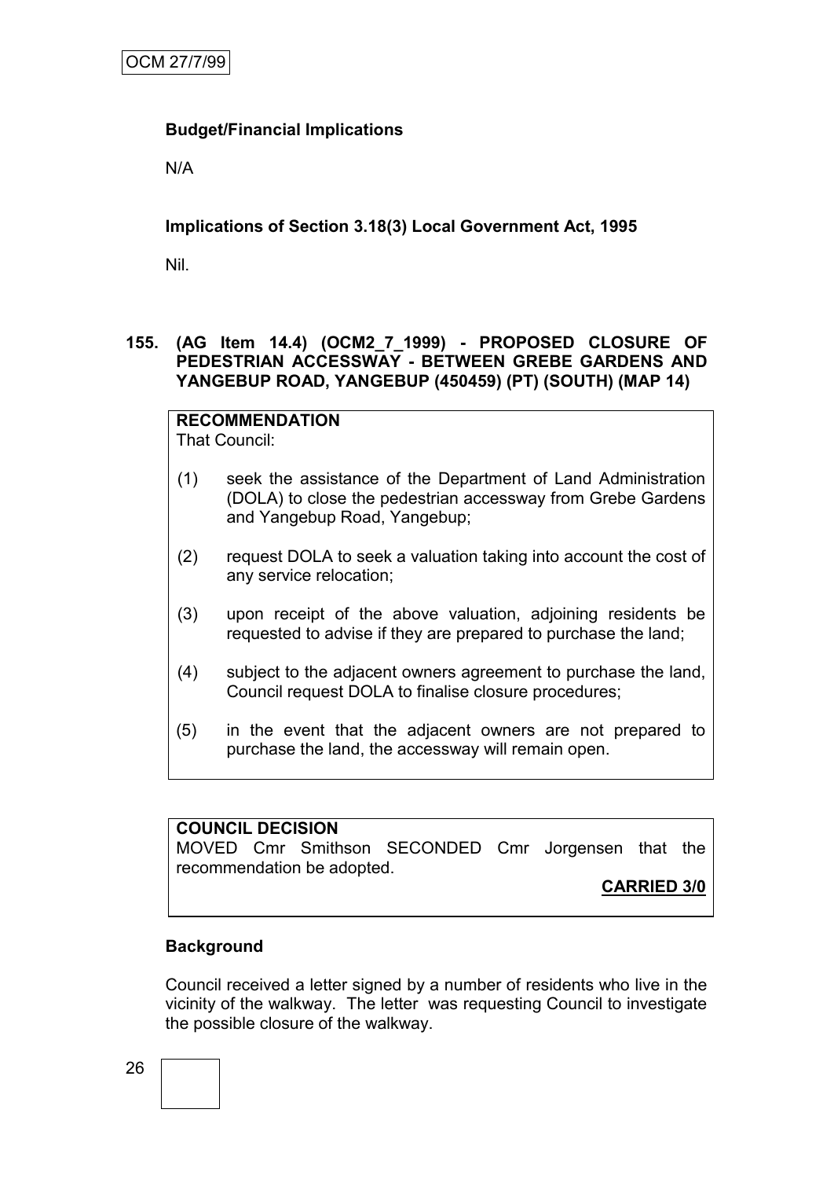# **Budget/Financial Implications**

N/A

# **Implications of Section 3.18(3) Local Government Act, 1995**

Nil.

# **155. (AG Item 14.4) (OCM2\_7\_1999) - PROPOSED CLOSURE OF PEDESTRIAN ACCESSWAY - BETWEEN GREBE GARDENS AND YANGEBUP ROAD, YANGEBUP (450459) (PT) (SOUTH) (MAP 14)**

**RECOMMENDATION** That Council:

- (1) seek the assistance of the Department of Land Administration (DOLA) to close the pedestrian accessway from Grebe Gardens and Yangebup Road, Yangebup;
- (2) request DOLA to seek a valuation taking into account the cost of any service relocation;
- (3) upon receipt of the above valuation, adjoining residents be requested to advise if they are prepared to purchase the land;
- (4) subject to the adjacent owners agreement to purchase the land, Council request DOLA to finalise closure procedures;
- (5) in the event that the adjacent owners are not prepared to purchase the land, the accessway will remain open.

## **COUNCIL DECISION**

MOVED Cmr Smithson SECONDED Cmr Jorgensen that the recommendation be adopted.

**CARRIED 3/0**

## **Background**

Council received a letter signed by a number of residents who live in the vicinity of the walkway. The letter was requesting Council to investigate the possible closure of the walkway.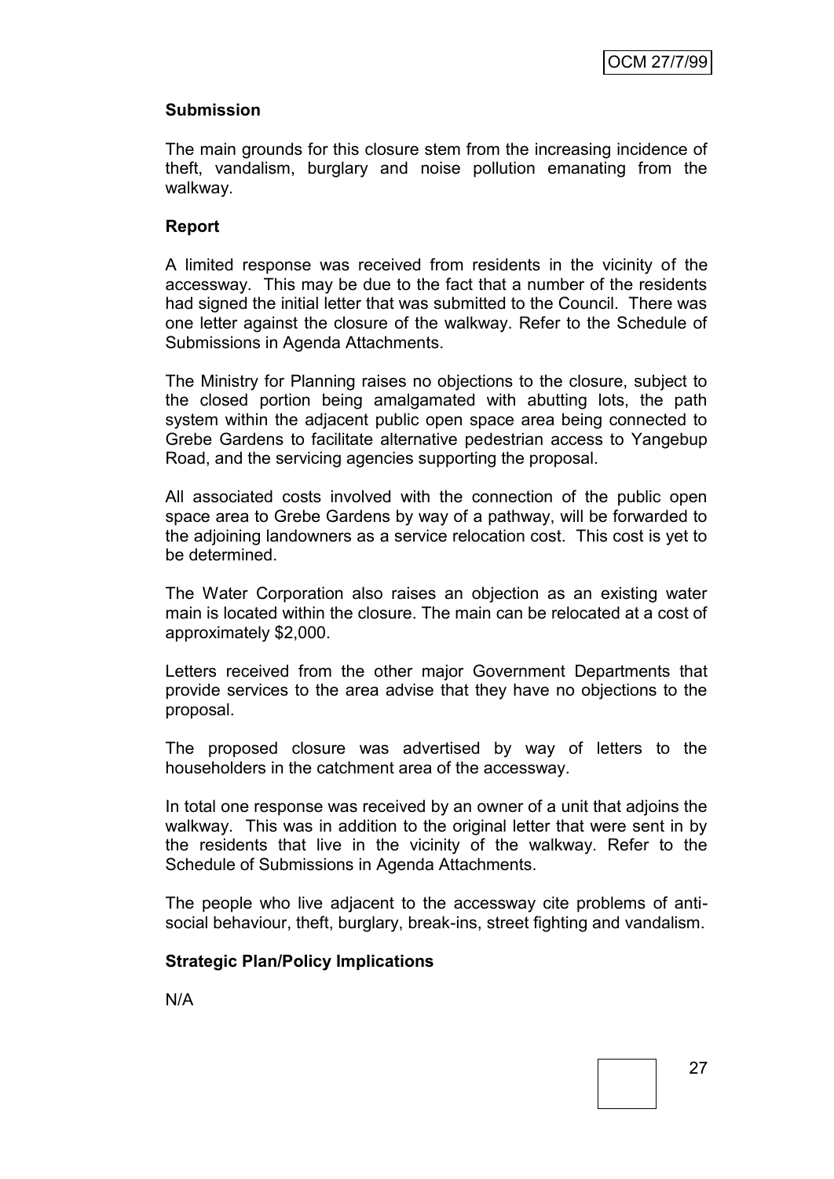# **Submission**

The main grounds for this closure stem from the increasing incidence of theft, vandalism, burglary and noise pollution emanating from the walkway.

## **Report**

A limited response was received from residents in the vicinity of the accessway. This may be due to the fact that a number of the residents had signed the initial letter that was submitted to the Council. There was one letter against the closure of the walkway. Refer to the Schedule of Submissions in Agenda Attachments.

The Ministry for Planning raises no objections to the closure, subject to the closed portion being amalgamated with abutting lots, the path system within the adjacent public open space area being connected to Grebe Gardens to facilitate alternative pedestrian access to Yangebup Road, and the servicing agencies supporting the proposal.

All associated costs involved with the connection of the public open space area to Grebe Gardens by way of a pathway, will be forwarded to the adjoining landowners as a service relocation cost. This cost is yet to be determined.

The Water Corporation also raises an objection as an existing water main is located within the closure. The main can be relocated at a cost of approximately \$2,000.

Letters received from the other major Government Departments that provide services to the area advise that they have no objections to the proposal.

The proposed closure was advertised by way of letters to the householders in the catchment area of the accessway.

In total one response was received by an owner of a unit that adjoins the walkway. This was in addition to the original letter that were sent in by the residents that live in the vicinity of the walkway. Refer to the Schedule of Submissions in Agenda Attachments.

The people who live adjacent to the accessway cite problems of antisocial behaviour, theft, burglary, break-ins, street fighting and vandalism.

## **Strategic Plan/Policy Implications**

N/A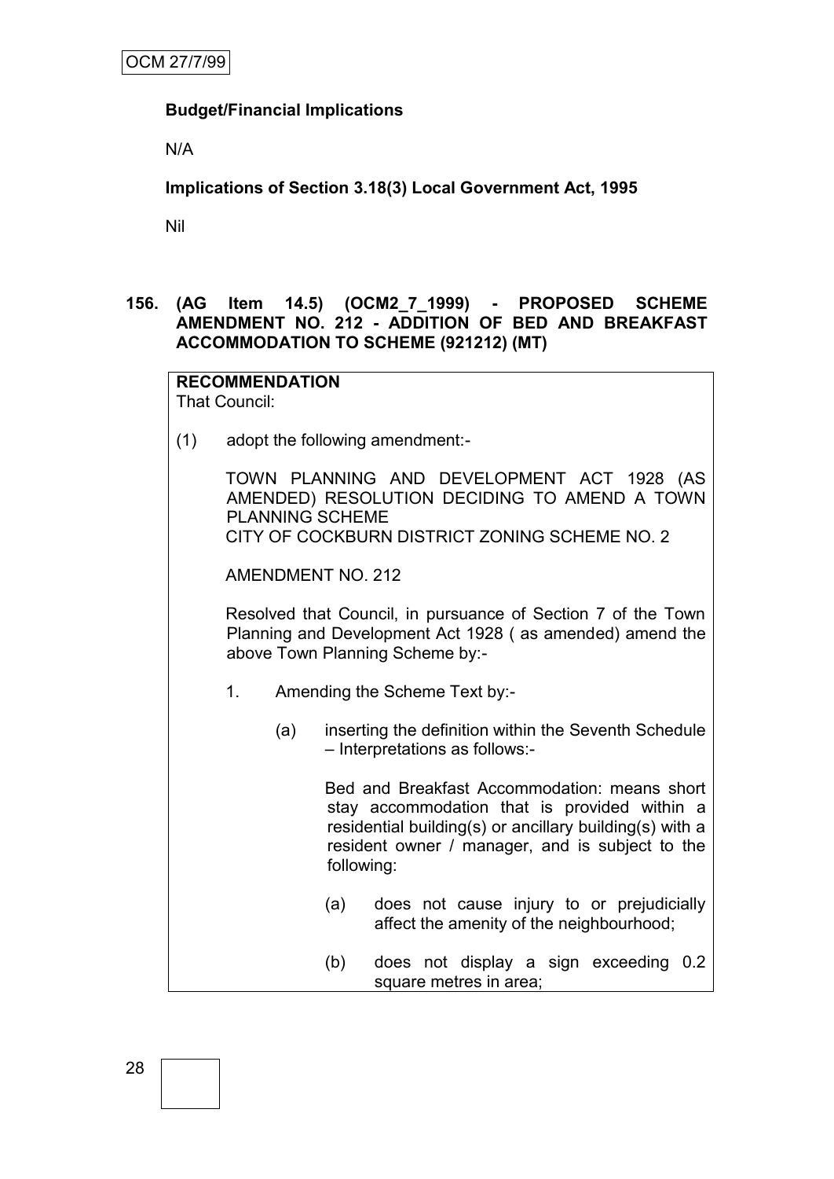# **Budget/Financial Implications**

N/A

**Implications of Section 3.18(3) Local Government Act, 1995**

Nil

# **156. (AG Item 14.5) (OCM2\_7\_1999) - PROPOSED SCHEME AMENDMENT NO. 212 - ADDITION OF BED AND BREAKFAST ACCOMMODATION TO SCHEME (921212) (MT)**

#### **RECOMMENDATION** That Council:

(1) adopt the following amendment:-

TOWN PLANNING AND DEVELOPMENT ACT 1928 (AS AMENDED) RESOLUTION DECIDING TO AMEND A TOWN PLANNING SCHEME CITY OF COCKBURN DISTRICT ZONING SCHEME NO. 2

AMENDMENT NO. 212

Resolved that Council, in pursuance of Section 7 of the Town Planning and Development Act 1928 ( as amended) amend the above Town Planning Scheme by:-

- 1. Amending the Scheme Text by:-
	- (a) inserting the definition within the Seventh Schedule – Interpretations as follows:-

Bed and Breakfast Accommodation: means short stay accommodation that is provided within a residential building(s) or ancillary building(s) with a resident owner / manager, and is subject to the following:

- (a) does not cause injury to or prejudicially affect the amenity of the neighbourhood;
- (b) does not display a sign exceeding 0.2 square metres in area;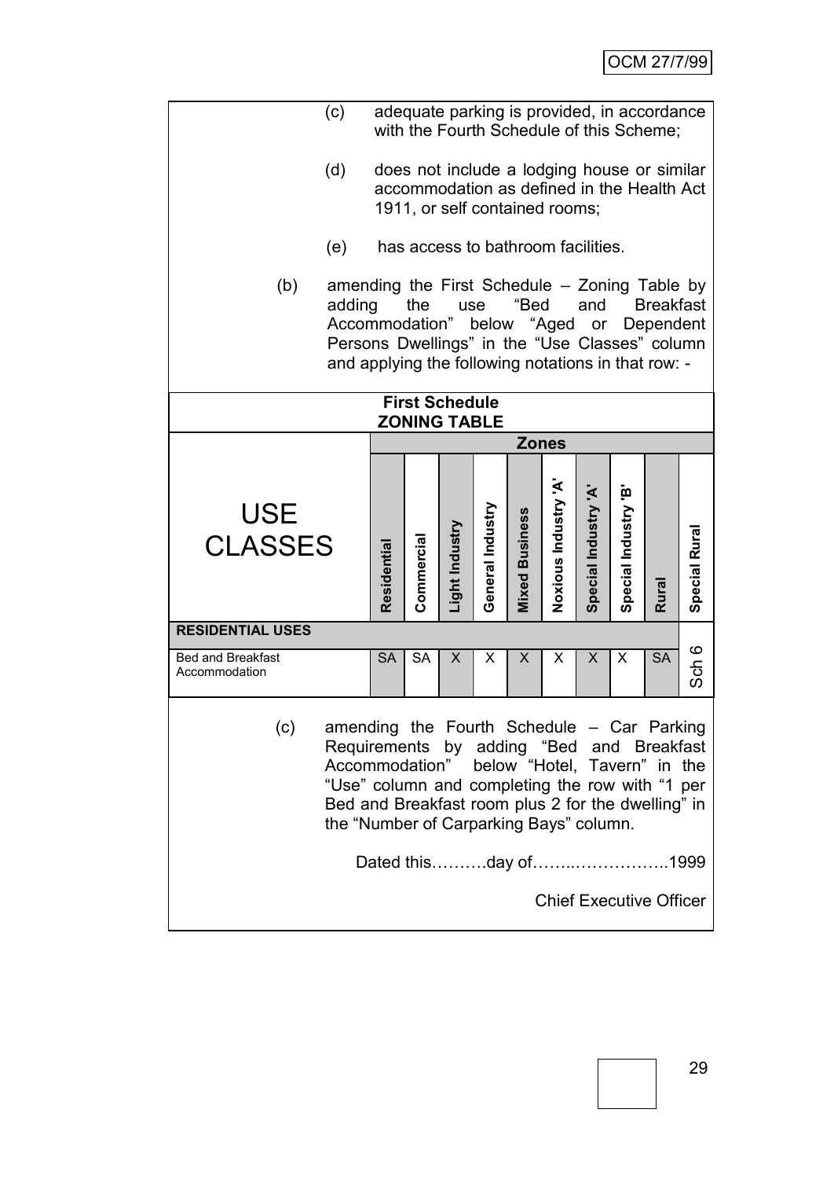|                                                                                                                                                                                                                                                                        | (c) |             |            |                |                  |                                    |                     |                      |                      | adequate parking is provided, in accordance<br>with the Fourth Schedule of this Scheme;   |                  |
|------------------------------------------------------------------------------------------------------------------------------------------------------------------------------------------------------------------------------------------------------------------------|-----|-------------|------------|----------------|------------------|------------------------------------|---------------------|----------------------|----------------------|-------------------------------------------------------------------------------------------|------------------|
|                                                                                                                                                                                                                                                                        | (d) |             |            |                |                  | 1911, or self contained rooms;     |                     |                      |                      | does not include a lodging house or similar<br>accommodation as defined in the Health Act |                  |
|                                                                                                                                                                                                                                                                        | (e) |             |            |                |                  | has access to bathroom facilities. |                     |                      |                      |                                                                                           |                  |
| (b)<br>amending the First Schedule – Zoning Table by<br>"Bed<br>and<br><b>Breakfast</b><br>adding<br>the<br>use<br>Accommodation" below "Aged or<br>Dependent<br>Persons Dwellings" in the "Use Classes" column<br>and applying the following notations in that row: - |     |             |            |                |                  |                                    |                     |                      |                      |                                                                                           |                  |
| <b>First Schedule</b><br><b>ZONING TABLE</b>                                                                                                                                                                                                                           |     |             |            |                |                  |                                    |                     |                      |                      |                                                                                           |                  |
|                                                                                                                                                                                                                                                                        |     |             |            |                |                  | <b>Zones</b>                       |                     |                      |                      |                                                                                           |                  |
| <b>USE</b>                                                                                                                                                                                                                                                             |     |             |            |                |                  |                                    |                     |                      |                      |                                                                                           |                  |
| <b>CLASSES</b>                                                                                                                                                                                                                                                         |     | Residential | Commercial | Light Industry | General Industry | <b>Mixed Business</b>              | Noxious Industry 'A | Special Industry 'A' | Special Industry 'B' | <b>Rural</b>                                                                              | Special Rural    |
| <b>RESIDENTIAL USES</b>                                                                                                                                                                                                                                                |     |             |            |                |                  |                                    |                     |                      |                      |                                                                                           |                  |
| <b>Bed and Breakfast</b><br>Accommodation                                                                                                                                                                                                                              |     | <b>SA</b>   | <b>SA</b>  | X              | X                | X                                  | X                   | X                    | X                    | <b>SA</b>                                                                                 | Sch <sub>6</sub> |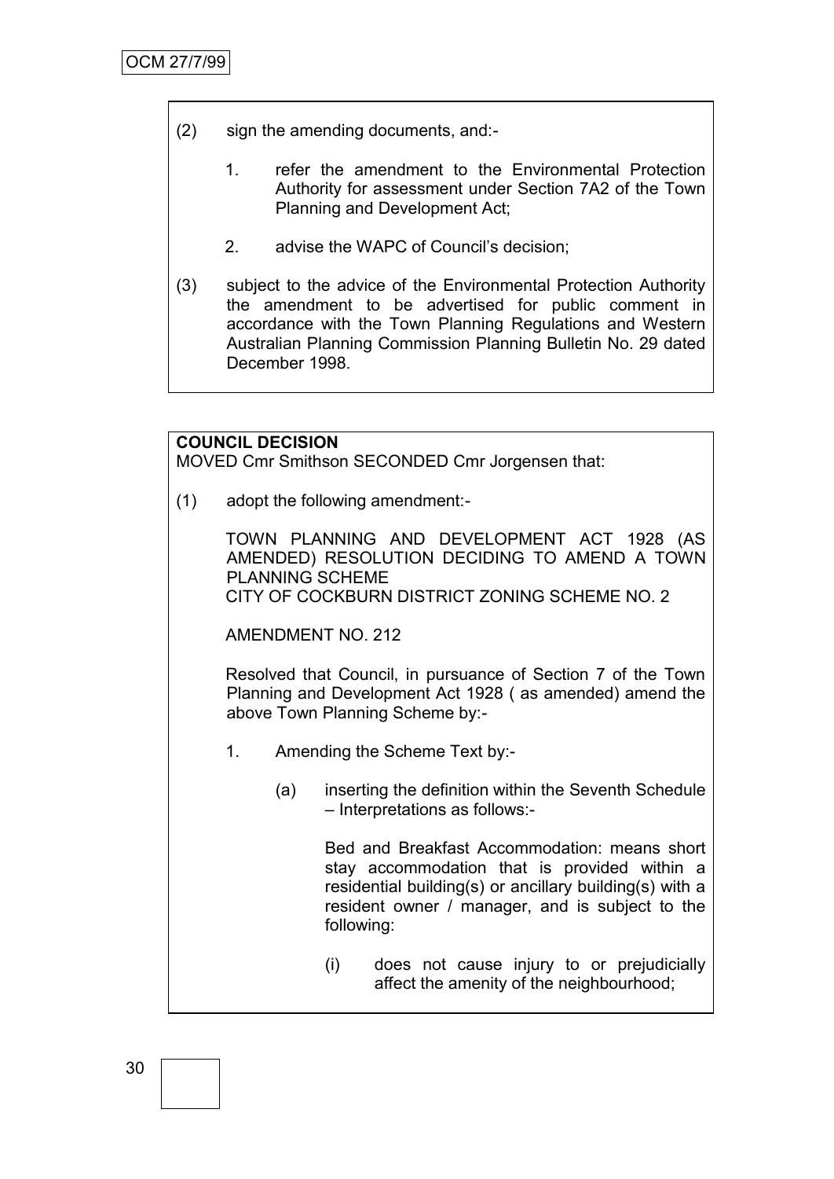- (2) sign the amending documents, and:-
	- 1. refer the amendment to the Environmental Protection Authority for assessment under Section 7A2 of the Town Planning and Development Act;
	- 2. advise the WAPC of Council's decision;
- (3) subject to the advice of the Environmental Protection Authority the amendment to be advertised for public comment in accordance with the Town Planning Regulations and Western Australian Planning Commission Planning Bulletin No. 29 dated December 1998.

#### **COUNCIL DECISION**

MOVED Cmr Smithson SECONDED Cmr Jorgensen that:

(1) adopt the following amendment:-

TOWN PLANNING AND DEVELOPMENT ACT 1928 (AS AMENDED) RESOLUTION DECIDING TO AMEND A TOWN PLANNING SCHEME CITY OF COCKBURN DISTRICT ZONING SCHEME NO. 2

AMENDMENT NO. 212

Resolved that Council, in pursuance of Section 7 of the Town Planning and Development Act 1928 ( as amended) amend the above Town Planning Scheme by:-

- 1. Amending the Scheme Text by:-
	- (a) inserting the definition within the Seventh Schedule – Interpretations as follows:-

Bed and Breakfast Accommodation: means short stay accommodation that is provided within a residential building(s) or ancillary building(s) with a resident owner / manager, and is subject to the following:

(i) does not cause injury to or prejudicially affect the amenity of the neighbourhood;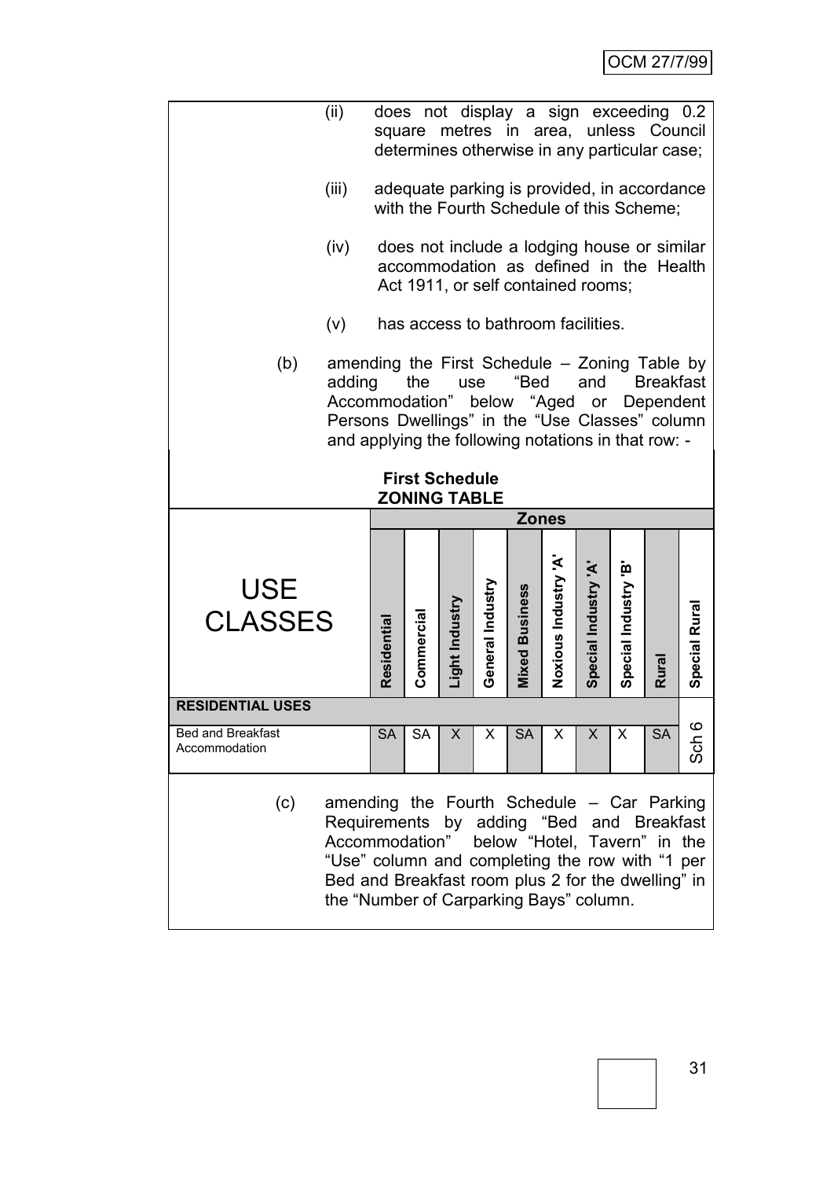|                                                                                                                                                                                                                                                                           | (ii)           |           | does not display a sign exceeding 0.2<br>square metres in area, unless Council<br>determines otherwise in any particular case; |                |                  |                       |                     |                      |                      |              |                |
|---------------------------------------------------------------------------------------------------------------------------------------------------------------------------------------------------------------------------------------------------------------------------|----------------|-----------|--------------------------------------------------------------------------------------------------------------------------------|----------------|------------------|-----------------------|---------------------|----------------------|----------------------|--------------|----------------|
|                                                                                                                                                                                                                                                                           | (iii)          |           | adequate parking is provided, in accordance<br>with the Fourth Schedule of this Scheme;                                        |                |                  |                       |                     |                      |                      |              |                |
|                                                                                                                                                                                                                                                                           | (iv)           |           | does not include a lodging house or similar<br>accommodation as defined in the Health<br>Act 1911, or self contained rooms;    |                |                  |                       |                     |                      |                      |              |                |
|                                                                                                                                                                                                                                                                           | (v)            |           | has access to bathroom facilities.                                                                                             |                |                  |                       |                     |                      |                      |              |                |
| (b)<br>amending the First Schedule - Zoning Table by<br><b>Breakfast</b><br>adding<br>the<br>"Bed<br>and<br>use<br>Accommodation"<br>below "Aged<br>or Dependent<br>Persons Dwellings" in the "Use Classes" column<br>and applying the following notations in that row: - |                |           |                                                                                                                                |                |                  |                       |                     |                      |                      |              |                |
|                                                                                                                                                                                                                                                                           |                |           | <b>First Schedule</b><br><b>ZONING TABLE</b>                                                                                   |                |                  |                       |                     |                      |                      |              |                |
|                                                                                                                                                                                                                                                                           |                |           |                                                                                                                                |                |                  | <b>Zones</b>          |                     |                      |                      |              |                |
| <b>USE</b>                                                                                                                                                                                                                                                                | <b>CLASSES</b> |           | Commercia                                                                                                                      | Light Industry | General Industry | <b>Mixed Business</b> | Noxious Industry 'A | Special Industry 'A' | Special Industry 'B' | <b>Rural</b> | Special Rura   |
| <b>RESIDENTIAL USES</b>                                                                                                                                                                                                                                                   |                |           |                                                                                                                                |                |                  |                       |                     |                      |                      |              |                |
| <b>Bed and Breakfast</b><br>Accommodation                                                                                                                                                                                                                                 |                | <b>SA</b> | SA                                                                                                                             | X              | X                | <b>SA</b>             | X                   | X                    | X                    | <b>SA</b>    | $\circ$<br>Sch |
|                                                                                                                                                                                                                                                                           |                |           |                                                                                                                                |                |                  |                       |                     |                      |                      |              |                |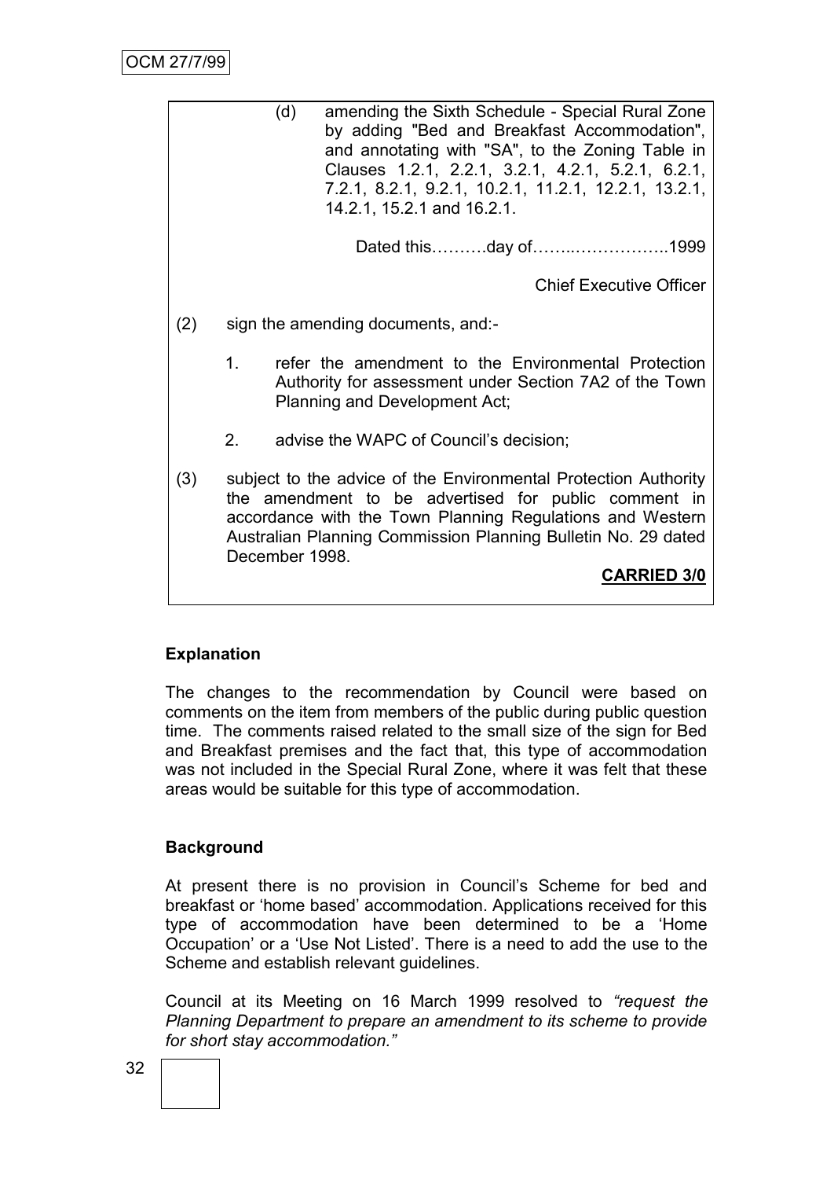|     |    | (d)<br>amending the Sixth Schedule - Special Rural Zone<br>by adding "Bed and Breakfast Accommodation",<br>and annotating with "SA", to the Zoning Table in<br>Clauses 1.2.1, 2.2.1, 3.2.1, 4.2.1, 5.2.1, 6.2.1,<br>7.2.1, 8.2.1, 9.2.1, 10.2.1, 11.2.1, 12.2.1, 13.2.1,<br>14.2.1, 15.2.1 and 16.2.1. |
|-----|----|--------------------------------------------------------------------------------------------------------------------------------------------------------------------------------------------------------------------------------------------------------------------------------------------------------|
|     |    | Dated thisday of1999                                                                                                                                                                                                                                                                                   |
|     |    | <b>Chief Executive Officer</b>                                                                                                                                                                                                                                                                         |
| (2) |    | sign the amending documents, and:-                                                                                                                                                                                                                                                                     |
|     | 1. | refer the amendment to the Environmental Protection<br>Authority for assessment under Section 7A2 of the Town<br>Planning and Development Act;                                                                                                                                                         |
|     | 2. | advise the WAPC of Council's decision;                                                                                                                                                                                                                                                                 |
| (3) |    | subject to the advice of the Environmental Protection Authority<br>the amendment to be advertised for public comment in<br>accordance with the Town Planning Regulations and Western<br>Australian Planning Commission Planning Bulletin No. 29 dated<br>December 1998.<br><b>CARRIED 3/0</b>          |

# **Explanation**

The changes to the recommendation by Council were based on comments on the item from members of the public during public question time. The comments raised related to the small size of the sign for Bed and Breakfast premises and the fact that, this type of accommodation was not included in the Special Rural Zone, where it was felt that these areas would be suitable for this type of accommodation.

# **Background**

At present there is no provision in Council's Scheme for bed and breakfast or 'home based' accommodation. Applications received for this type of accommodation have been determined to be a ‗Home Occupation' or a ‗Use Not Listed'. There is a need to add the use to the Scheme and establish relevant guidelines.

Council at its Meeting on 16 March 1999 resolved to *"request the Planning Department to prepare an amendment to its scheme to provide for short stay accommodation."*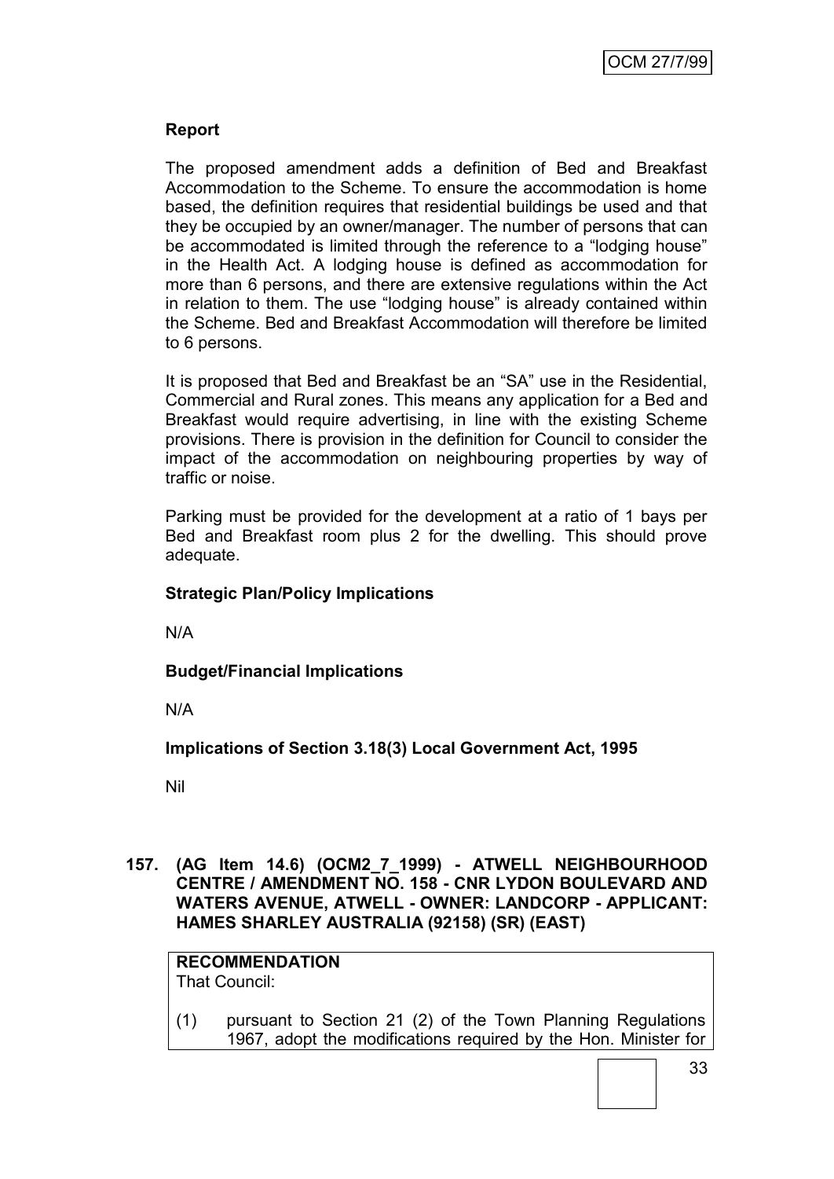# **Report**

The proposed amendment adds a definition of Bed and Breakfast Accommodation to the Scheme. To ensure the accommodation is home based, the definition requires that residential buildings be used and that they be occupied by an owner/manager. The number of persons that can be accommodated is limited through the reference to a "lodging house" in the Health Act. A lodging house is defined as accommodation for more than 6 persons, and there are extensive regulations within the Act in relation to them. The use "lodging house" is already contained within the Scheme. Bed and Breakfast Accommodation will therefore be limited to 6 persons.

It is proposed that Bed and Breakfast be an "SA" use in the Residential, Commercial and Rural zones. This means any application for a Bed and Breakfast would require advertising, in line with the existing Scheme provisions. There is provision in the definition for Council to consider the impact of the accommodation on neighbouring properties by way of traffic or noise.

Parking must be provided for the development at a ratio of 1 bays per Bed and Breakfast room plus 2 for the dwelling. This should prove adequate.

## **Strategic Plan/Policy Implications**

N/A

**Budget/Financial Implications**

N/A

**Implications of Section 3.18(3) Local Government Act, 1995**

Nil

**157. (AG Item 14.6) (OCM2\_7\_1999) - ATWELL NEIGHBOURHOOD CENTRE / AMENDMENT NO. 158 - CNR LYDON BOULEVARD AND WATERS AVENUE, ATWELL - OWNER: LANDCORP - APPLICANT: HAMES SHARLEY AUSTRALIA (92158) (SR) (EAST)**

**RECOMMENDATION** That Council:

(1) pursuant to Section 21 (2) of the Town Planning Regulations 1967, adopt the modifications required by the Hon. Minister for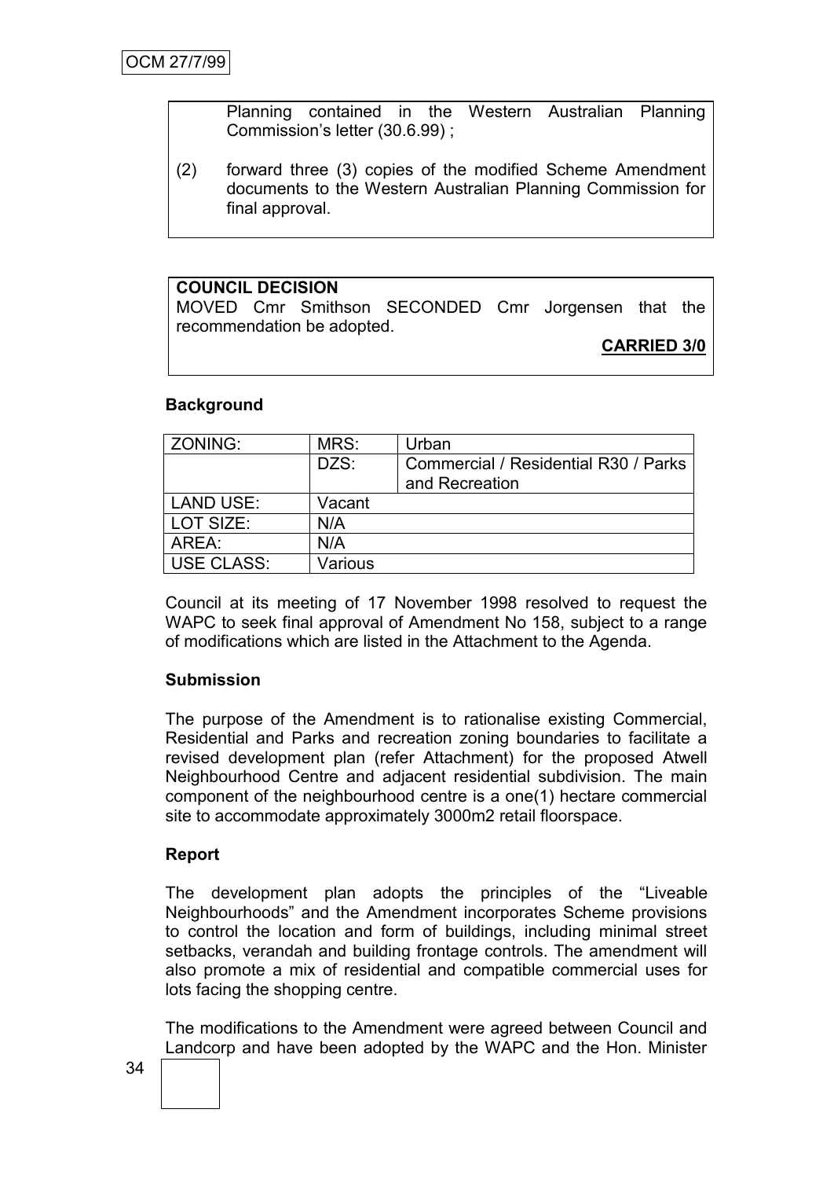Planning contained in the Western Australian Planning Commission's letter (30.6.99) ;

(2) forward three (3) copies of the modified Scheme Amendment documents to the Western Australian Planning Commission for final approval.

# **COUNCIL DECISION**

MOVED Cmr Smithson SECONDED Cmr Jorgensen that the recommendation be adopted.

# **CARRIED 3/0**

#### **Background**

| ZONING:           | MRS:    | Urban                                                  |
|-------------------|---------|--------------------------------------------------------|
|                   | DZS:    | Commercial / Residential R30 / Parks<br>and Recreation |
| <b>LAND USE:</b>  | Vacant  |                                                        |
| LOT SIZE:         | N/A     |                                                        |
| AREA:             | N/A     |                                                        |
| <b>USE CLASS:</b> | Various |                                                        |

Council at its meeting of 17 November 1998 resolved to request the WAPC to seek final approval of Amendment No 158, subject to a range of modifications which are listed in the Attachment to the Agenda.

## **Submission**

The purpose of the Amendment is to rationalise existing Commercial, Residential and Parks and recreation zoning boundaries to facilitate a revised development plan (refer Attachment) for the proposed Atwell Neighbourhood Centre and adjacent residential subdivision. The main component of the neighbourhood centre is a one(1) hectare commercial site to accommodate approximately 3000m2 retail floorspace.

## **Report**

The development plan adopts the principles of the "Liveable" Neighbourhoods‖ and the Amendment incorporates Scheme provisions to control the location and form of buildings, including minimal street setbacks, verandah and building frontage controls. The amendment will also promote a mix of residential and compatible commercial uses for lots facing the shopping centre.

The modifications to the Amendment were agreed between Council and Landcorp and have been adopted by the WAPC and the Hon. Minister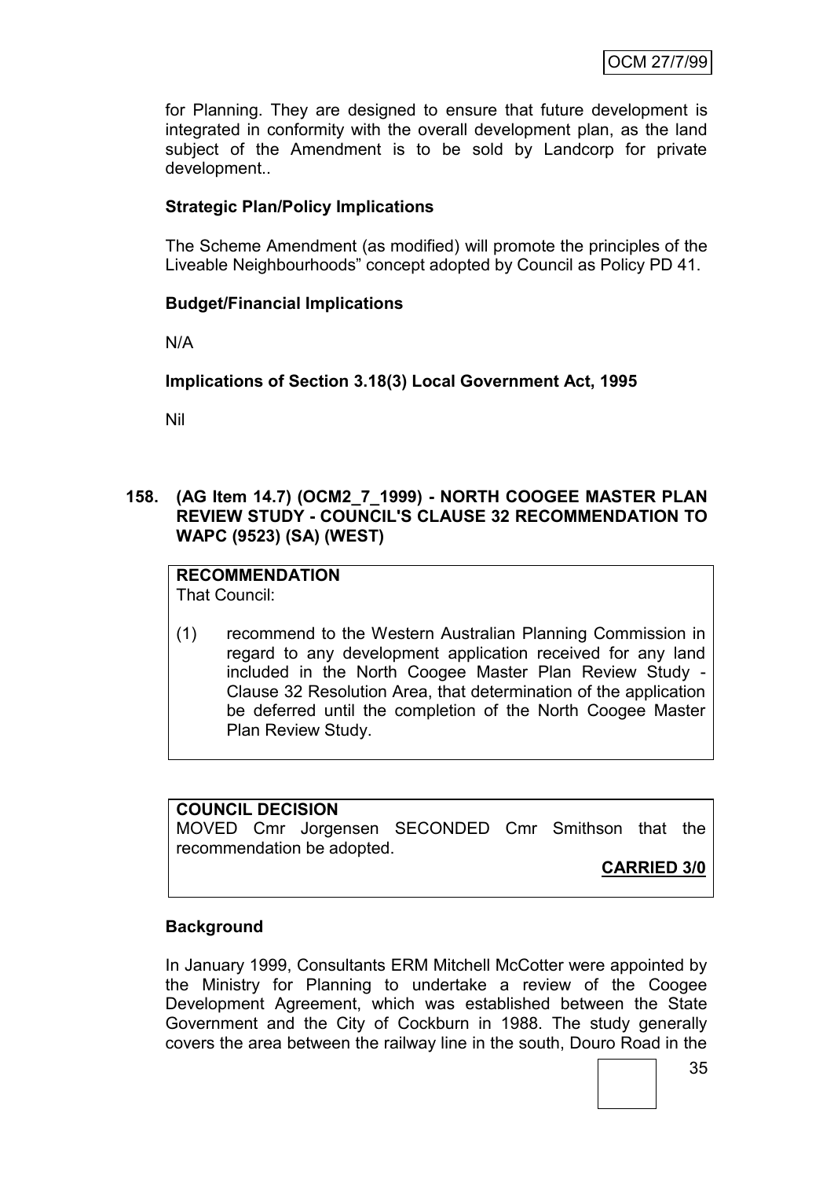for Planning. They are designed to ensure that future development is integrated in conformity with the overall development plan, as the land subject of the Amendment is to be sold by Landcorp for private development..

## **Strategic Plan/Policy Implications**

The Scheme Amendment (as modified) will promote the principles of the Liveable Neighbourhoods" concept adopted by Council as Policy PD 41.

## **Budget/Financial Implications**

N/A

# **Implications of Section 3.18(3) Local Government Act, 1995**

Nil

## **158. (AG Item 14.7) (OCM2\_7\_1999) - NORTH COOGEE MASTER PLAN REVIEW STUDY - COUNCIL'S CLAUSE 32 RECOMMENDATION TO WAPC (9523) (SA) (WEST)**

# **RECOMMENDATION**

That Council:

(1) recommend to the Western Australian Planning Commission in regard to any development application received for any land included in the North Coogee Master Plan Review Study - Clause 32 Resolution Area, that determination of the application be deferred until the completion of the North Coogee Master Plan Review Study.

### **COUNCIL DECISION**

MOVED Cmr Jorgensen SECONDED Cmr Smithson that the recommendation be adopted.

**CARRIED 3/0**

# **Background**

In January 1999, Consultants ERM Mitchell McCotter were appointed by the Ministry for Planning to undertake a review of the Coogee Development Agreement, which was established between the State Government and the City of Cockburn in 1988. The study generally covers the area between the railway line in the south, Douro Road in the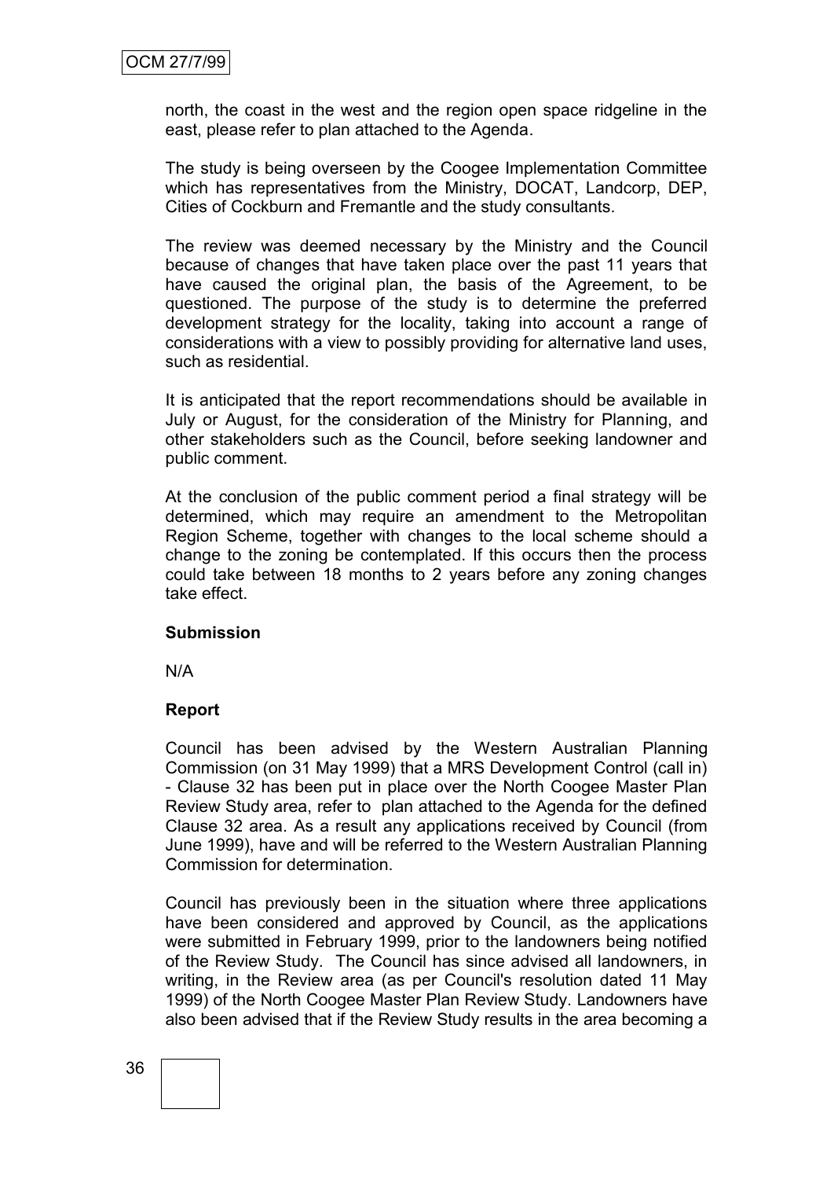north, the coast in the west and the region open space ridgeline in the east, please refer to plan attached to the Agenda.

The study is being overseen by the Coogee Implementation Committee which has representatives from the Ministry, DOCAT, Landcorp, DEP, Cities of Cockburn and Fremantle and the study consultants.

The review was deemed necessary by the Ministry and the Council because of changes that have taken place over the past 11 years that have caused the original plan, the basis of the Agreement, to be questioned. The purpose of the study is to determine the preferred development strategy for the locality, taking into account a range of considerations with a view to possibly providing for alternative land uses, such as residential.

It is anticipated that the report recommendations should be available in July or August, for the consideration of the Ministry for Planning, and other stakeholders such as the Council, before seeking landowner and public comment.

At the conclusion of the public comment period a final strategy will be determined, which may require an amendment to the Metropolitan Region Scheme, together with changes to the local scheme should a change to the zoning be contemplated. If this occurs then the process could take between 18 months to 2 years before any zoning changes take effect.

### **Submission**

N/A

### **Report**

Council has been advised by the Western Australian Planning Commission (on 31 May 1999) that a MRS Development Control (call in) - Clause 32 has been put in place over the North Coogee Master Plan Review Study area, refer to plan attached to the Agenda for the defined Clause 32 area. As a result any applications received by Council (from June 1999), have and will be referred to the Western Australian Planning Commission for determination.

Council has previously been in the situation where three applications have been considered and approved by Council, as the applications were submitted in February 1999, prior to the landowners being notified of the Review Study. The Council has since advised all landowners, in writing, in the Review area (as per Council's resolution dated 11 May 1999) of the North Coogee Master Plan Review Study. Landowners have also been advised that if the Review Study results in the area becoming a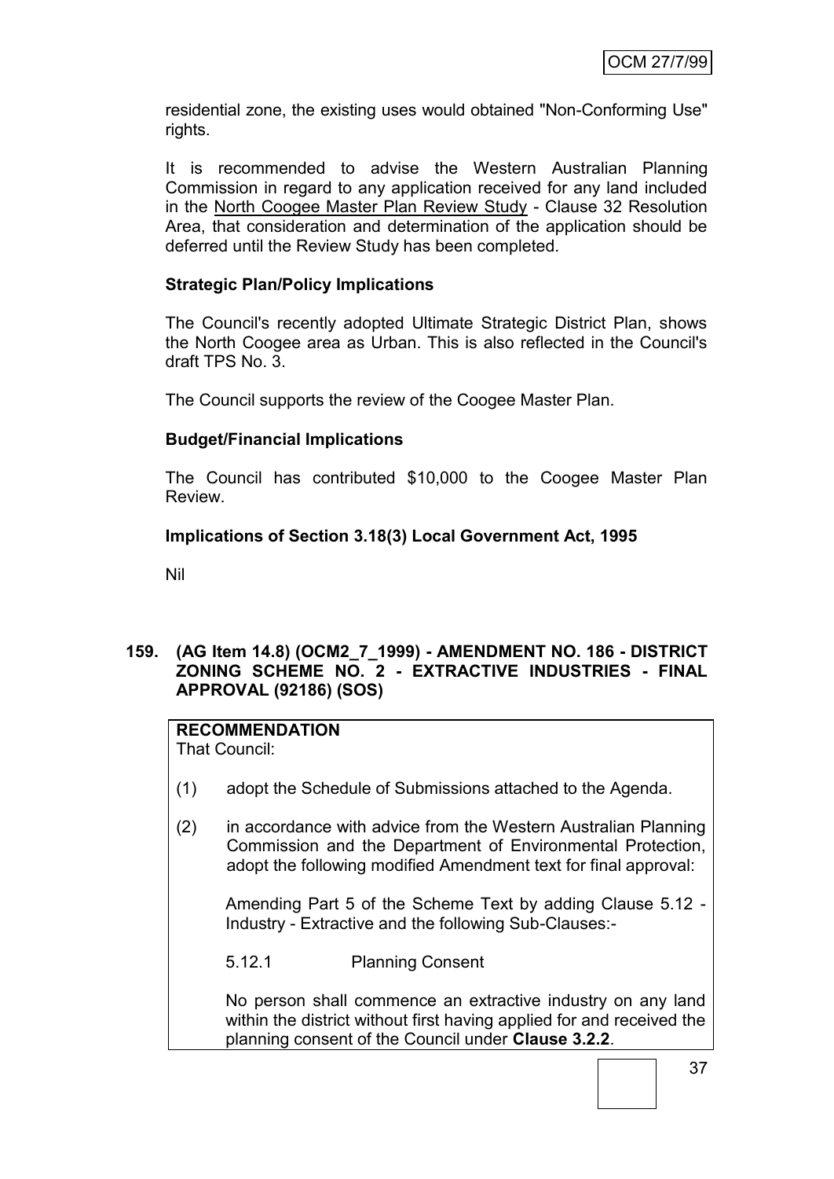residential zone, the existing uses would obtained "Non-Conforming Use" rights.

It is recommended to advise the Western Australian Planning Commission in regard to any application received for any land included in the North Coogee Master Plan Review Study - Clause 32 Resolution Area, that consideration and determination of the application should be deferred until the Review Study has been completed.

## **Strategic Plan/Policy Implications**

The Council's recently adopted Ultimate Strategic District Plan, shows the North Coogee area as Urban. This is also reflected in the Council's draft TPS No. 3.

The Council supports the review of the Coogee Master Plan.

### **Budget/Financial Implications**

The Council has contributed \$10,000 to the Coogee Master Plan Review.

### **Implications of Section 3.18(3) Local Government Act, 1995**

Nil

### **159. (AG Item 14.8) (OCM2\_7\_1999) - AMENDMENT NO. 186 - DISTRICT ZONING SCHEME NO. 2 - EXTRACTIVE INDUSTRIES - FINAL APPROVAL (92186) (SOS)**

### **RECOMMENDATION**

That Council:

- (1) adopt the Schedule of Submissions attached to the Agenda.
- (2) in accordance with advice from the Western Australian Planning Commission and the Department of Environmental Protection, adopt the following modified Amendment text for final approval:

Amending Part 5 of the Scheme Text by adding Clause 5.12 - Industry - Extractive and the following Sub-Clauses:-

5.12.1 Planning Consent

No person shall commence an extractive industry on any land within the district without first having applied for and received the planning consent of the Council under **Clause 3.2.2**.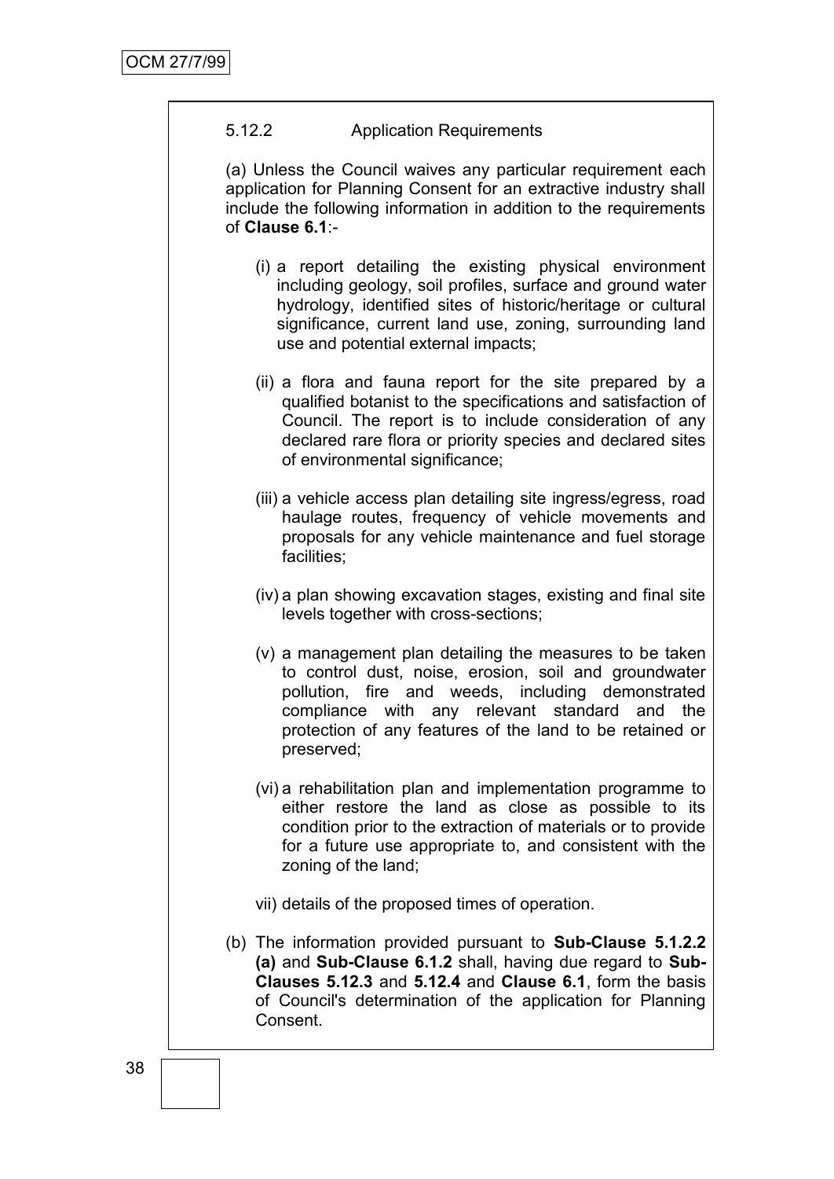## 5.12.2 Application Requirements

(a) Unless the Council waives any particular requirement each application for Planning Consent for an extractive industry shall include the following information in addition to the requirements of **Clause 6.1**:-

- (i) a report detailing the existing physical environment including geology, soil profiles, surface and ground water hydrology, identified sites of historic/heritage or cultural significance, current land use, zoning, surrounding land use and potential external impacts;
- (ii) a flora and fauna report for the site prepared by a qualified botanist to the specifications and satisfaction of Council. The report is to include consideration of any declared rare flora or priority species and declared sites of environmental significance;
- (iii) a vehicle access plan detailing site ingress/egress, road haulage routes, frequency of vehicle movements and proposals for any vehicle maintenance and fuel storage facilities;
- (iv) a plan showing excavation stages, existing and final site levels together with cross-sections;
- (v) a management plan detailing the measures to be taken to control dust, noise, erosion, soil and groundwater pollution, fire and weeds, including demonstrated compliance with any relevant standard and the protection of any features of the land to be retained or preserved;
- (vi) a rehabilitation plan and implementation programme to either restore the land as close as possible to its condition prior to the extraction of materials or to provide for a future use appropriate to, and consistent with the zoning of the land;
- vii) details of the proposed times of operation.
- (b) The information provided pursuant to **Sub-Clause 5.1.2.2 (a)** and **Sub-Clause 6.1.2** shall, having due regard to **Sub-Clauses 5.12.3** and **5.12.4** and **Clause 6.1**, form the basis of Council's determination of the application for Planning Consent.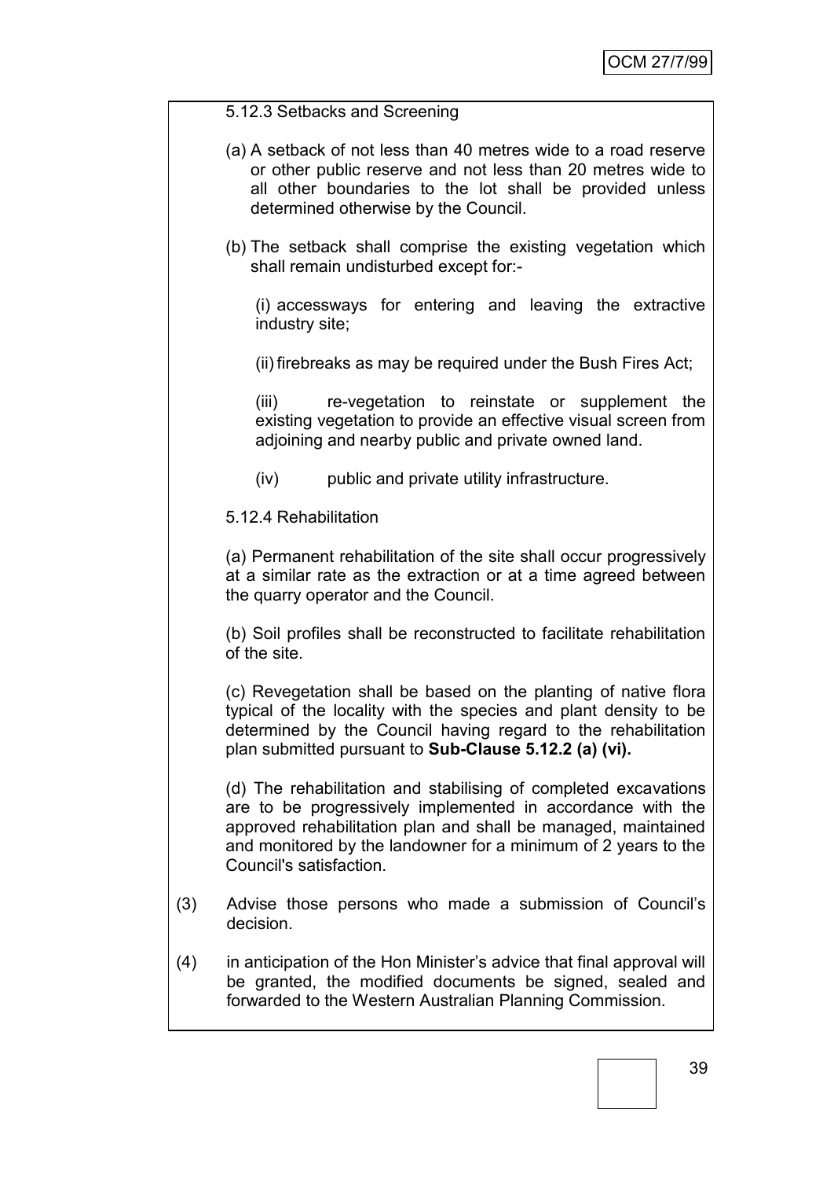### 5.12.3 Setbacks and Screening

- (a) A setback of not less than 40 metres wide to a road reserve or other public reserve and not less than 20 metres wide to all other boundaries to the lot shall be provided unless determined otherwise by the Council.
- (b) The setback shall comprise the existing vegetation which shall remain undisturbed except for:-

(i) accessways for entering and leaving the extractive industry site;

(ii) firebreaks as may be required under the Bush Fires Act;

(iii) re-vegetation to reinstate or supplement the existing vegetation to provide an effective visual screen from adjoining and nearby public and private owned land.

(iv) public and private utility infrastructure.

5.12.4 Rehabilitation

(a) Permanent rehabilitation of the site shall occur progressively at a similar rate as the extraction or at a time agreed between the quarry operator and the Council.

(b) Soil profiles shall be reconstructed to facilitate rehabilitation of the site.

(c) Revegetation shall be based on the planting of native flora typical of the locality with the species and plant density to be determined by the Council having regard to the rehabilitation plan submitted pursuant to **Sub-Clause 5.12.2 (a) (vi).**

(d) The rehabilitation and stabilising of completed excavations are to be progressively implemented in accordance with the approved rehabilitation plan and shall be managed, maintained and monitored by the landowner for a minimum of 2 years to the Council's satisfaction.

- (3) Advise those persons who made a submission of Council's decision.
- (4) in anticipation of the Hon Minister's advice that final approval will be granted, the modified documents be signed, sealed and forwarded to the Western Australian Planning Commission.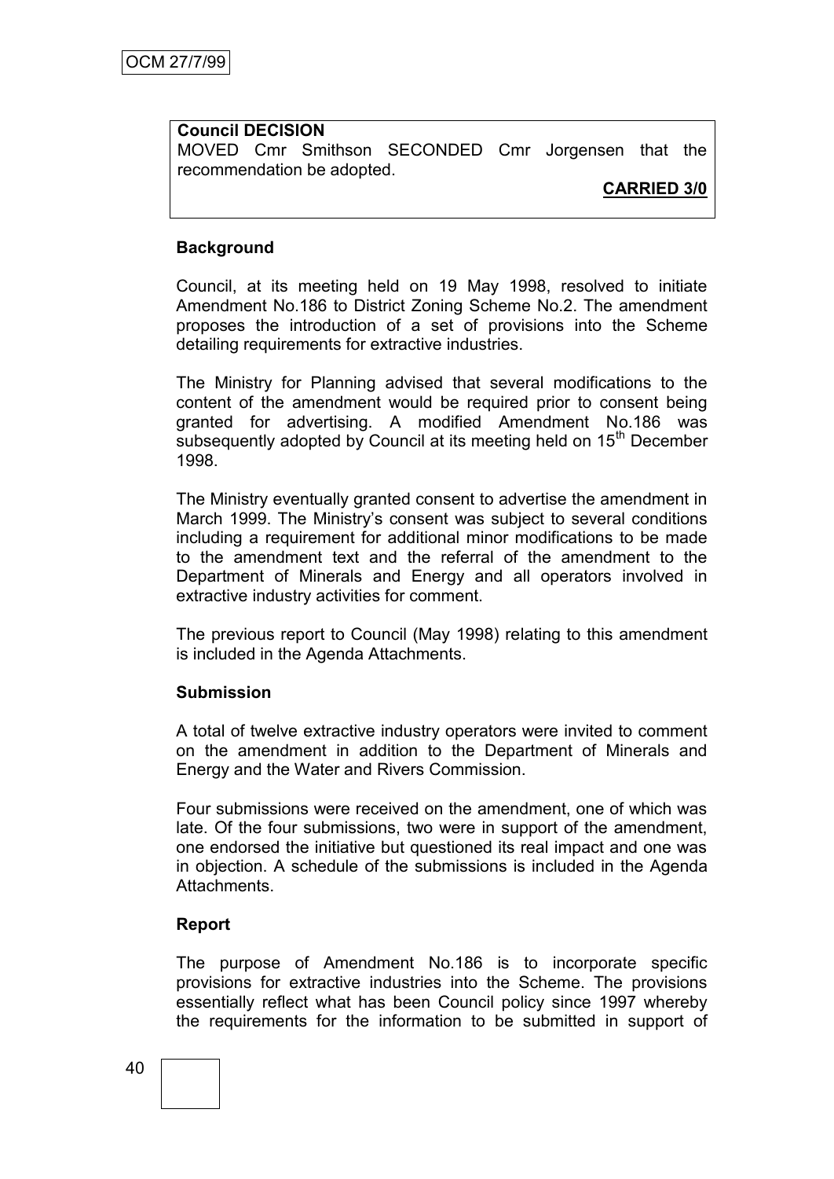#### **Council DECISION**

MOVED Cmr Smithson SECONDED Cmr Jorgensen that the recommendation be adopted.

## **CARRIED 3/0**

#### **Background**

Council, at its meeting held on 19 May 1998, resolved to initiate Amendment No.186 to District Zoning Scheme No.2. The amendment proposes the introduction of a set of provisions into the Scheme detailing requirements for extractive industries.

The Ministry for Planning advised that several modifications to the content of the amendment would be required prior to consent being granted for advertising. A modified Amendment No.186 was subsequently adopted by Council at its meeting held on 15<sup>th</sup> December 1998.

The Ministry eventually granted consent to advertise the amendment in March 1999. The Ministry's consent was subject to several conditions including a requirement for additional minor modifications to be made to the amendment text and the referral of the amendment to the Department of Minerals and Energy and all operators involved in extractive industry activities for comment.

The previous report to Council (May 1998) relating to this amendment is included in the Agenda Attachments.

#### **Submission**

A total of twelve extractive industry operators were invited to comment on the amendment in addition to the Department of Minerals and Energy and the Water and Rivers Commission.

Four submissions were received on the amendment, one of which was late. Of the four submissions, two were in support of the amendment, one endorsed the initiative but questioned its real impact and one was in objection. A schedule of the submissions is included in the Agenda Attachments.

### **Report**

The purpose of Amendment No.186 is to incorporate specific provisions for extractive industries into the Scheme. The provisions essentially reflect what has been Council policy since 1997 whereby the requirements for the information to be submitted in support of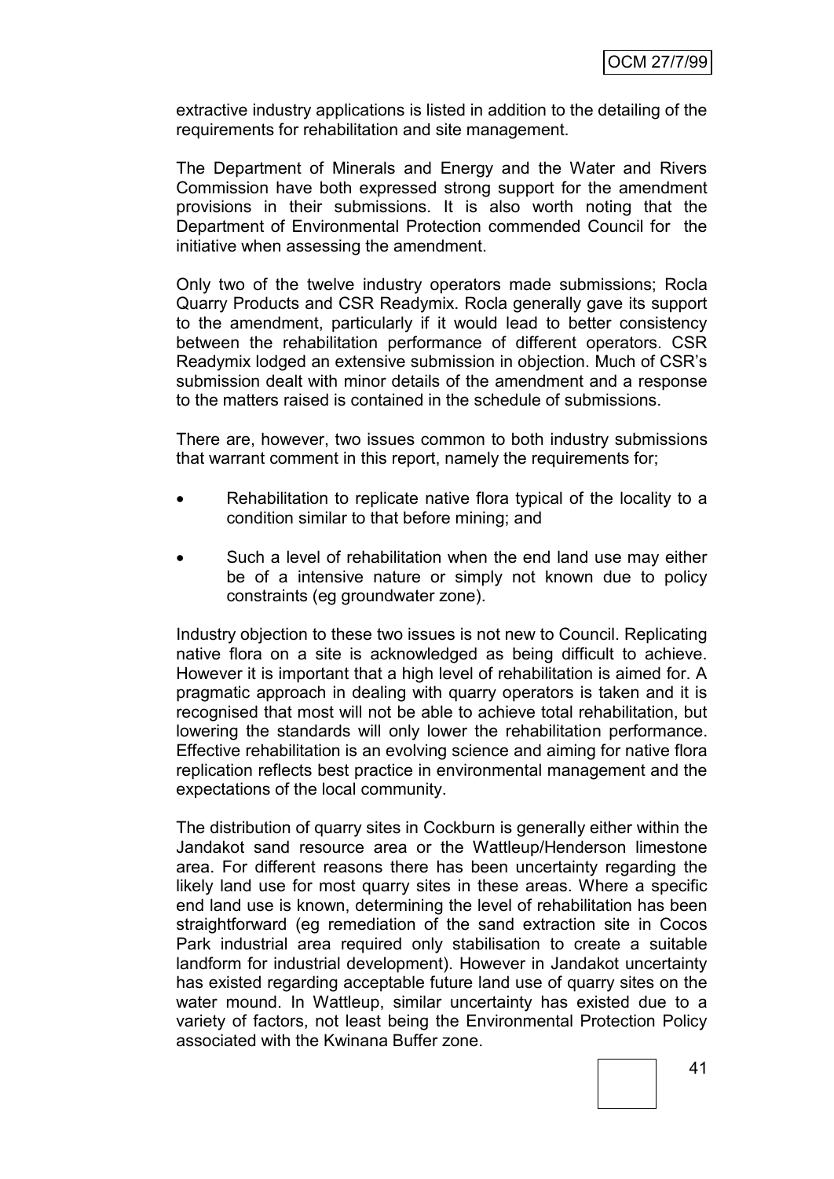extractive industry applications is listed in addition to the detailing of the requirements for rehabilitation and site management.

The Department of Minerals and Energy and the Water and Rivers Commission have both expressed strong support for the amendment provisions in their submissions. It is also worth noting that the Department of Environmental Protection commended Council for the initiative when assessing the amendment.

Only two of the twelve industry operators made submissions; Rocla Quarry Products and CSR Readymix. Rocla generally gave its support to the amendment, particularly if it would lead to better consistency between the rehabilitation performance of different operators. CSR Readymix lodged an extensive submission in objection. Much of CSR's submission dealt with minor details of the amendment and a response to the matters raised is contained in the schedule of submissions.

There are, however, two issues common to both industry submissions that warrant comment in this report, namely the requirements for;

- Rehabilitation to replicate native flora typical of the locality to a condition similar to that before mining; and
- Such a level of rehabilitation when the end land use may either be of a intensive nature or simply not known due to policy constraints (eg groundwater zone).

Industry objection to these two issues is not new to Council. Replicating native flora on a site is acknowledged as being difficult to achieve. However it is important that a high level of rehabilitation is aimed for. A pragmatic approach in dealing with quarry operators is taken and it is recognised that most will not be able to achieve total rehabilitation, but lowering the standards will only lower the rehabilitation performance. Effective rehabilitation is an evolving science and aiming for native flora replication reflects best practice in environmental management and the expectations of the local community.

The distribution of quarry sites in Cockburn is generally either within the Jandakot sand resource area or the Wattleup/Henderson limestone area. For different reasons there has been uncertainty regarding the likely land use for most quarry sites in these areas. Where a specific end land use is known, determining the level of rehabilitation has been straightforward (eg remediation of the sand extraction site in Cocos Park industrial area required only stabilisation to create a suitable landform for industrial development). However in Jandakot uncertainty has existed regarding acceptable future land use of quarry sites on the water mound. In Wattleup, similar uncertainty has existed due to a variety of factors, not least being the Environmental Protection Policy associated with the Kwinana Buffer zone.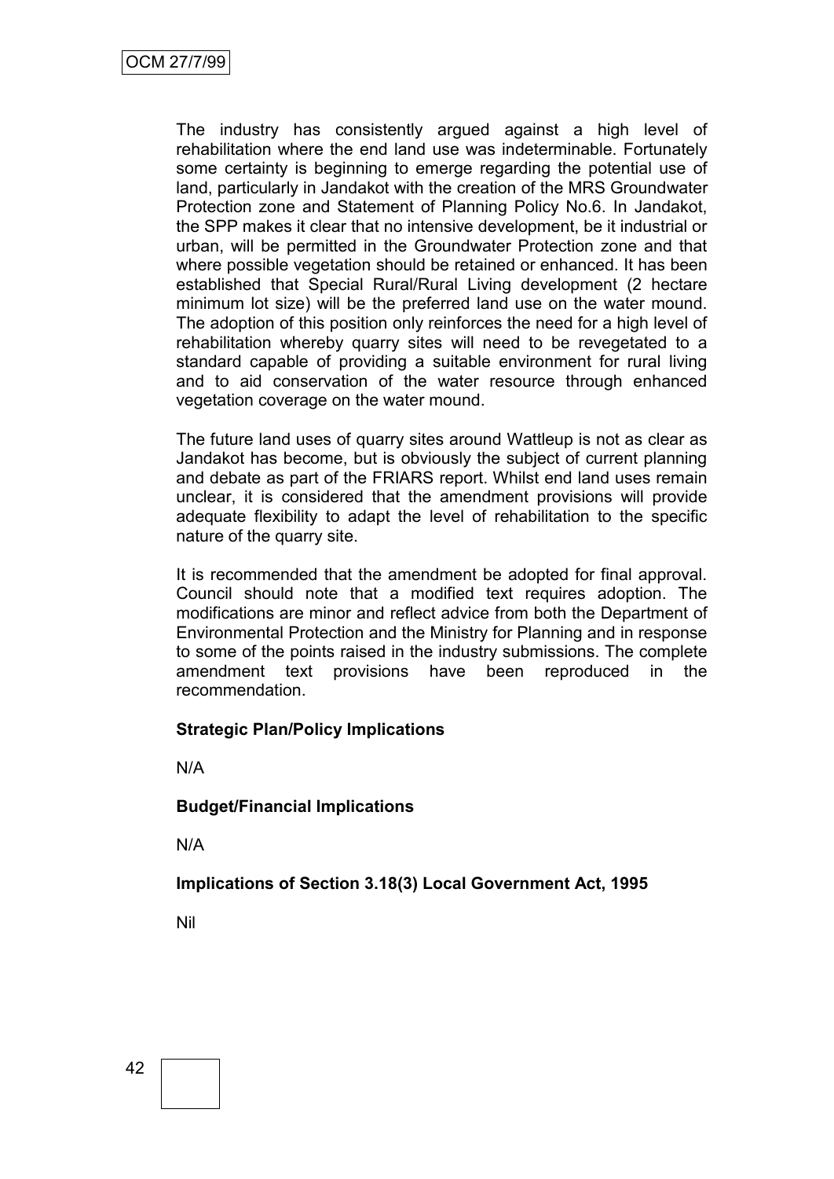The industry has consistently argued against a high level of rehabilitation where the end land use was indeterminable. Fortunately some certainty is beginning to emerge regarding the potential use of land, particularly in Jandakot with the creation of the MRS Groundwater Protection zone and Statement of Planning Policy No.6. In Jandakot, the SPP makes it clear that no intensive development, be it industrial or urban, will be permitted in the Groundwater Protection zone and that where possible vegetation should be retained or enhanced. It has been established that Special Rural/Rural Living development (2 hectare minimum lot size) will be the preferred land use on the water mound. The adoption of this position only reinforces the need for a high level of rehabilitation whereby quarry sites will need to be revegetated to a standard capable of providing a suitable environment for rural living and to aid conservation of the water resource through enhanced vegetation coverage on the water mound.

The future land uses of quarry sites around Wattleup is not as clear as Jandakot has become, but is obviously the subject of current planning and debate as part of the FRIARS report. Whilst end land uses remain unclear, it is considered that the amendment provisions will provide adequate flexibility to adapt the level of rehabilitation to the specific nature of the quarry site.

It is recommended that the amendment be adopted for final approval. Council should note that a modified text requires adoption. The modifications are minor and reflect advice from both the Department of Environmental Protection and the Ministry for Planning and in response to some of the points raised in the industry submissions. The complete amendment text provisions have been reproduced in the recommendation.

### **Strategic Plan/Policy Implications**

N/A

### **Budget/Financial Implications**

N/A

# **Implications of Section 3.18(3) Local Government Act, 1995**

Nil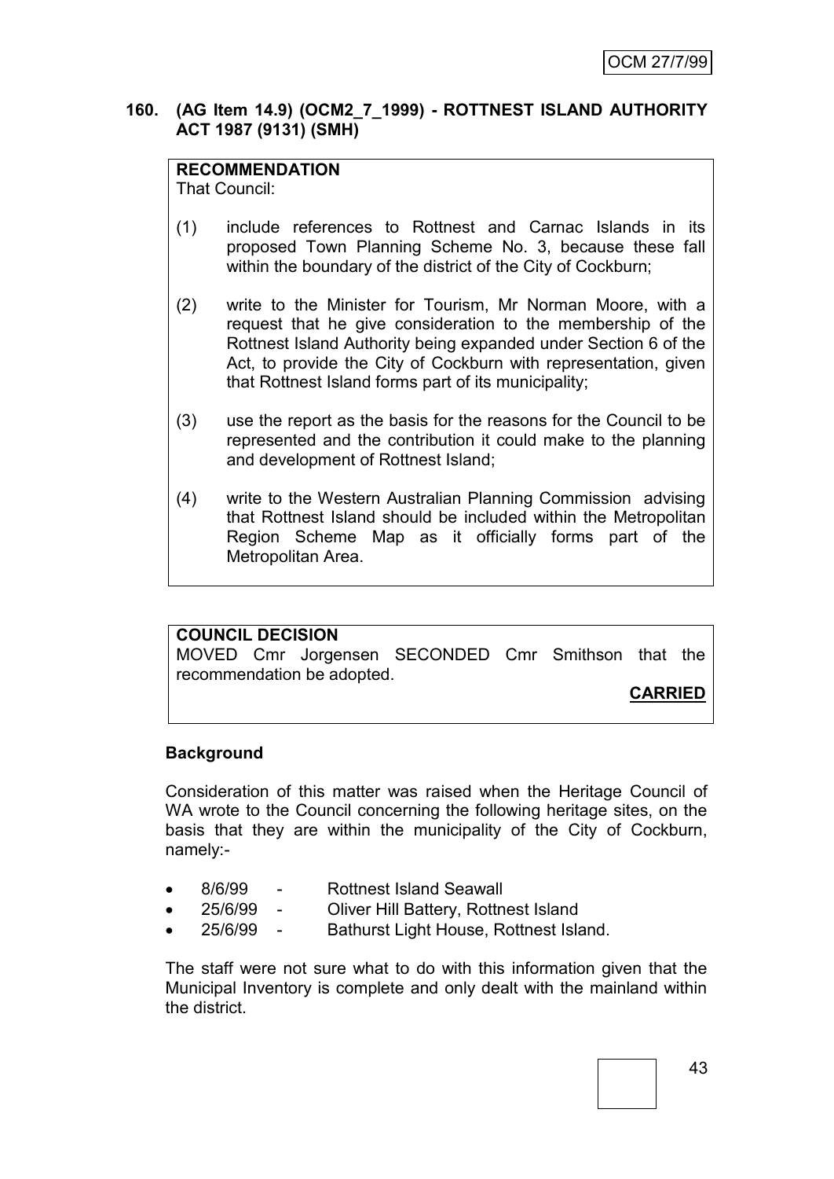#### **160. (AG Item 14.9) (OCM2\_7\_1999) - ROTTNEST ISLAND AUTHORITY ACT 1987 (9131) (SMH)**

## **RECOMMENDATION**

That Council:

- (1) include references to Rottnest and Carnac Islands in its proposed Town Planning Scheme No. 3, because these fall within the boundary of the district of the City of Cockburn;
- (2) write to the Minister for Tourism, Mr Norman Moore, with a request that he give consideration to the membership of the Rottnest Island Authority being expanded under Section 6 of the Act, to provide the City of Cockburn with representation, given that Rottnest Island forms part of its municipality;
- (3) use the report as the basis for the reasons for the Council to be represented and the contribution it could make to the planning and development of Rottnest Island;
- (4) write to the Western Australian Planning Commission advising that Rottnest Island should be included within the Metropolitan Region Scheme Map as it officially forms part of the Metropolitan Area.

# **COUNCIL DECISION**

MOVED Cmr Jorgensen SECONDED Cmr Smithson that the recommendation be adopted.

**CARRIED**

### **Background**

Consideration of this matter was raised when the Heritage Council of WA wrote to the Council concerning the following heritage sites, on the basis that they are within the municipality of the City of Cockburn, namely:-

- 8/6/99 Rottnest Island Seawall
- 25/6/99 Oliver Hill Battery, Rottnest Island
- 25/6/99 Bathurst Light House, Rottnest Island.

The staff were not sure what to do with this information given that the Municipal Inventory is complete and only dealt with the mainland within the district.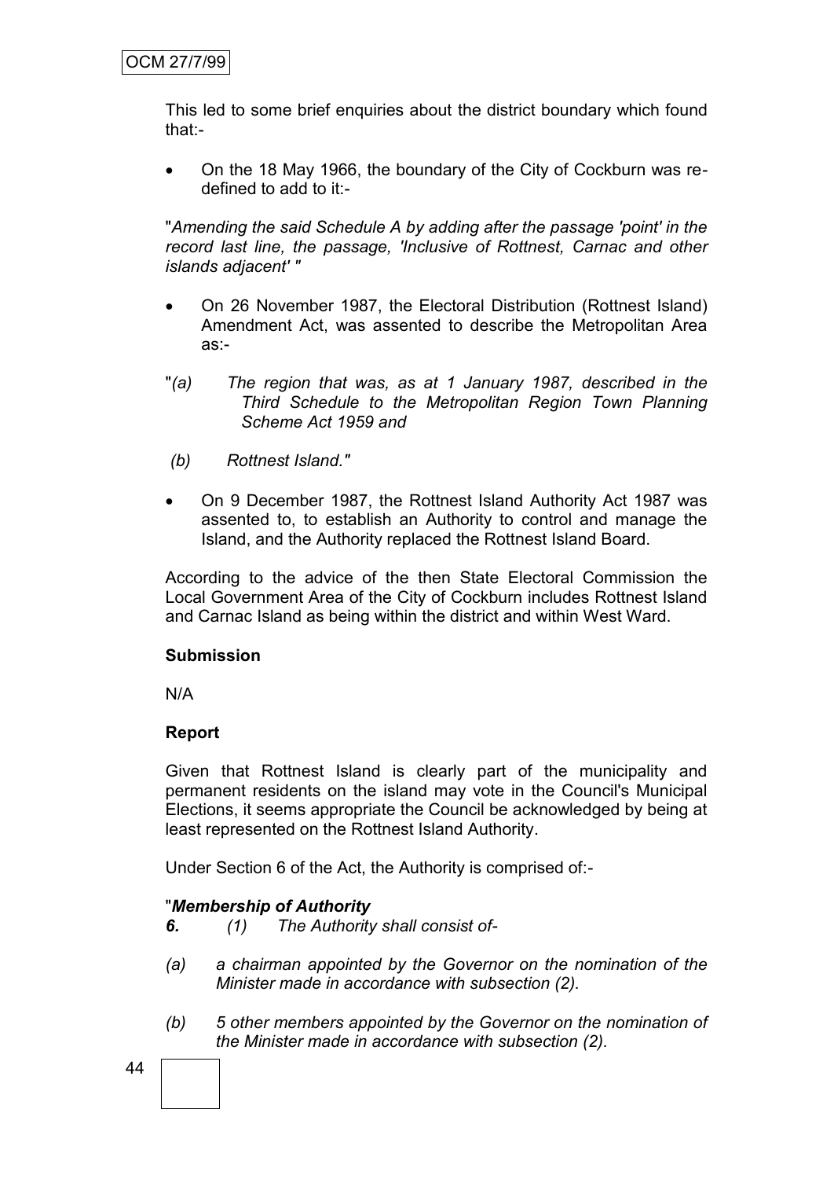This led to some brief enquiries about the district boundary which found that:-

 On the 18 May 1966, the boundary of the City of Cockburn was redefined to add to it:-

"*Amending the said Schedule A by adding after the passage 'point' in the record last line, the passage, 'Inclusive of Rottnest, Carnac and other islands adjacent' "*

- On 26 November 1987, the Electoral Distribution (Rottnest Island) Amendment Act, was assented to describe the Metropolitan Area as:-
- "*(a) The region that was, as at 1 January 1987, described in the Third Schedule to the Metropolitan Region Town Planning Scheme Act 1959 and*
- *(b) Rottnest Island."*
- On 9 December 1987, the Rottnest Island Authority Act 1987 was assented to, to establish an Authority to control and manage the Island, and the Authority replaced the Rottnest Island Board.

According to the advice of the then State Electoral Commission the Local Government Area of the City of Cockburn includes Rottnest Island and Carnac Island as being within the district and within West Ward.

### **Submission**

N/A

# **Report**

Given that Rottnest Island is clearly part of the municipality and permanent residents on the island may vote in the Council's Municipal Elections, it seems appropriate the Council be acknowledged by being at least represented on the Rottnest Island Authority.

Under Section 6 of the Act, the Authority is comprised of:-

### "*Membership of Authority*

- *6. (1) The Authority shall consist of-*
- *(a) a chairman appointed by the Governor on the nomination of the Minister made in accordance with subsection (2).*
- *(b) 5 other members appointed by the Governor on the nomination of the Minister made in accordance with subsection (2).*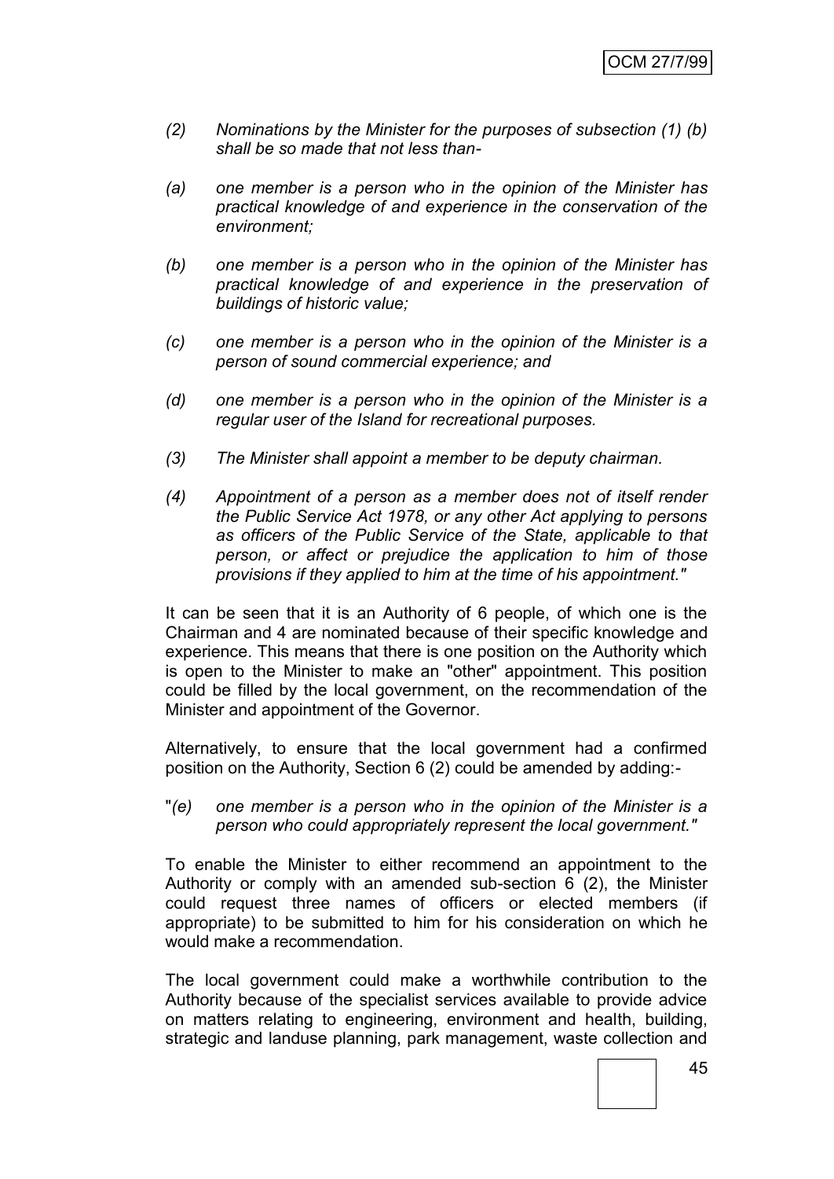- *(2) Nominations by the Minister for the purposes of subsection (1) (b) shall be so made that not less than-*
- *(a) one member is a person who in the opinion of the Minister has practical knowledge of and experience in the conservation of the environment;*
- *(b) one member is a person who in the opinion of the Minister has practical knowledge of and experience in the preservation of buildings of historic value;*
- *(c) one member is a person who in the opinion of the Minister is a person of sound commercial experience; and*
- *(d) one member is a person who in the opinion of the Minister is a regular user of the Island for recreational purposes.*
- *(3) The Minister shall appoint a member to be deputy chairman.*
- *(4) Appointment of a person as a member does not of itself render the Public Service Act 1978, or any other Act applying to persons as officers of the Public Service of the State, applicable to that person, or affect or prejudice the application to him of those provisions if they applied to him at the time of his appointment."*

It can be seen that it is an Authority of 6 people, of which one is the Chairman and 4 are nominated because of their specific knowledge and experience. This means that there is one position on the Authority which is open to the Minister to make an "other" appointment. This position could be filled by the local government, on the recommendation of the Minister and appointment of the Governor.

Alternatively, to ensure that the local government had a confirmed position on the Authority, Section 6 (2) could be amended by adding:-

"*(e) one member is a person who in the opinion of the Minister is a person who could appropriately represent the local government."*

To enable the Minister to either recommend an appointment to the Authority or comply with an amended sub-section 6 (2), the Minister could request three names of officers or elected members (if appropriate) to be submitted to him for his consideration on which he would make a recommendation.

The local government could make a worthwhile contribution to the Authority because of the specialist services available to provide advice on matters relating to engineering, environment and health, building, strategic and landuse planning, park management, waste collection and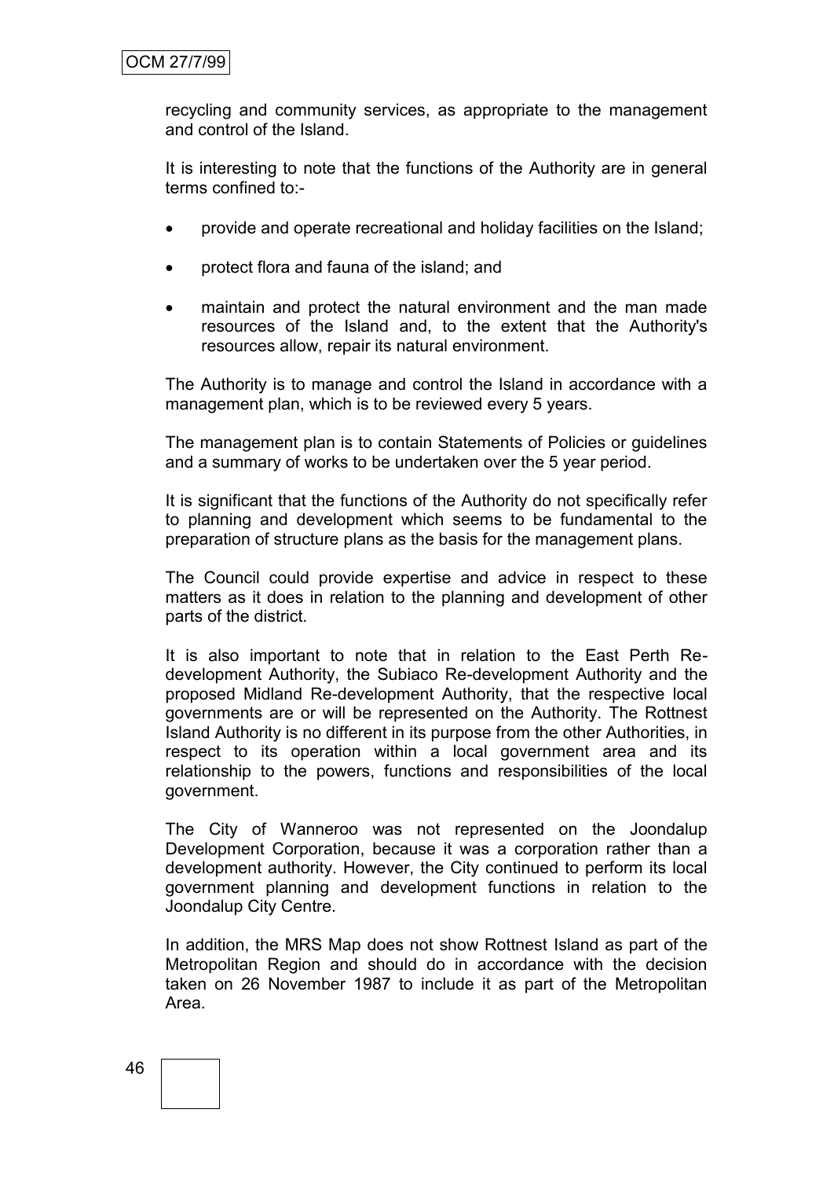recycling and community services, as appropriate to the management and control of the Island.

It is interesting to note that the functions of the Authority are in general terms confined to:-

- provide and operate recreational and holiday facilities on the Island;
- protect flora and fauna of the island; and
- maintain and protect the natural environment and the man made resources of the Island and, to the extent that the Authority's resources allow, repair its natural environment.

The Authority is to manage and control the Island in accordance with a management plan, which is to be reviewed every 5 years.

The management plan is to contain Statements of Policies or guidelines and a summary of works to be undertaken over the 5 year period.

It is significant that the functions of the Authority do not specifically refer to planning and development which seems to be fundamental to the preparation of structure plans as the basis for the management plans.

The Council could provide expertise and advice in respect to these matters as it does in relation to the planning and development of other parts of the district.

It is also important to note that in relation to the East Perth Redevelopment Authority, the Subiaco Re-development Authority and the proposed Midland Re-development Authority, that the respective local governments are or will be represented on the Authority. The Rottnest Island Authority is no different in its purpose from the other Authorities, in respect to its operation within a local government area and its relationship to the powers, functions and responsibilities of the local government.

The City of Wanneroo was not represented on the Joondalup Development Corporation, because it was a corporation rather than a development authority. However, the City continued to perform its local government planning and development functions in relation to the Joondalup City Centre.

In addition, the MRS Map does not show Rottnest Island as part of the Metropolitan Region and should do in accordance with the decision taken on 26 November 1987 to include it as part of the Metropolitan Area.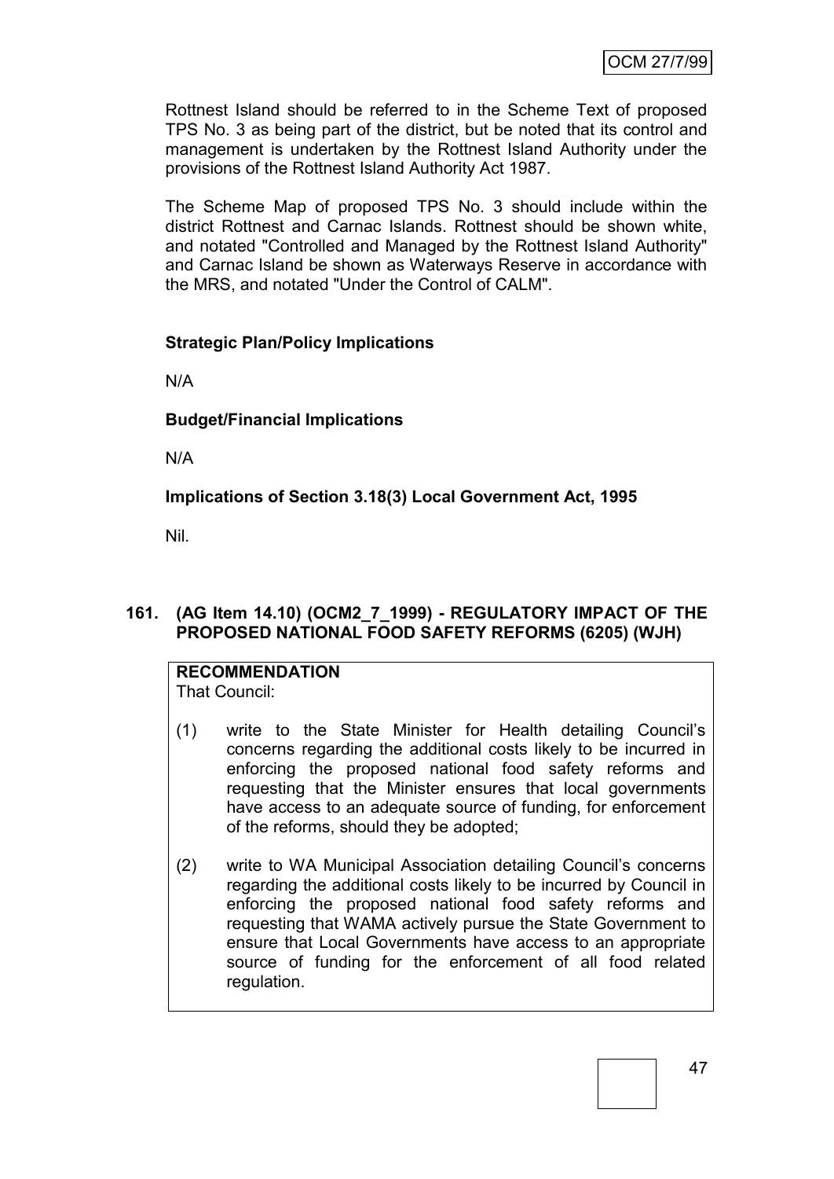Rottnest Island should be referred to in the Scheme Text of proposed TPS No. 3 as being part of the district, but be noted that its control and management is undertaken by the Rottnest Island Authority under the provisions of the Rottnest Island Authority Act 1987.

The Scheme Map of proposed TPS No. 3 should include within the district Rottnest and Carnac Islands. Rottnest should be shown white, and notated "Controlled and Managed by the Rottnest Island Authority" and Carnac Island be shown as Waterways Reserve in accordance with the MRS, and notated "Under the Control of CALM".

### **Strategic Plan/Policy Implications**

N/A

### **Budget/Financial Implications**

N/A

**Implications of Section 3.18(3) Local Government Act, 1995**

Nil.

### **161. (AG Item 14.10) (OCM2\_7\_1999) - REGULATORY IMPACT OF THE PROPOSED NATIONAL FOOD SAFETY REFORMS (6205) (WJH)**

#### **RECOMMENDATION** That Council:

- (1) write to the State Minister for Health detailing Council's concerns regarding the additional costs likely to be incurred in enforcing the proposed national food safety reforms and requesting that the Minister ensures that local governments have access to an adequate source of funding, for enforcement of the reforms, should they be adopted;
- (2) write to WA Municipal Association detailing Council's concerns regarding the additional costs likely to be incurred by Council in enforcing the proposed national food safety reforms and requesting that WAMA actively pursue the State Government to ensure that Local Governments have access to an appropriate source of funding for the enforcement of all food related regulation.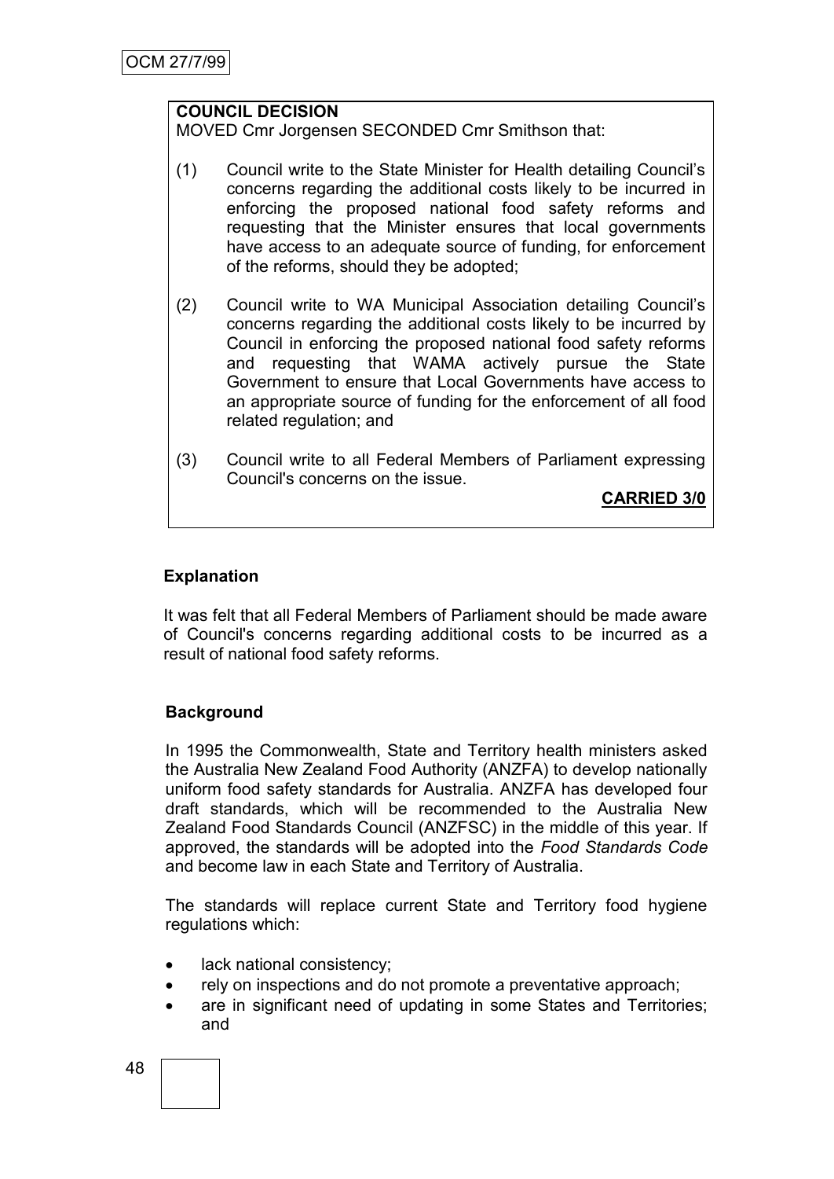## **COUNCIL DECISION**

MOVED Cmr Jorgensen SECONDED Cmr Smithson that:

- (1) Council write to the State Minister for Health detailing Council's concerns regarding the additional costs likely to be incurred in enforcing the proposed national food safety reforms and requesting that the Minister ensures that local governments have access to an adequate source of funding, for enforcement of the reforms, should they be adopted;
- (2) Council write to WA Municipal Association detailing Council's concerns regarding the additional costs likely to be incurred by Council in enforcing the proposed national food safety reforms and requesting that WAMA actively pursue the State Government to ensure that Local Governments have access to an appropriate source of funding for the enforcement of all food related regulation; and
- (3) Council write to all Federal Members of Parliament expressing Council's concerns on the issue.

**CARRIED 3/0**

#### **Explanation**

It was felt that all Federal Members of Parliament should be made aware of Council's concerns regarding additional costs to be incurred as a result of national food safety reforms.

### **Background**

In 1995 the Commonwealth, State and Territory health ministers asked the Australia New Zealand Food Authority (ANZFA) to develop nationally uniform food safety standards for Australia. ANZFA has developed four draft standards, which will be recommended to the Australia New Zealand Food Standards Council (ANZFSC) in the middle of this year. If approved, the standards will be adopted into the *Food Standards Code*  and become law in each State and Territory of Australia.

The standards will replace current State and Territory food hygiene regulations which:

- lack national consistency;
- rely on inspections and do not promote a preventative approach;
- are in significant need of updating in some States and Territories; and

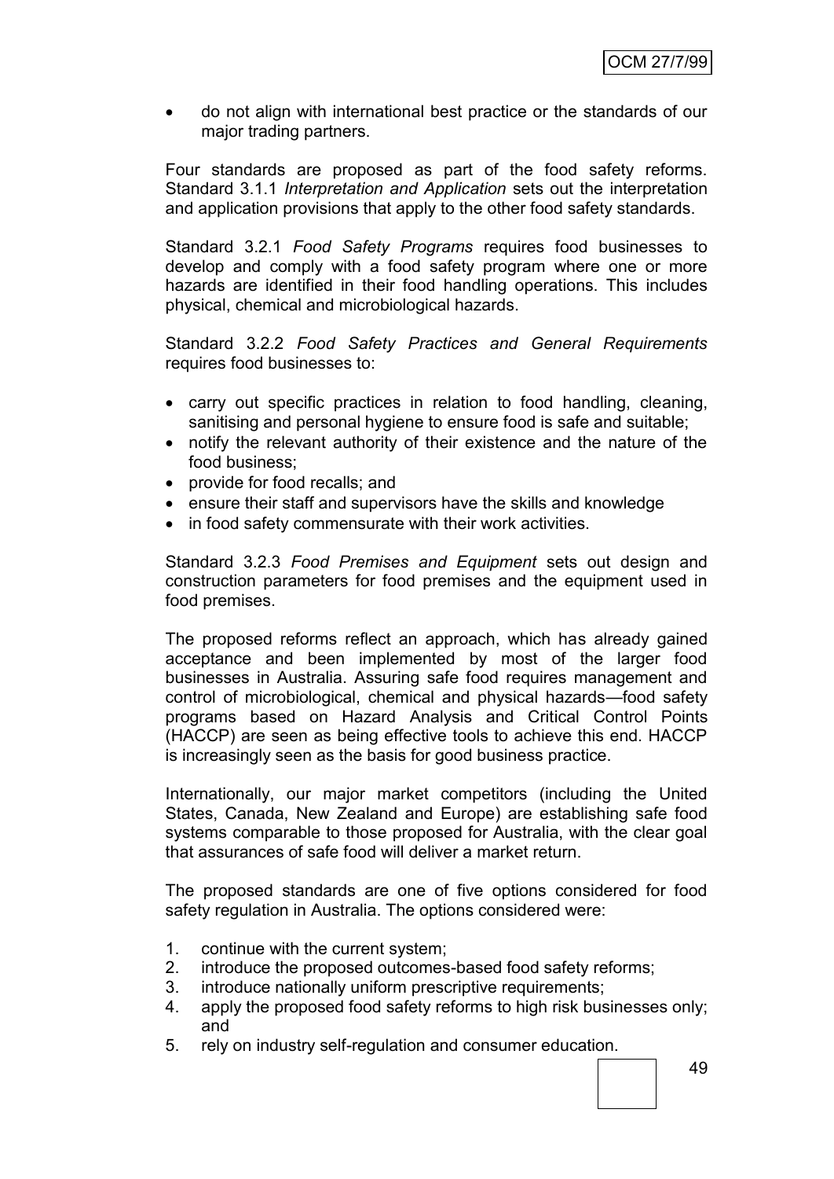do not align with international best practice or the standards of our major trading partners.

Four standards are proposed as part of the food safety reforms. Standard 3.1.1 *Interpretation and Application* sets out the interpretation and application provisions that apply to the other food safety standards.

Standard 3.2.1 *Food Safety Programs* requires food businesses to develop and comply with a food safety program where one or more hazards are identified in their food handling operations. This includes physical, chemical and microbiological hazards.

Standard 3.2.2 *Food Safety Practices and General Requirements* requires food businesses to:

- carry out specific practices in relation to food handling, cleaning, sanitising and personal hygiene to ensure food is safe and suitable;
- notify the relevant authority of their existence and the nature of the food business;
- provide for food recalls; and
- ensure their staff and supervisors have the skills and knowledge
- in food safety commensurate with their work activities.

Standard 3.2.3 *Food Premises and Equipment* sets out design and construction parameters for food premises and the equipment used in food premises.

The proposed reforms reflect an approach, which has already gained acceptance and been implemented by most of the larger food businesses in Australia. Assuring safe food requires management and control of microbiological, chemical and physical hazards—food safety programs based on Hazard Analysis and Critical Control Points (HACCP) are seen as being effective tools to achieve this end. HACCP is increasingly seen as the basis for good business practice.

Internationally, our major market competitors (including the United States, Canada, New Zealand and Europe) are establishing safe food systems comparable to those proposed for Australia, with the clear goal that assurances of safe food will deliver a market return.

The proposed standards are one of five options considered for food safety regulation in Australia. The options considered were:

- 1. continue with the current system;
- 2. introduce the proposed outcomes-based food safety reforms;
- 3. introduce nationally uniform prescriptive requirements;
- 4. apply the proposed food safety reforms to high risk businesses only; and
- 5. rely on industry self-regulation and consumer education.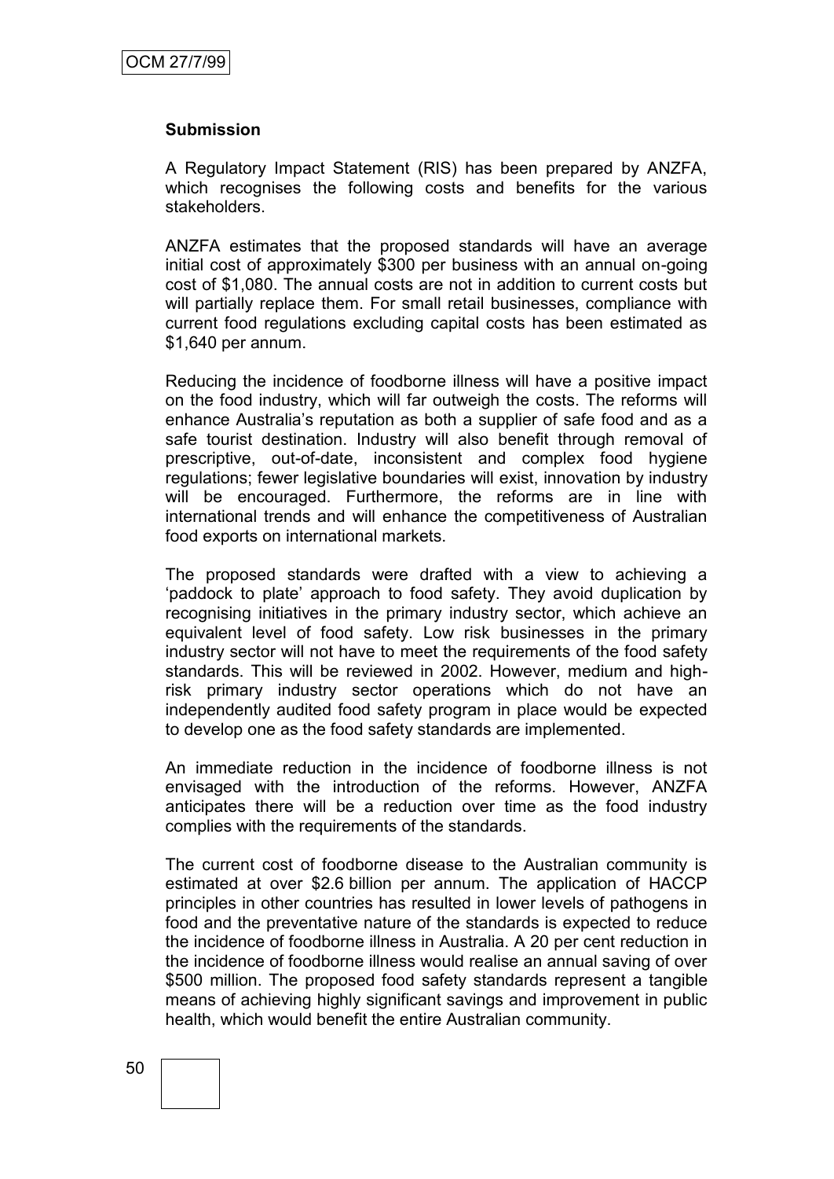#### **Submission**

A Regulatory Impact Statement (RIS) has been prepared by ANZFA, which recognises the following costs and benefits for the various stakeholders.

ANZFA estimates that the proposed standards will have an average initial cost of approximately \$300 per business with an annual on-going cost of \$1,080. The annual costs are not in addition to current costs but will partially replace them. For small retail businesses, compliance with current food regulations excluding capital costs has been estimated as \$1,640 per annum.

Reducing the incidence of foodborne illness will have a positive impact on the food industry, which will far outweigh the costs. The reforms will enhance Australia's reputation as both a supplier of safe food and as a safe tourist destination. Industry will also benefit through removal of prescriptive, out-of-date, inconsistent and complex food hygiene regulations; fewer legislative boundaries will exist, innovation by industry will be encouraged. Furthermore, the reforms are in line with international trends and will enhance the competitiveness of Australian food exports on international markets.

The proposed standards were drafted with a view to achieving a ‗paddock to plate' approach to food safety. They avoid duplication by recognising initiatives in the primary industry sector, which achieve an equivalent level of food safety. Low risk businesses in the primary industry sector will not have to meet the requirements of the food safety standards. This will be reviewed in 2002. However, medium and highrisk primary industry sector operations which do not have an independently audited food safety program in place would be expected to develop one as the food safety standards are implemented.

An immediate reduction in the incidence of foodborne illness is not envisaged with the introduction of the reforms. However, ANZFA anticipates there will be a reduction over time as the food industry complies with the requirements of the standards.

The current cost of foodborne disease to the Australian community is estimated at over \$2.6 billion per annum. The application of HACCP principles in other countries has resulted in lower levels of pathogens in food and the preventative nature of the standards is expected to reduce the incidence of foodborne illness in Australia. A 20 per cent reduction in the incidence of foodborne illness would realise an annual saving of over \$500 million. The proposed food safety standards represent a tangible means of achieving highly significant savings and improvement in public health, which would benefit the entire Australian community.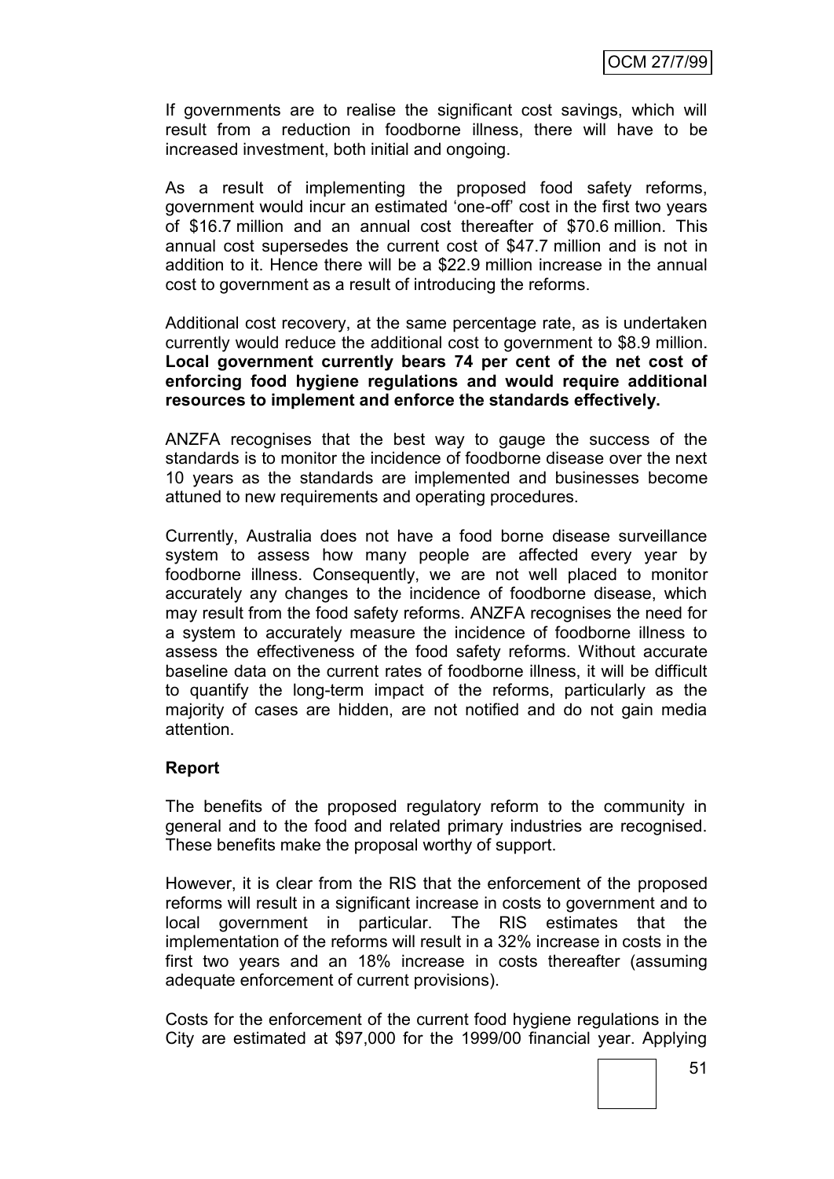If governments are to realise the significant cost savings, which will result from a reduction in foodborne illness, there will have to be increased investment, both initial and ongoing.

As a result of implementing the proposed food safety reforms, government would incur an estimated 'one-off' cost in the first two years of \$16.7 million and an annual cost thereafter of \$70.6 million. This annual cost supersedes the current cost of \$47.7 million and is not in addition to it. Hence there will be a \$22.9 million increase in the annual cost to government as a result of introducing the reforms.

Additional cost recovery, at the same percentage rate, as is undertaken currently would reduce the additional cost to government to \$8.9 million. **Local government currently bears 74 per cent of the net cost of enforcing food hygiene regulations and would require additional resources to implement and enforce the standards effectively.**

ANZFA recognises that the best way to gauge the success of the standards is to monitor the incidence of foodborne disease over the next 10 years as the standards are implemented and businesses become attuned to new requirements and operating procedures.

Currently, Australia does not have a food borne disease surveillance system to assess how many people are affected every year by foodborne illness. Consequently, we are not well placed to monitor accurately any changes to the incidence of foodborne disease, which may result from the food safety reforms. ANZFA recognises the need for a system to accurately measure the incidence of foodborne illness to assess the effectiveness of the food safety reforms. Without accurate baseline data on the current rates of foodborne illness, it will be difficult to quantify the long-term impact of the reforms, particularly as the majority of cases are hidden, are not notified and do not gain media attention.

### **Report**

The benefits of the proposed regulatory reform to the community in general and to the food and related primary industries are recognised. These benefits make the proposal worthy of support.

However, it is clear from the RIS that the enforcement of the proposed reforms will result in a significant increase in costs to government and to local government in particular. The RIS estimates that the implementation of the reforms will result in a 32% increase in costs in the first two years and an 18% increase in costs thereafter (assuming adequate enforcement of current provisions).

Costs for the enforcement of the current food hygiene regulations in the City are estimated at \$97,000 for the 1999/00 financial year. Applying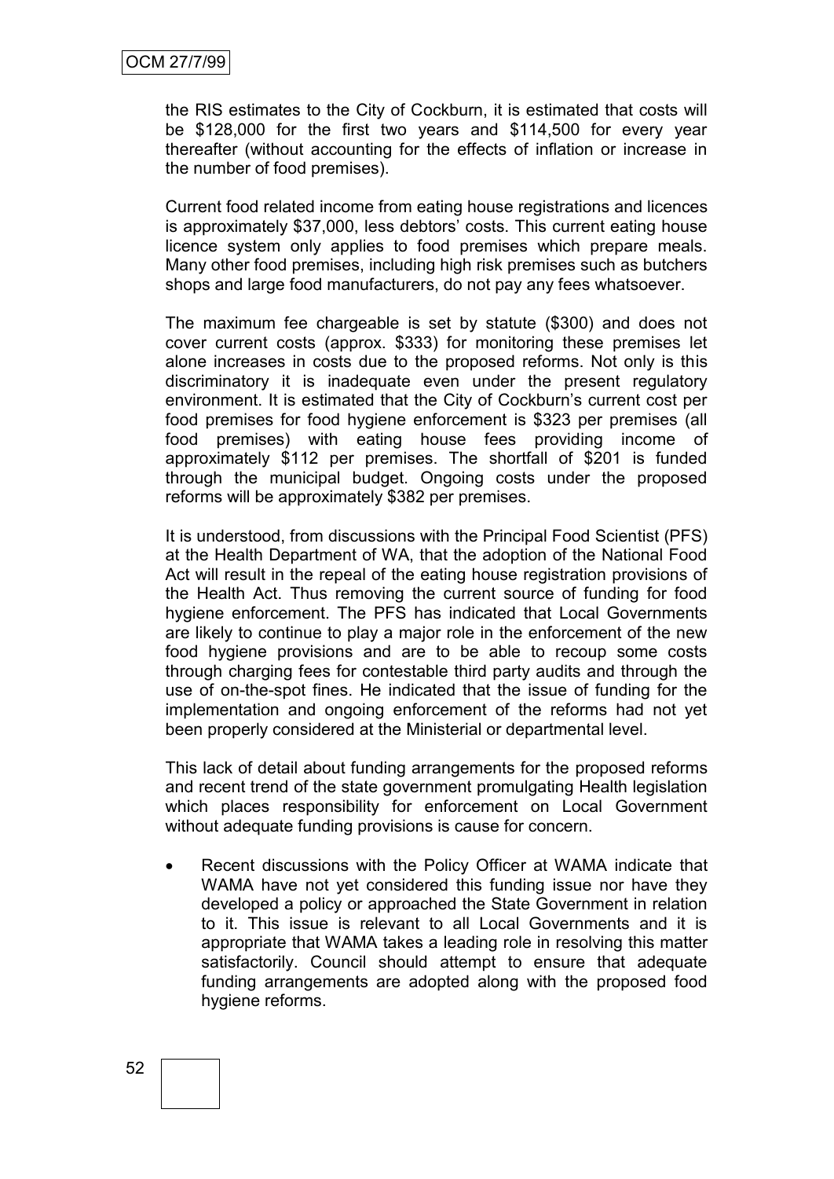the RIS estimates to the City of Cockburn, it is estimated that costs will be \$128,000 for the first two years and \$114,500 for every year thereafter (without accounting for the effects of inflation or increase in the number of food premises).

Current food related income from eating house registrations and licences is approximately \$37,000, less debtors' costs. This current eating house licence system only applies to food premises which prepare meals. Many other food premises, including high risk premises such as butchers shops and large food manufacturers, do not pay any fees whatsoever.

The maximum fee chargeable is set by statute (\$300) and does not cover current costs (approx. \$333) for monitoring these premises let alone increases in costs due to the proposed reforms. Not only is this discriminatory it is inadequate even under the present regulatory environment. It is estimated that the City of Cockburn's current cost per food premises for food hygiene enforcement is \$323 per premises (all food premises) with eating house fees providing income of approximately \$112 per premises. The shortfall of \$201 is funded through the municipal budget. Ongoing costs under the proposed reforms will be approximately \$382 per premises.

It is understood, from discussions with the Principal Food Scientist (PFS) at the Health Department of WA, that the adoption of the National Food Act will result in the repeal of the eating house registration provisions of the Health Act. Thus removing the current source of funding for food hygiene enforcement. The PFS has indicated that Local Governments are likely to continue to play a major role in the enforcement of the new food hygiene provisions and are to be able to recoup some costs through charging fees for contestable third party audits and through the use of on-the-spot fines. He indicated that the issue of funding for the implementation and ongoing enforcement of the reforms had not yet been properly considered at the Ministerial or departmental level.

This lack of detail about funding arrangements for the proposed reforms and recent trend of the state government promulgating Health legislation which places responsibility for enforcement on Local Government without adequate funding provisions is cause for concern.

 Recent discussions with the Policy Officer at WAMA indicate that WAMA have not yet considered this funding issue nor have they developed a policy or approached the State Government in relation to it. This issue is relevant to all Local Governments and it is appropriate that WAMA takes a leading role in resolving this matter satisfactorily. Council should attempt to ensure that adequate funding arrangements are adopted along with the proposed food hygiene reforms.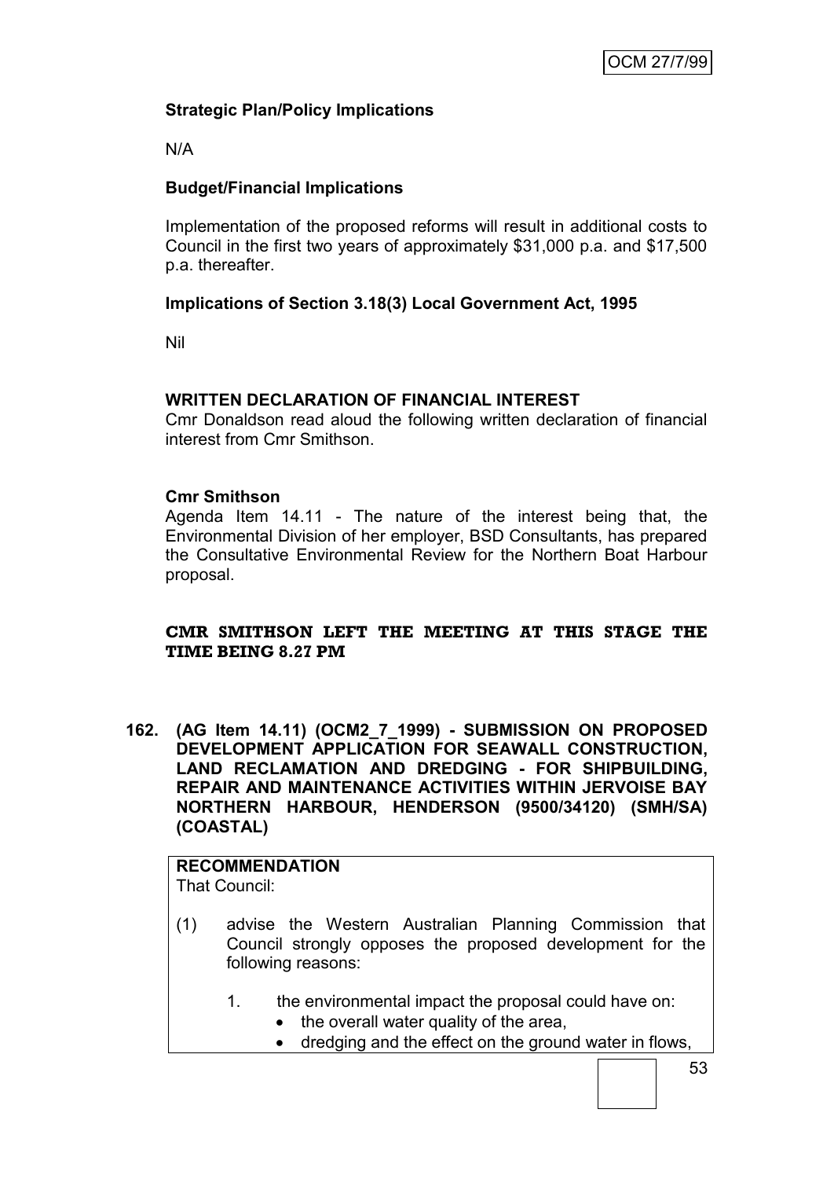# **Strategic Plan/Policy Implications**

N/A

# **Budget/Financial Implications**

Implementation of the proposed reforms will result in additional costs to Council in the first two years of approximately \$31,000 p.a. and \$17,500 p.a. thereafter.

## **Implications of Section 3.18(3) Local Government Act, 1995**

Nil

### **WRITTEN DECLARATION OF FINANCIAL INTEREST**

Cmr Donaldson read aloud the following written declaration of financial interest from Cmr Smithson.

### **Cmr Smithson**

Agenda Item 14.11 - The nature of the interest being that, the Environmental Division of her employer, BSD Consultants, has prepared the Consultative Environmental Review for the Northern Boat Harbour proposal.

### **CMR SMITHSON LEFT THE MEETING AT THIS STAGE THE TIME BEING 8.27 PM**

**162. (AG Item 14.11) (OCM2\_7\_1999) - SUBMISSION ON PROPOSED DEVELOPMENT APPLICATION FOR SEAWALL CONSTRUCTION, LAND RECLAMATION AND DREDGING - FOR SHIPBUILDING, REPAIR AND MAINTENANCE ACTIVITIES WITHIN JERVOISE BAY NORTHERN HARBOUR, HENDERSON (9500/34120) (SMH/SA) (COASTAL)**

# **RECOMMENDATION**

That Council:

- (1) advise the Western Australian Planning Commission that Council strongly opposes the proposed development for the following reasons:
	- 1. the environmental impact the proposal could have on:
		- the overall water quality of the area,
		- dredging and the effect on the ground water in flows,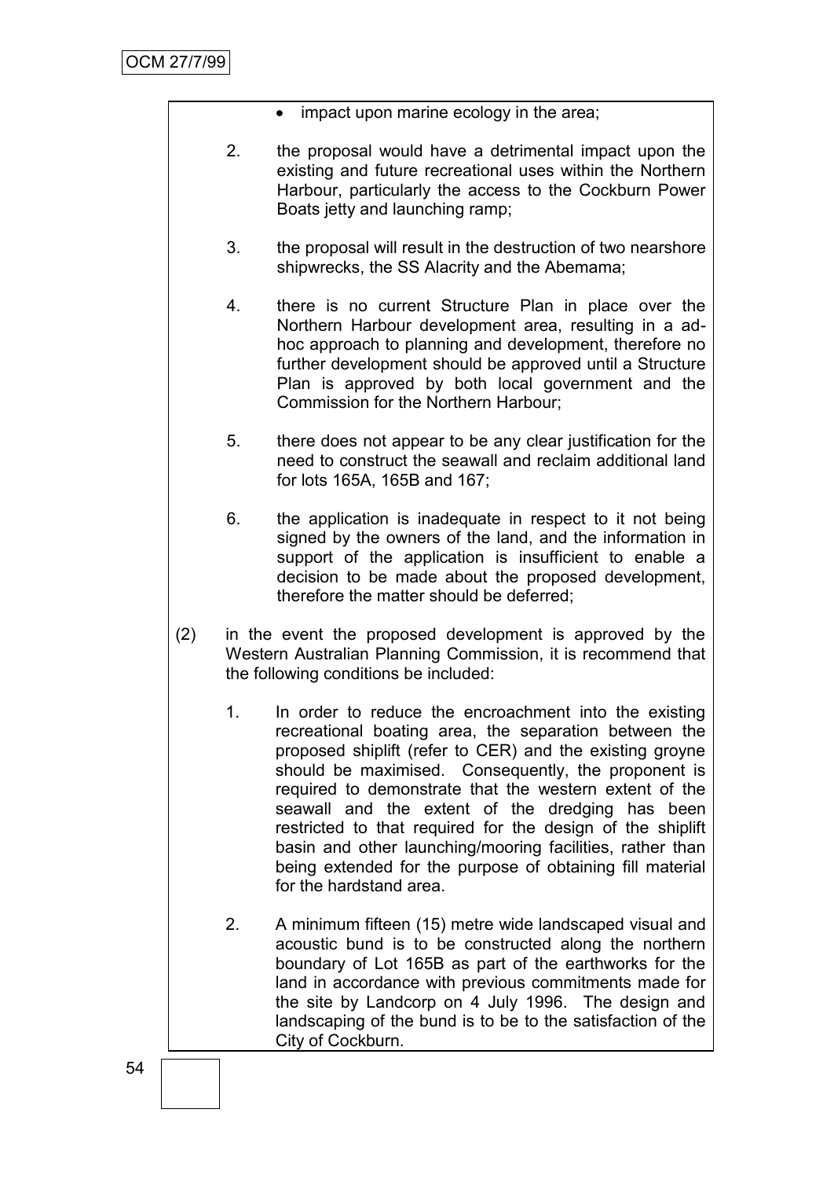- impact upon marine ecology in the area;
- 2. the proposal would have a detrimental impact upon the existing and future recreational uses within the Northern Harbour, particularly the access to the Cockburn Power Boats jetty and launching ramp;
- 3. the proposal will result in the destruction of two nearshore shipwrecks, the SS Alacrity and the Abemama;
- 4. there is no current Structure Plan in place over the Northern Harbour development area, resulting in a adhoc approach to planning and development, therefore no further development should be approved until a Structure Plan is approved by both local government and the Commission for the Northern Harbour;
- 5. there does not appear to be any clear justification for the need to construct the seawall and reclaim additional land for lots 165A, 165B and 167;
- 6. the application is inadequate in respect to it not being signed by the owners of the land, and the information in support of the application is insufficient to enable a decision to be made about the proposed development, therefore the matter should be deferred;
- (2) in the event the proposed development is approved by the Western Australian Planning Commission, it is recommend that the following conditions be included:
	- 1. In order to reduce the encroachment into the existing recreational boating area, the separation between the proposed shiplift (refer to CER) and the existing groyne should be maximised. Consequently, the proponent is required to demonstrate that the western extent of the seawall and the extent of the dredging has been restricted to that required for the design of the shiplift basin and other launching/mooring facilities, rather than being extended for the purpose of obtaining fill material for the hardstand area.
	- 2. A minimum fifteen (15) metre wide landscaped visual and acoustic bund is to be constructed along the northern boundary of Lot 165B as part of the earthworks for the land in accordance with previous commitments made for the site by Landcorp on 4 July 1996. The design and landscaping of the bund is to be to the satisfaction of the City of Cockburn.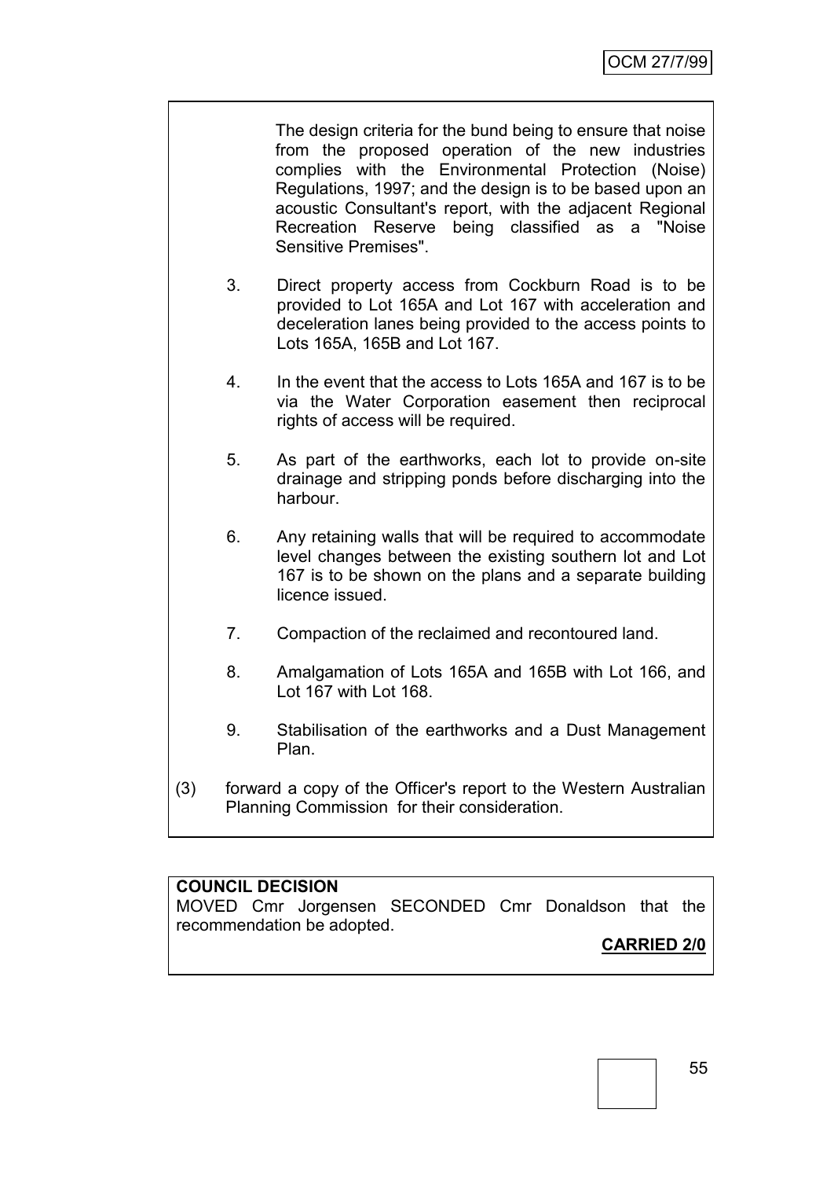The design criteria for the bund being to ensure that noise from the proposed operation of the new industries complies with the Environmental Protection (Noise) Regulations, 1997; and the design is to be based upon an acoustic Consultant's report, with the adjacent Regional Recreation Reserve being classified as a "Noise Sensitive Premises".

- 3. Direct property access from Cockburn Road is to be provided to Lot 165A and Lot 167 with acceleration and deceleration lanes being provided to the access points to Lots 165A, 165B and Lot 167.
- 4. In the event that the access to Lots 165A and 167 is to be via the Water Corporation easement then reciprocal rights of access will be required.
- 5. As part of the earthworks, each lot to provide on-site drainage and stripping ponds before discharging into the harbour.
- 6. Any retaining walls that will be required to accommodate level changes between the existing southern lot and Lot 167 is to be shown on the plans and a separate building licence issued.
- 7. Compaction of the reclaimed and recontoured land.
- 8. Amalgamation of Lots 165A and 165B with Lot 166, and Lot 167 with Lot 168.
- 9. Stabilisation of the earthworks and a Dust Management Plan.
- (3) forward a copy of the Officer's report to the Western Australian Planning Commission for their consideration.

### **COUNCIL DECISION**

MOVED Cmr Jorgensen SECONDED Cmr Donaldson that the recommendation be adopted.

# **CARRIED 2/0**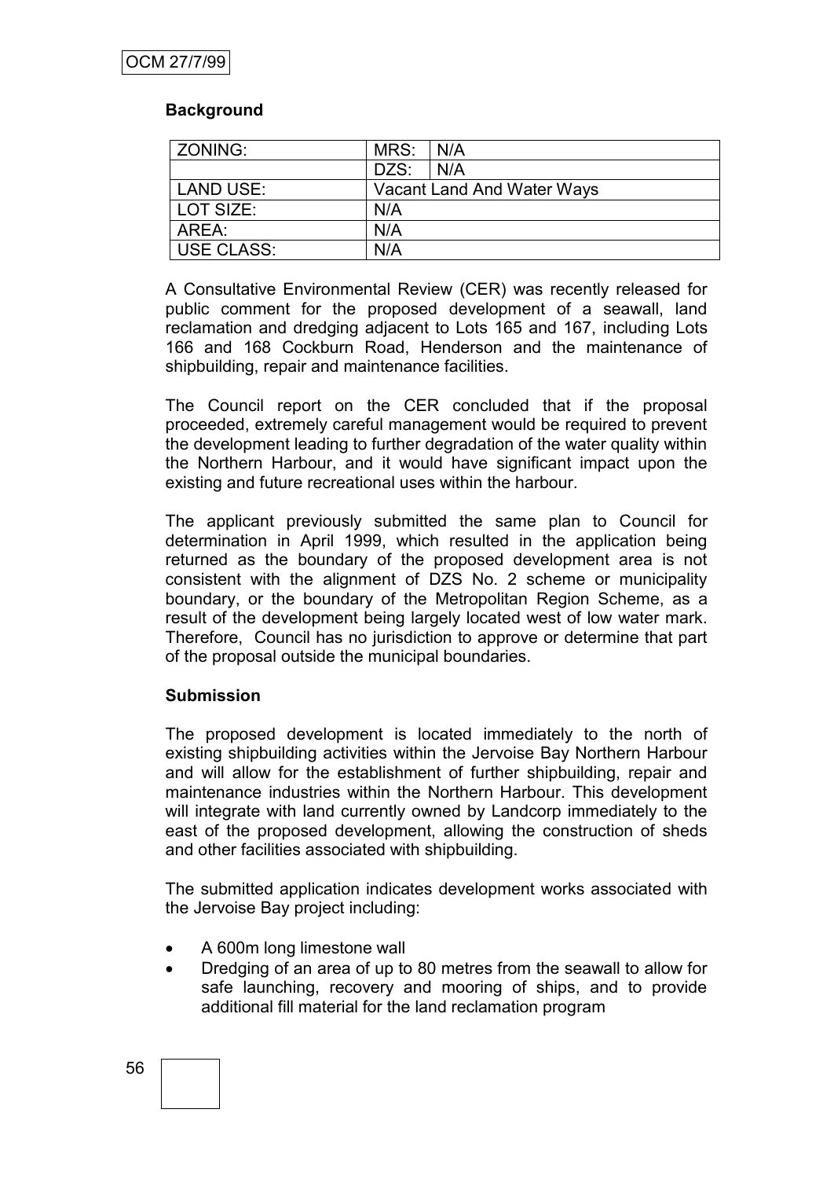### **Background**

| ZONING:    | MRS:                       | $\overline{\phantom{a}}$ N/A |
|------------|----------------------------|------------------------------|
|            | DZS:                       | N/A                          |
| LAND USE:  | Vacant Land And Water Ways |                              |
| LOT SIZE:  | N/A                        |                              |
| AREA:      | N/A                        |                              |
| USE CLASS: | N/A                        |                              |

A Consultative Environmental Review (CER) was recently released for public comment for the proposed development of a seawall, land reclamation and dredging adjacent to Lots 165 and 167, including Lots 166 and 168 Cockburn Road, Henderson and the maintenance of shipbuilding, repair and maintenance facilities.

The Council report on the CER concluded that if the proposal proceeded, extremely careful management would be required to prevent the development leading to further degradation of the water quality within the Northern Harbour, and it would have significant impact upon the existing and future recreational uses within the harbour.

The applicant previously submitted the same plan to Council for determination in April 1999, which resulted in the application being returned as the boundary of the proposed development area is not consistent with the alignment of DZS No. 2 scheme or municipality boundary, or the boundary of the Metropolitan Region Scheme, as a result of the development being largely located west of low water mark. Therefore, Council has no jurisdiction to approve or determine that part of the proposal outside the municipal boundaries.

#### **Submission**

The proposed development is located immediately to the north of existing shipbuilding activities within the Jervoise Bay Northern Harbour and will allow for the establishment of further shipbuilding, repair and maintenance industries within the Northern Harbour. This development will integrate with land currently owned by Landcorp immediately to the east of the proposed development, allowing the construction of sheds and other facilities associated with shipbuilding.

The submitted application indicates development works associated with the Jervoise Bay project including:

- A 600m long limestone wall
- Dredging of an area of up to 80 metres from the seawall to allow for safe launching, recovery and mooring of ships, and to provide additional fill material for the land reclamation program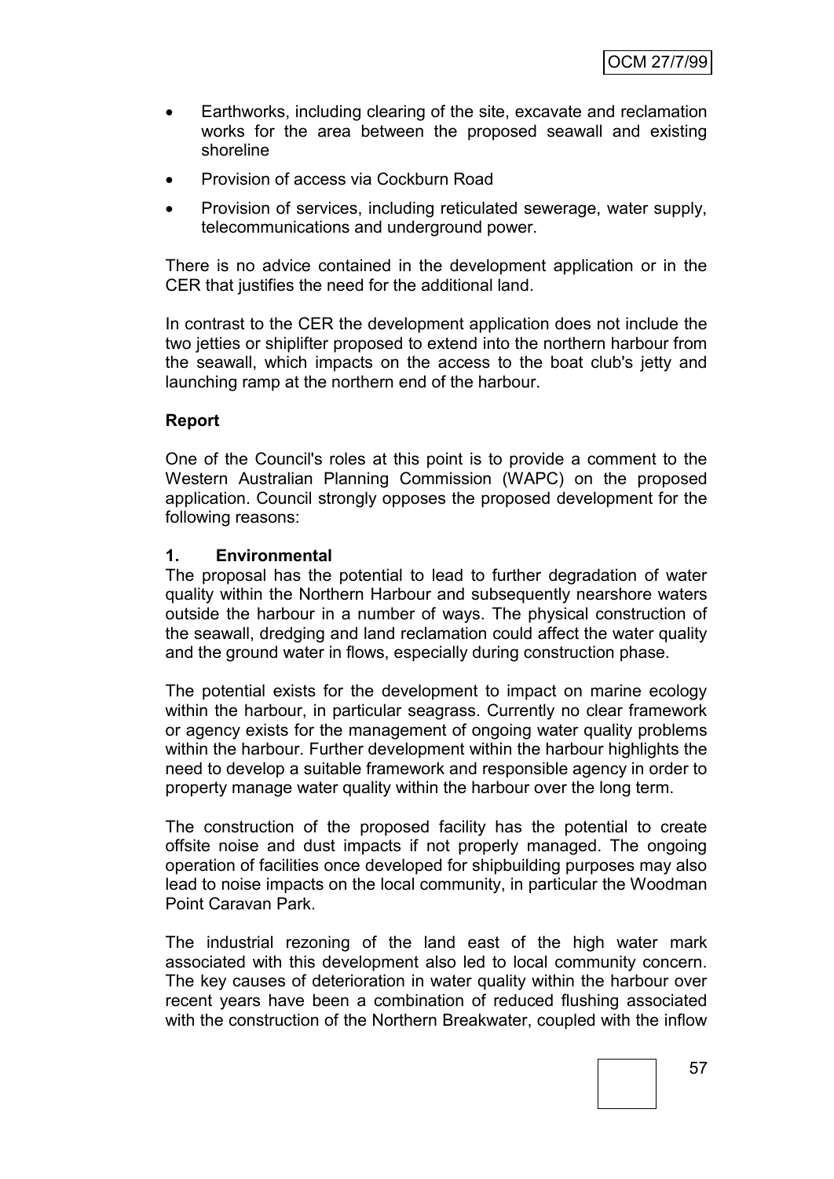- Earthworks, including clearing of the site, excavate and reclamation works for the area between the proposed seawall and existing shoreline
- Provision of access via Cockburn Road
- Provision of services, including reticulated sewerage, water supply, telecommunications and underground power.

There is no advice contained in the development application or in the CER that justifies the need for the additional land.

In contrast to the CER the development application does not include the two jetties or shiplifter proposed to extend into the northern harbour from the seawall, which impacts on the access to the boat club's jetty and launching ramp at the northern end of the harbour.

#### **Report**

One of the Council's roles at this point is to provide a comment to the Western Australian Planning Commission (WAPC) on the proposed application. Council strongly opposes the proposed development for the following reasons:

#### **1. Environmental**

The proposal has the potential to lead to further degradation of water quality within the Northern Harbour and subsequently nearshore waters outside the harbour in a number of ways. The physical construction of the seawall, dredging and land reclamation could affect the water quality and the ground water in flows, especially during construction phase.

The potential exists for the development to impact on marine ecology within the harbour, in particular seagrass. Currently no clear framework or agency exists for the management of ongoing water quality problems within the harbour. Further development within the harbour highlights the need to develop a suitable framework and responsible agency in order to property manage water quality within the harbour over the long term.

The construction of the proposed facility has the potential to create offsite noise and dust impacts if not properly managed. The ongoing operation of facilities once developed for shipbuilding purposes may also lead to noise impacts on the local community, in particular the Woodman Point Caravan Park.

The industrial rezoning of the land east of the high water mark associated with this development also led to local community concern. The key causes of deterioration in water quality within the harbour over recent years have been a combination of reduced flushing associated with the construction of the Northern Breakwater, coupled with the inflow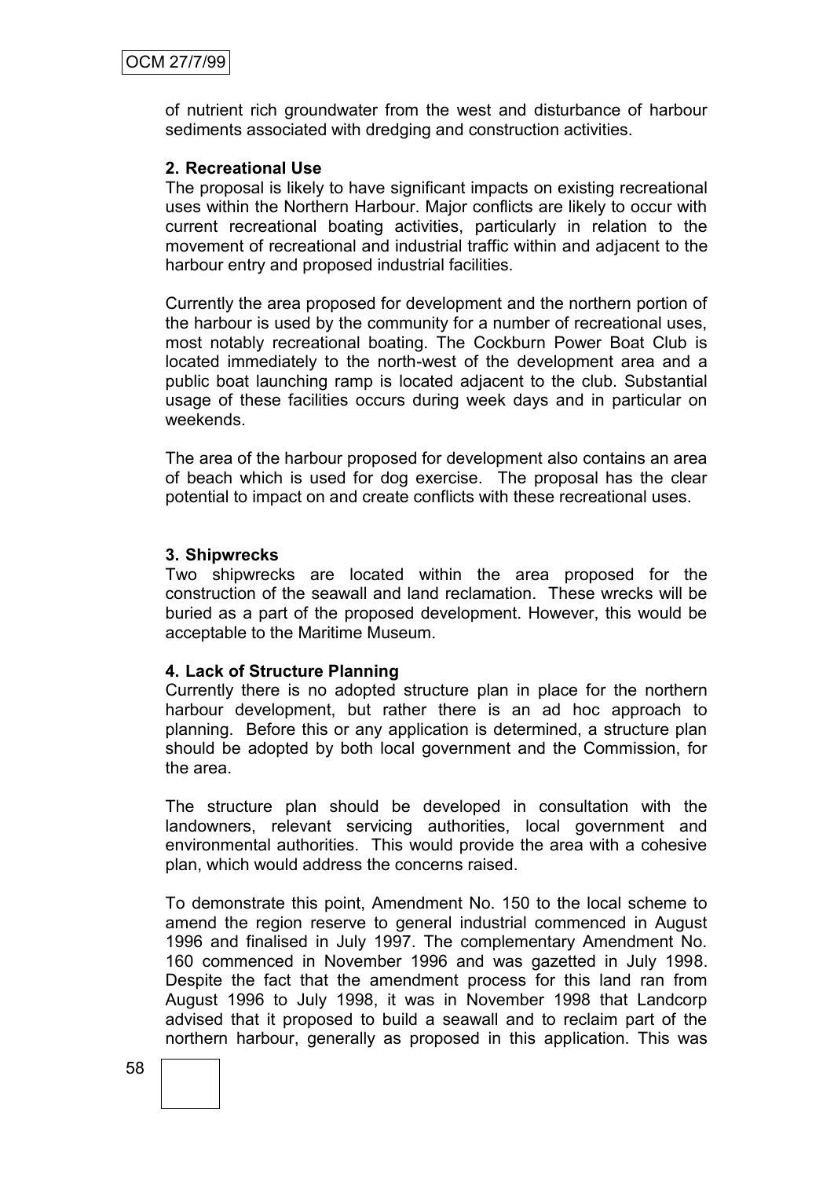of nutrient rich groundwater from the west and disturbance of harbour sediments associated with dredging and construction activities.

#### **2. Recreational Use**

The proposal is likely to have significant impacts on existing recreational uses within the Northern Harbour. Major conflicts are likely to occur with current recreational boating activities, particularly in relation to the movement of recreational and industrial traffic within and adjacent to the harbour entry and proposed industrial facilities.

Currently the area proposed for development and the northern portion of the harbour is used by the community for a number of recreational uses, most notably recreational boating. The Cockburn Power Boat Club is located immediately to the north-west of the development area and a public boat launching ramp is located adjacent to the club. Substantial usage of these facilities occurs during week days and in particular on weekends.

The area of the harbour proposed for development also contains an area of beach which is used for dog exercise. The proposal has the clear potential to impact on and create conflicts with these recreational uses.

#### **3. Shipwrecks**

Two shipwrecks are located within the area proposed for the construction of the seawall and land reclamation. These wrecks will be buried as a part of the proposed development. However, this would be acceptable to the Maritime Museum.

#### **4. Lack of Structure Planning**

Currently there is no adopted structure plan in place for the northern harbour development, but rather there is an ad hoc approach to planning. Before this or any application is determined, a structure plan should be adopted by both local government and the Commission, for the area.

The structure plan should be developed in consultation with the landowners, relevant servicing authorities, local government and environmental authorities. This would provide the area with a cohesive plan, which would address the concerns raised.

To demonstrate this point, Amendment No. 150 to the local scheme to amend the region reserve to general industrial commenced in August 1996 and finalised in July 1997. The complementary Amendment No. 160 commenced in November 1996 and was gazetted in July 1998. Despite the fact that the amendment process for this land ran from August 1996 to July 1998, it was in November 1998 that Landcorp advised that it proposed to build a seawall and to reclaim part of the northern harbour, generally as proposed in this application. This was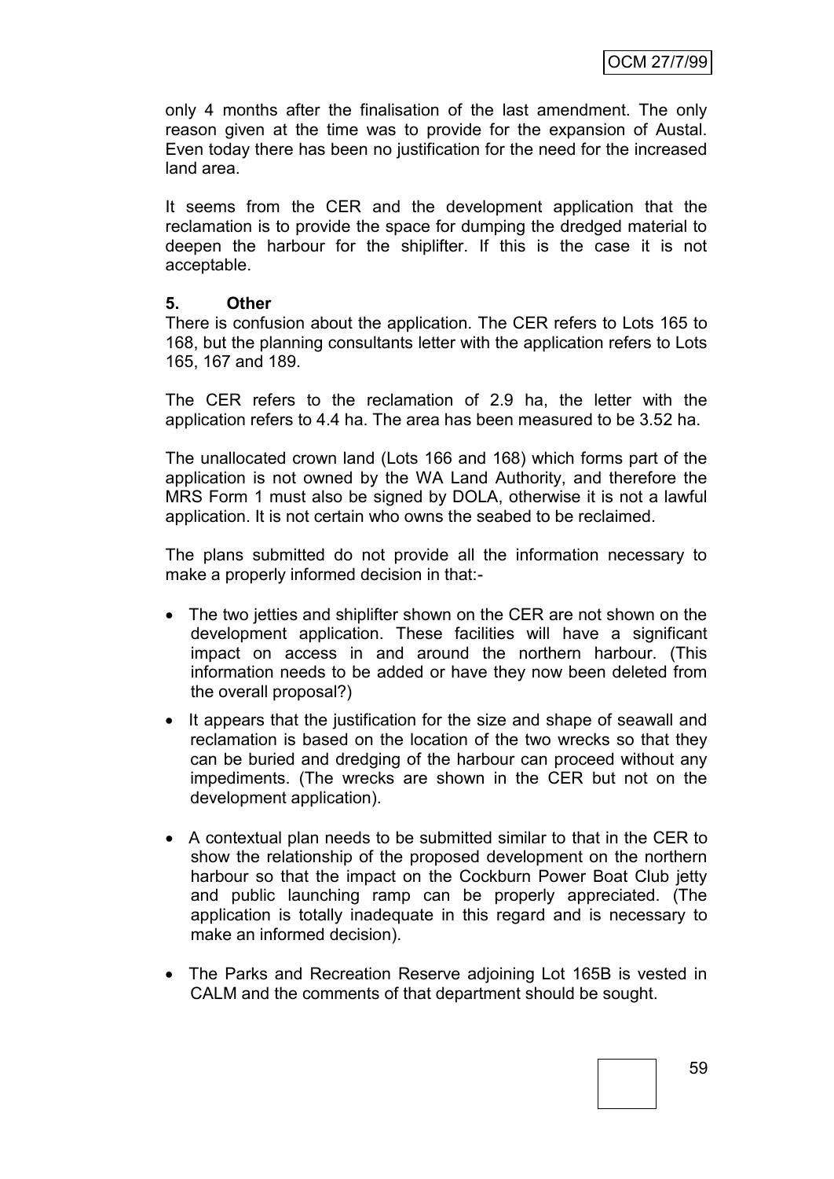only 4 months after the finalisation of the last amendment. The only reason given at the time was to provide for the expansion of Austal. Even today there has been no justification for the need for the increased land area.

It seems from the CER and the development application that the reclamation is to provide the space for dumping the dredged material to deepen the harbour for the shiplifter. If this is the case it is not acceptable.

#### **5. Other**

There is confusion about the application. The CER refers to Lots 165 to 168, but the planning consultants letter with the application refers to Lots 165, 167 and 189.

The CER refers to the reclamation of 2.9 ha, the letter with the application refers to 4.4 ha. The area has been measured to be 3.52 ha.

The unallocated crown land (Lots 166 and 168) which forms part of the application is not owned by the WA Land Authority, and therefore the MRS Form 1 must also be signed by DOLA, otherwise it is not a lawful application. It is not certain who owns the seabed to be reclaimed.

The plans submitted do not provide all the information necessary to make a properly informed decision in that:-

- The two jetties and shiplifter shown on the CER are not shown on the development application. These facilities will have a significant impact on access in and around the northern harbour. (This information needs to be added or have they now been deleted from the overall proposal?)
- It appears that the justification for the size and shape of seawall and reclamation is based on the location of the two wrecks so that they can be buried and dredging of the harbour can proceed without any impediments. (The wrecks are shown in the CER but not on the development application).
- A contextual plan needs to be submitted similar to that in the CER to show the relationship of the proposed development on the northern harbour so that the impact on the Cockburn Power Boat Club jetty and public launching ramp can be properly appreciated. (The application is totally inadequate in this regard and is necessary to make an informed decision).
- The Parks and Recreation Reserve adjoining Lot 165B is vested in CALM and the comments of that department should be sought.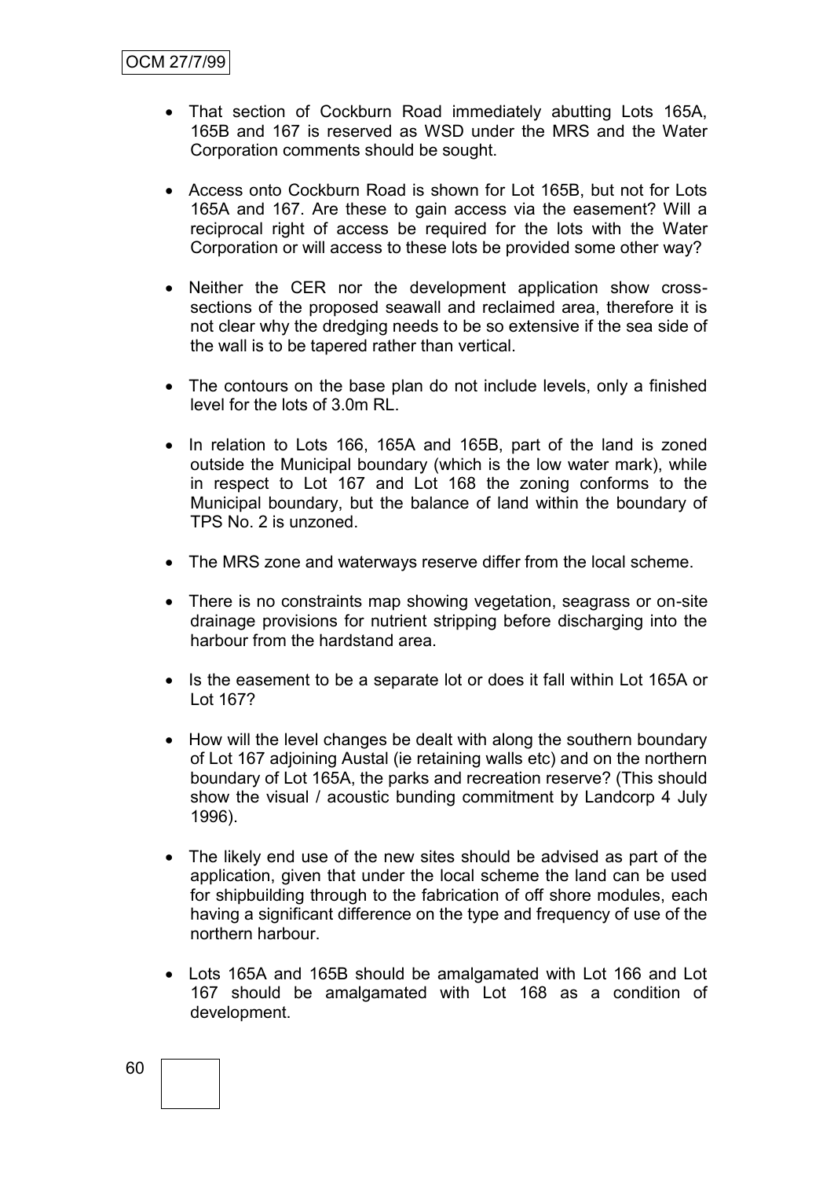- That section of Cockburn Road immediately abutting Lots 165A, 165B and 167 is reserved as WSD under the MRS and the Water Corporation comments should be sought.
- Access onto Cockburn Road is shown for Lot 165B, but not for Lots 165A and 167. Are these to gain access via the easement? Will a reciprocal right of access be required for the lots with the Water Corporation or will access to these lots be provided some other way?
- Neither the CER nor the development application show crosssections of the proposed seawall and reclaimed area, therefore it is not clear why the dredging needs to be so extensive if the sea side of the wall is to be tapered rather than vertical.
- The contours on the base plan do not include levels, only a finished level for the lots of 3.0m RL.
- In relation to Lots 166, 165A and 165B, part of the land is zoned outside the Municipal boundary (which is the low water mark), while in respect to Lot 167 and Lot 168 the zoning conforms to the Municipal boundary, but the balance of land within the boundary of TPS No. 2 is unzoned.
- The MRS zone and waterways reserve differ from the local scheme.
- There is no constraints map showing vegetation, seagrass or on-site drainage provisions for nutrient stripping before discharging into the harbour from the hardstand area.
- Is the easement to be a separate lot or does it fall within Lot 165A or Lot 167?
- How will the level changes be dealt with along the southern boundary of Lot 167 adjoining Austal (ie retaining walls etc) and on the northern boundary of Lot 165A, the parks and recreation reserve? (This should show the visual / acoustic bunding commitment by Landcorp 4 July 1996).
- The likely end use of the new sites should be advised as part of the application, given that under the local scheme the land can be used for shipbuilding through to the fabrication of off shore modules, each having a significant difference on the type and frequency of use of the northern harbour.
- Lots 165A and 165B should be amalgamated with Lot 166 and Lot 167 should be amalgamated with Lot 168 as a condition of development.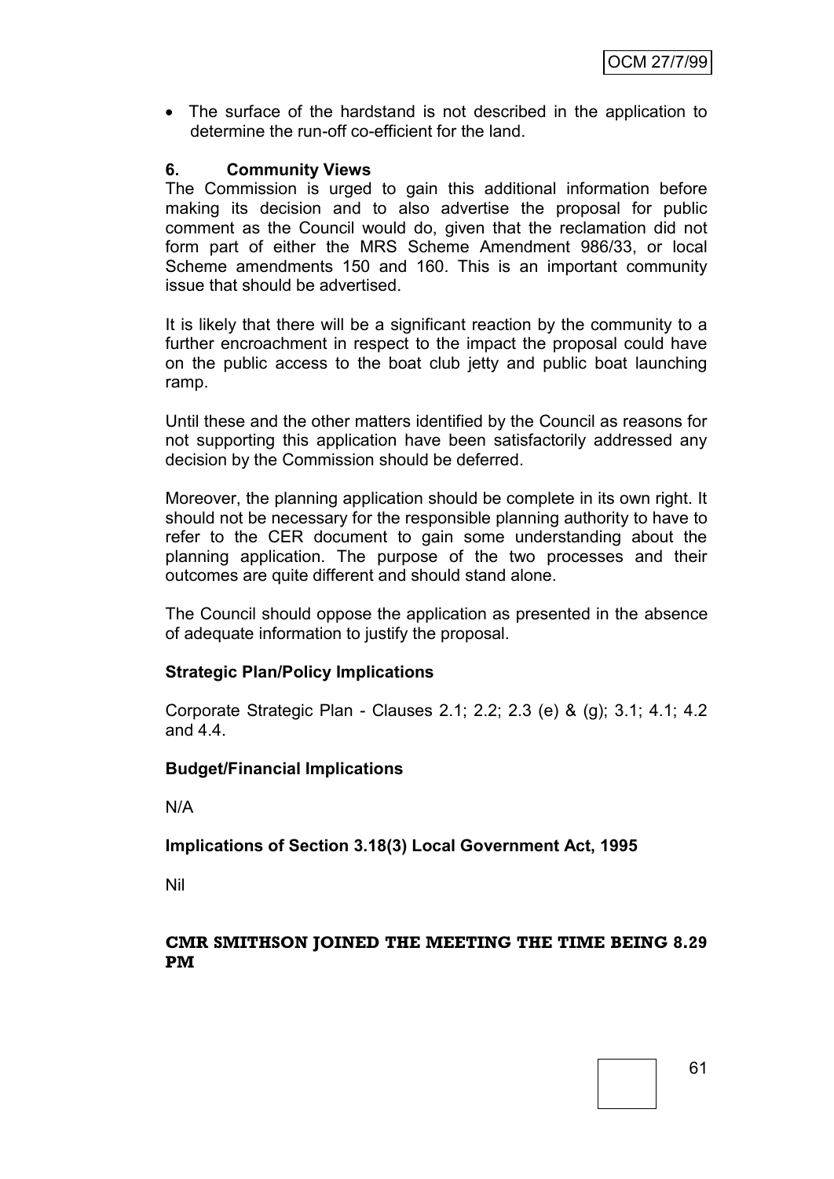The surface of the hardstand is not described in the application to determine the run-off co-efficient for the land.

### **6. Community Views**

The Commission is urged to gain this additional information before making its decision and to also advertise the proposal for public comment as the Council would do, given that the reclamation did not form part of either the MRS Scheme Amendment 986/33, or local Scheme amendments 150 and 160. This is an important community issue that should be advertised.

It is likely that there will be a significant reaction by the community to a further encroachment in respect to the impact the proposal could have on the public access to the boat club jetty and public boat launching ramp.

Until these and the other matters identified by the Council as reasons for not supporting this application have been satisfactorily addressed any decision by the Commission should be deferred.

Moreover, the planning application should be complete in its own right. It should not be necessary for the responsible planning authority to have to refer to the CER document to gain some understanding about the planning application. The purpose of the two processes and their outcomes are quite different and should stand alone.

The Council should oppose the application as presented in the absence of adequate information to justify the proposal.

### **Strategic Plan/Policy Implications**

Corporate Strategic Plan - Clauses 2.1; 2.2; 2.3 (e) & (g); 3.1; 4.1; 4.2 and 4.4.

#### **Budget/Financial Implications**

N/A

#### **Implications of Section 3.18(3) Local Government Act, 1995**

Nil

#### **CMR SMITHSON JOINED THE MEETING THE TIME BEING 8.29 PM**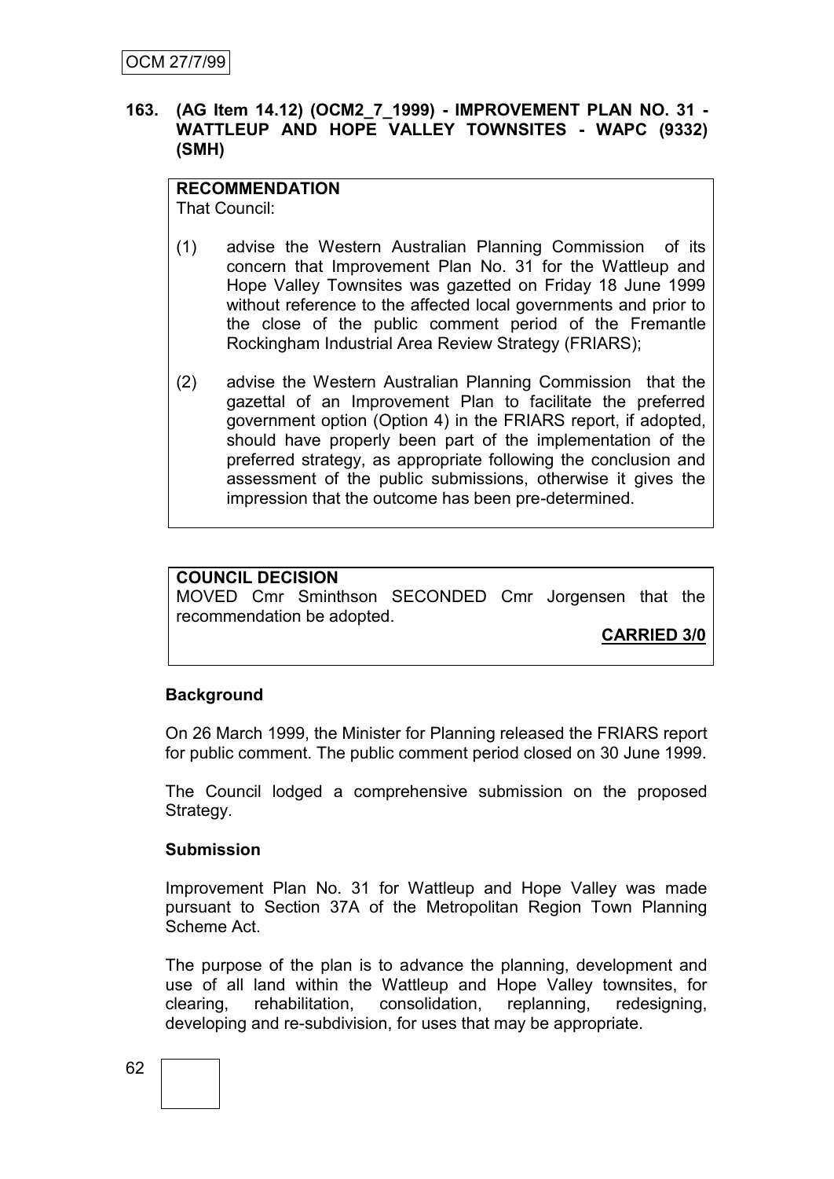#### **163. (AG Item 14.12) (OCM2\_7\_1999) - IMPROVEMENT PLAN NO. 31 - WATTLEUP AND HOPE VALLEY TOWNSITES - WAPC (9332) (SMH)**

## **RECOMMENDATION**

That Council:

- (1) advise the Western Australian Planning Commission of its concern that Improvement Plan No. 31 for the Wattleup and Hope Valley Townsites was gazetted on Friday 18 June 1999 without reference to the affected local governments and prior to the close of the public comment period of the Fremantle Rockingham Industrial Area Review Strategy (FRIARS);
- (2) advise the Western Australian Planning Commission that the gazettal of an Improvement Plan to facilitate the preferred government option (Option 4) in the FRIARS report, if adopted, should have properly been part of the implementation of the preferred strategy, as appropriate following the conclusion and assessment of the public submissions, otherwise it gives the impression that the outcome has been pre-determined.

## **COUNCIL DECISION**

MOVED Cmr Sminthson SECONDED Cmr Jorgensen that the recommendation be adopted.

**CARRIED 3/0**

### **Background**

On 26 March 1999, the Minister for Planning released the FRIARS report for public comment. The public comment period closed on 30 June 1999.

The Council lodged a comprehensive submission on the proposed Strategy.

#### **Submission**

Improvement Plan No. 31 for Wattleup and Hope Valley was made pursuant to Section 37A of the Metropolitan Region Town Planning Scheme Act.

The purpose of the plan is to advance the planning, development and use of all land within the Wattleup and Hope Valley townsites, for clearing, rehabilitation, consolidation, replanning, redesigning, developing and re-subdivision, for uses that may be appropriate.

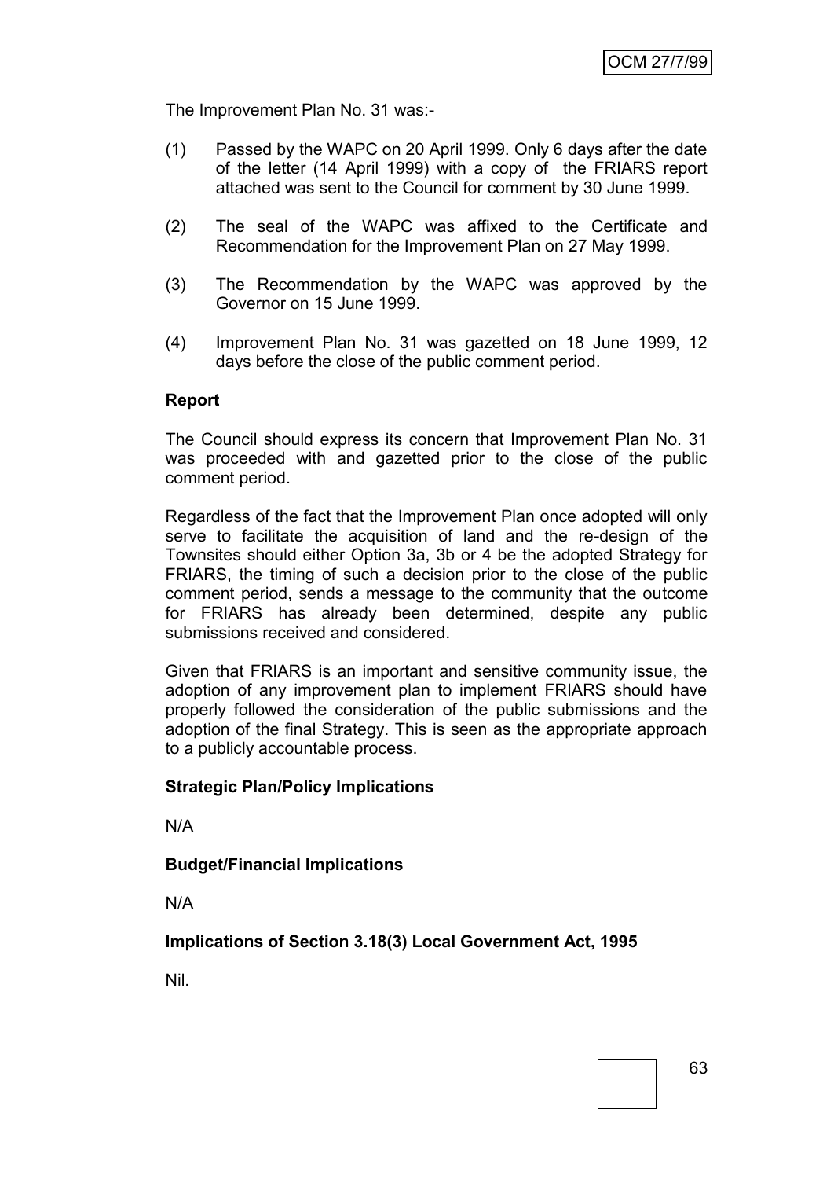The Improvement Plan No. 31 was:-

- (1) Passed by the WAPC on 20 April 1999. Only 6 days after the date of the letter (14 April 1999) with a copy of the FRIARS report attached was sent to the Council for comment by 30 June 1999.
- (2) The seal of the WAPC was affixed to the Certificate and Recommendation for the Improvement Plan on 27 May 1999.
- (3) The Recommendation by the WAPC was approved by the Governor on 15 June 1999.
- (4) Improvement Plan No. 31 was gazetted on 18 June 1999, 12 days before the close of the public comment period.

#### **Report**

The Council should express its concern that Improvement Plan No. 31 was proceeded with and gazetted prior to the close of the public comment period.

Regardless of the fact that the Improvement Plan once adopted will only serve to facilitate the acquisition of land and the re-design of the Townsites should either Option 3a, 3b or 4 be the adopted Strategy for FRIARS, the timing of such a decision prior to the close of the public comment period, sends a message to the community that the outcome for FRIARS has already been determined, despite any public submissions received and considered.

Given that FRIARS is an important and sensitive community issue, the adoption of any improvement plan to implement FRIARS should have properly followed the consideration of the public submissions and the adoption of the final Strategy. This is seen as the appropriate approach to a publicly accountable process.

#### **Strategic Plan/Policy Implications**

N/A

**Budget/Financial Implications**

N/A

**Implications of Section 3.18(3) Local Government Act, 1995**

Nil.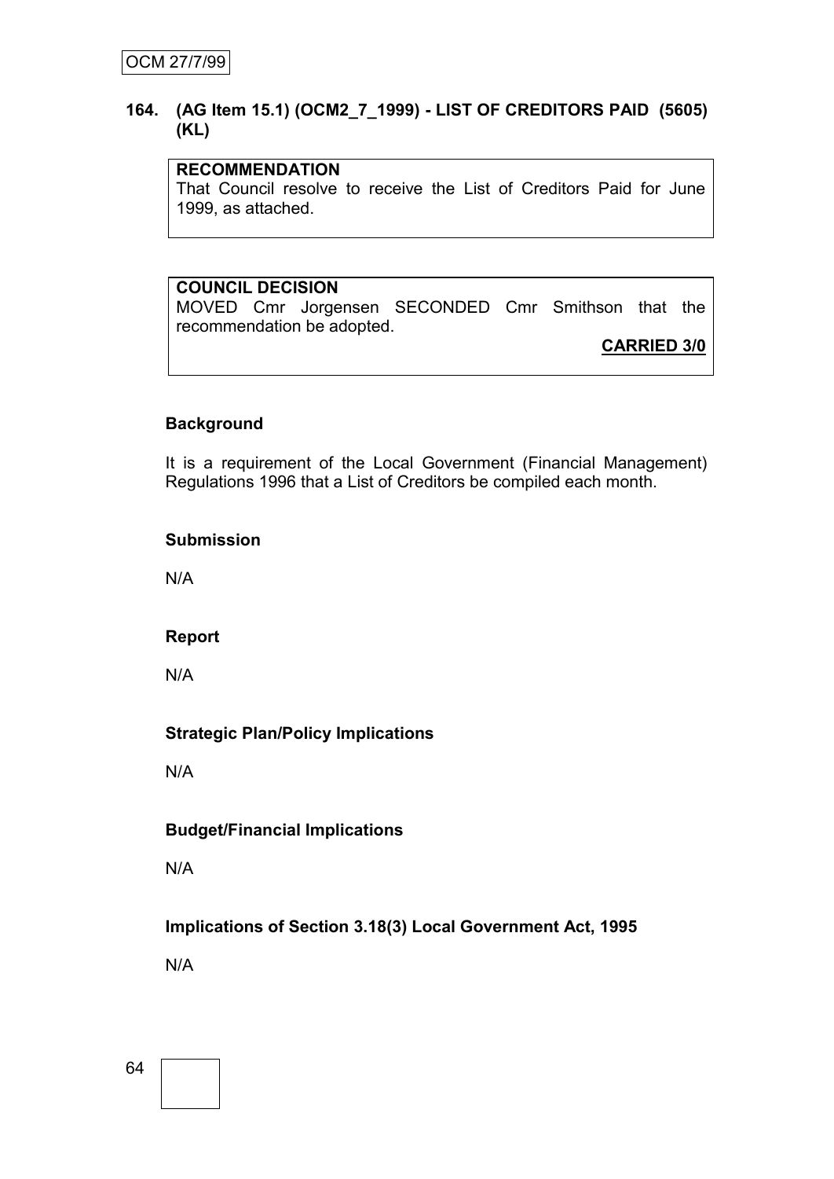### **164. (AG Item 15.1) (OCM2\_7\_1999) - LIST OF CREDITORS PAID (5605) (KL)**

## **RECOMMENDATION**

That Council resolve to receive the List of Creditors Paid for June 1999, as attached.

# **COUNCIL DECISION**

MOVED Cmr Jorgensen SECONDED Cmr Smithson that the recommendation be adopted.

**CARRIED 3/0**

## **Background**

It is a requirement of the Local Government (Financial Management) Regulations 1996 that a List of Creditors be compiled each month.

#### **Submission**

N/A

### **Report**

N/A

# **Strategic Plan/Policy Implications**

N/A

# **Budget/Financial Implications**

N/A

# **Implications of Section 3.18(3) Local Government Act, 1995**

N/A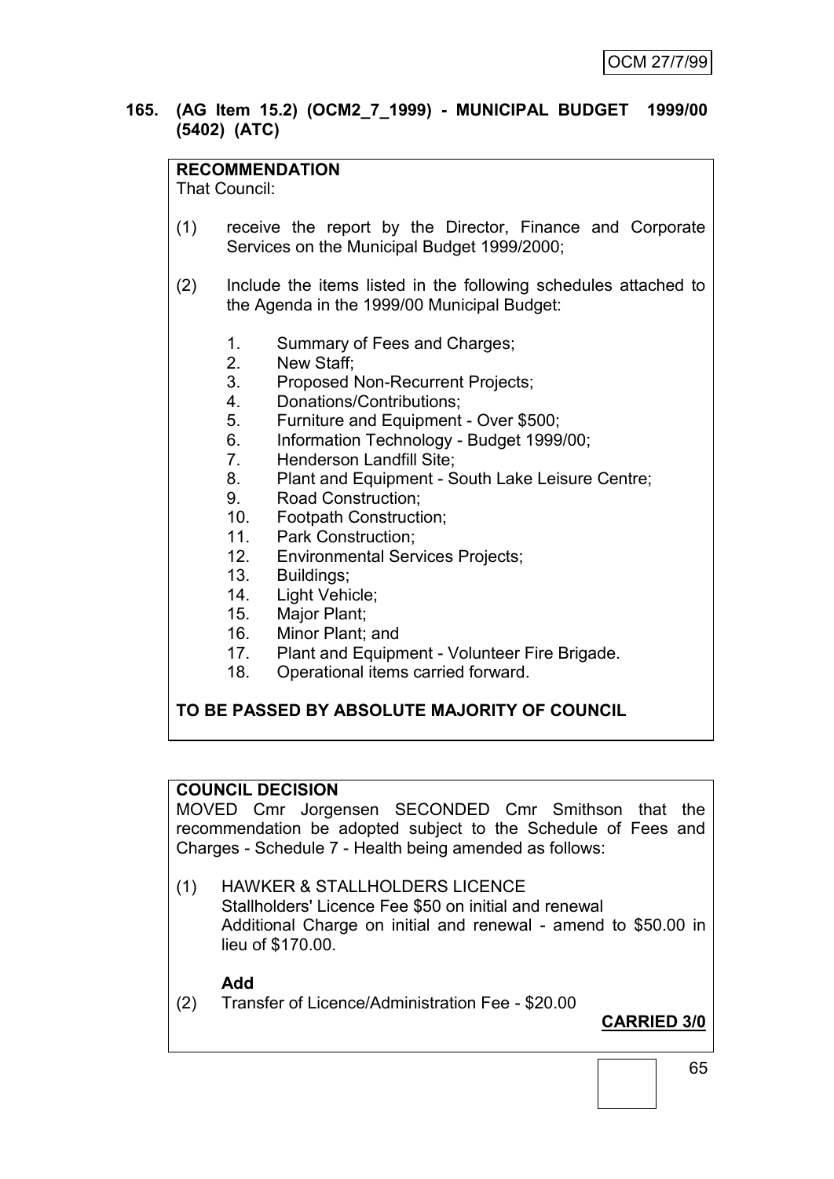## **165. (AG Item 15.2) (OCM2\_7\_1999) - MUNICIPAL BUDGET 1999/00 (5402) (ATC)**

## **RECOMMENDATION**

That Council:

- (1) receive the report by the Director, Finance and Corporate Services on the Municipal Budget 1999/2000;
- (2) Include the items listed in the following schedules attached to the Agenda in the 1999/00 Municipal Budget:
	- 1. Summary of Fees and Charges;
	- 2. New Staff;
	- 3. Proposed Non-Recurrent Projects;
	- 4. Donations/Contributions;
	- 5. Furniture and Equipment Over \$500;
	- 6. Information Technology Budget 1999/00;
	- 7. Henderson Landfill Site;
	- 8. Plant and Equipment South Lake Leisure Centre;
	- 9. Road Construction;
	- 10. Footpath Construction;
	- 11. Park Construction;
	- 12. Environmental Services Projects;
	- 13. Buildings;
	- 14. Light Vehicle;
	- 15. Major Plant;
	- 16. Minor Plant; and<br>17. Plant and Equipr
	- 17. Plant and Equipment Volunteer Fire Brigade.
	- 18. Operational items carried forward.

### **TO BE PASSED BY ABSOLUTE MAJORITY OF COUNCIL**

### **COUNCIL DECISION**

MOVED Cmr Jorgensen SECONDED Cmr Smithson that the recommendation be adopted subject to the Schedule of Fees and Charges - Schedule 7 - Health being amended as follows:

(1) HAWKER & STALLHOLDERS LICENCE Stallholders' Licence Fee \$50 on initial and renewal Additional Charge on initial and renewal - amend to \$50.00 in lieu of \$170.00.

#### **Add**

(2) Transfer of Licence/Administration Fee - \$20.00

**CARRIED 3/0**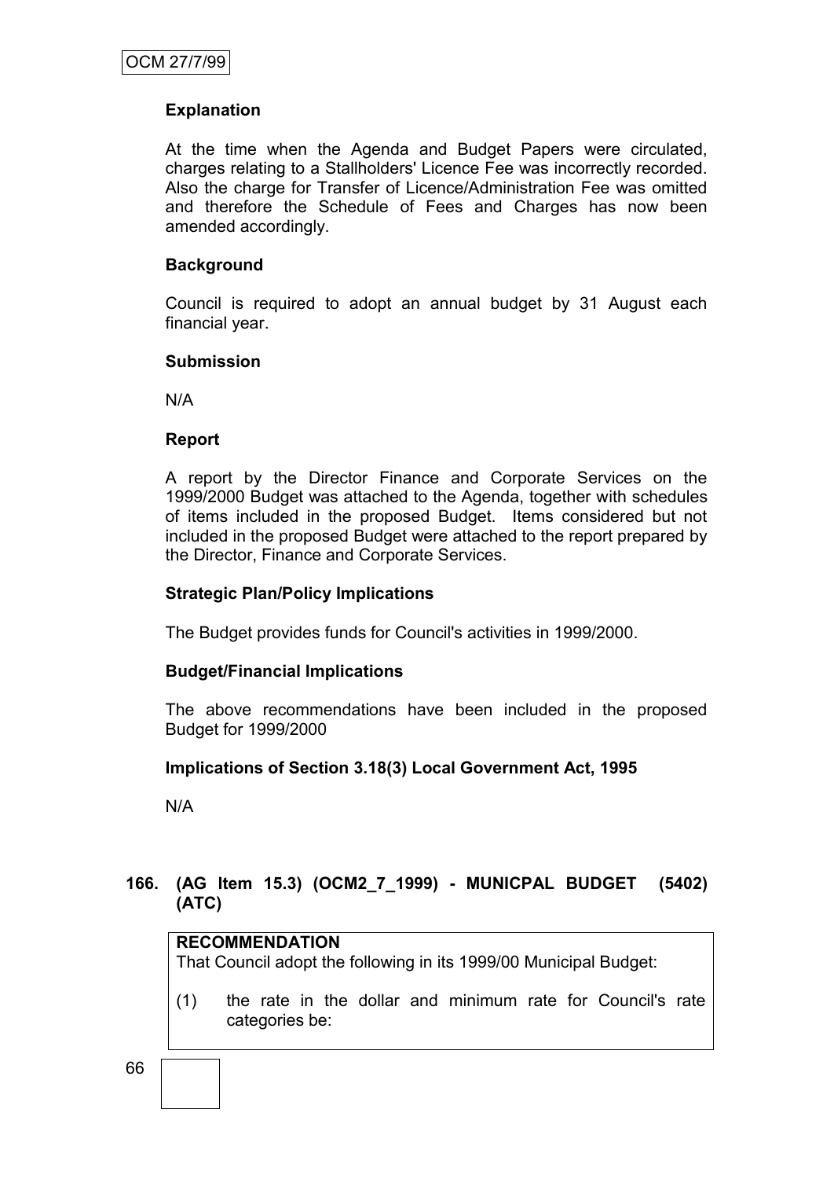## **Explanation**

At the time when the Agenda and Budget Papers were circulated, charges relating to a Stallholders' Licence Fee was incorrectly recorded. Also the charge for Transfer of Licence/Administration Fee was omitted and therefore the Schedule of Fees and Charges has now been amended accordingly.

## **Background**

Council is required to adopt an annual budget by 31 August each financial year.

#### **Submission**

N/A

### **Report**

A report by the Director Finance and Corporate Services on the 1999/2000 Budget was attached to the Agenda, together with schedules of items included in the proposed Budget. Items considered but not included in the proposed Budget were attached to the report prepared by the Director, Finance and Corporate Services.

### **Strategic Plan/Policy Implications**

The Budget provides funds for Council's activities in 1999/2000.

### **Budget/Financial Implications**

The above recommendations have been included in the proposed Budget for 1999/2000

### **Implications of Section 3.18(3) Local Government Act, 1995**

N/A

## **166. (AG Item 15.3) (OCM2\_7\_1999) - MUNICPAL BUDGET (5402) (ATC)**

## **RECOMMENDATION**

That Council adopt the following in its 1999/00 Municipal Budget:

(1) the rate in the dollar and minimum rate for Council's rate categories be: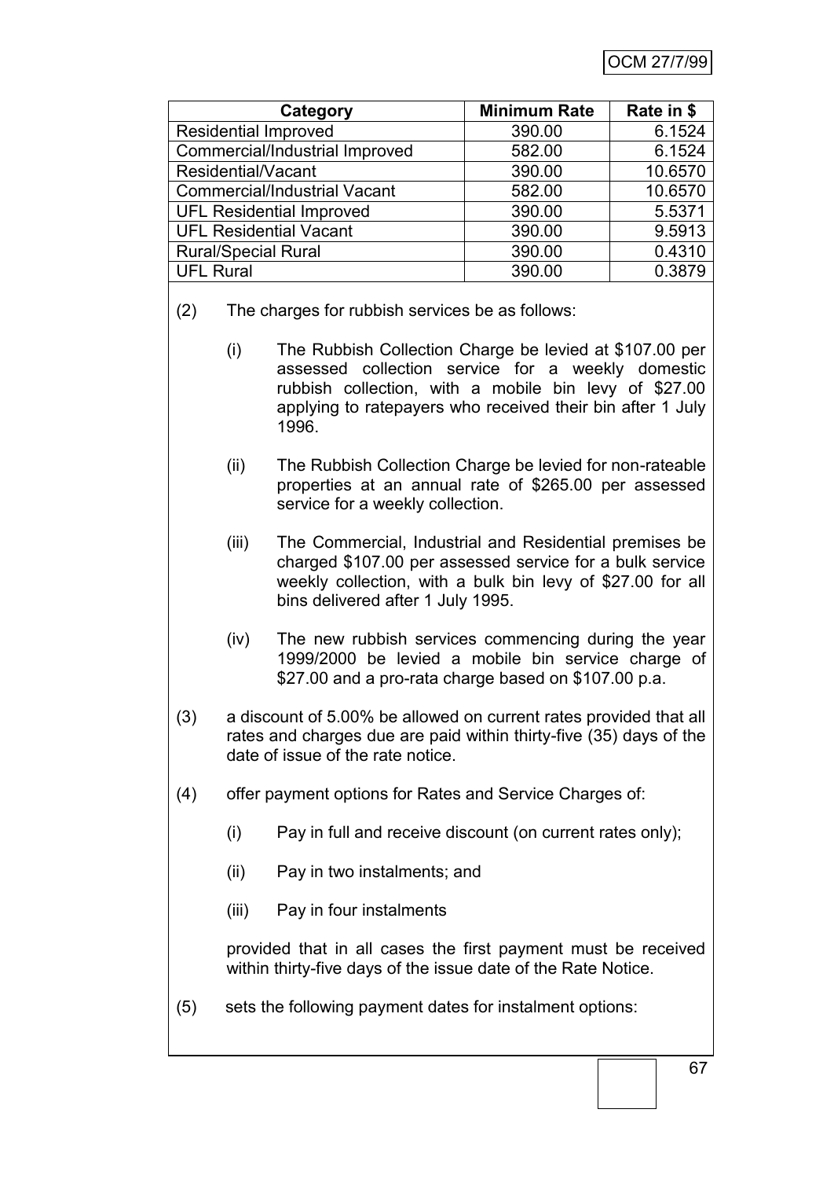|                                     |                                                                                                                                | Category                                                                                                                                                                                                                                        | <b>Minimum Rate</b> | Rate in \$ |  |  |
|-------------------------------------|--------------------------------------------------------------------------------------------------------------------------------|-------------------------------------------------------------------------------------------------------------------------------------------------------------------------------------------------------------------------------------------------|---------------------|------------|--|--|
| <b>Residential Improved</b>         |                                                                                                                                |                                                                                                                                                                                                                                                 | 390.00              | 6.1524     |  |  |
| Commercial/Industrial Improved      |                                                                                                                                |                                                                                                                                                                                                                                                 | 582.00              | 6.1524     |  |  |
|                                     | Residential/Vacant                                                                                                             |                                                                                                                                                                                                                                                 | 390.00              | 10.6570    |  |  |
| <b>Commercial/Industrial Vacant</b> |                                                                                                                                |                                                                                                                                                                                                                                                 | 582.00              | 10.6570    |  |  |
|                                     |                                                                                                                                | <b>UFL Residential Improved</b>                                                                                                                                                                                                                 | 390.00              | 5.5371     |  |  |
|                                     |                                                                                                                                | <b>UFL Residential Vacant</b>                                                                                                                                                                                                                   | 390.00              | 9.5913     |  |  |
|                                     | <b>Rural/Special Rural</b>                                                                                                     |                                                                                                                                                                                                                                                 | 390.00              | 0.4310     |  |  |
| <b>UFL Rural</b>                    |                                                                                                                                |                                                                                                                                                                                                                                                 | 390.00              | 0.3879     |  |  |
| (2)                                 | The charges for rubbish services be as follows:                                                                                |                                                                                                                                                                                                                                                 |                     |            |  |  |
|                                     | (i)                                                                                                                            | The Rubbish Collection Charge be levied at \$107.00 per<br>collection service for a weekly domestic<br>assessed<br>rubbish collection, with a mobile bin levy of \$27.00<br>applying to ratepayers who received their bin after 1 July<br>1996. |                     |            |  |  |
|                                     | (ii)                                                                                                                           | The Rubbish Collection Charge be levied for non-rateable<br>properties at an annual rate of \$265.00 per assessed<br>service for a weekly collection.                                                                                           |                     |            |  |  |
|                                     | (iii)                                                                                                                          | The Commercial, Industrial and Residential premises be<br>charged \$107.00 per assessed service for a bulk service<br>weekly collection, with a bulk bin levy of \$27.00 for all<br>bins delivered after 1 July 1995.                           |                     |            |  |  |
|                                     | (iv)                                                                                                                           | The new rubbish services commencing during the year<br>1999/2000 be levied a mobile bin service charge of<br>\$27.00 and a pro-rata charge based on \$107.00 p.a.                                                                               |                     |            |  |  |
| (3)                                 |                                                                                                                                | a discount of 5.00% be allowed on current rates provided that all<br>rates and charges due are paid within thirty-five (35) days of the<br>date of issue of the rate notice.                                                                    |                     |            |  |  |
| (4)                                 |                                                                                                                                | offer payment options for Rates and Service Charges of:                                                                                                                                                                                         |                     |            |  |  |
|                                     | (i)                                                                                                                            | Pay in full and receive discount (on current rates only);                                                                                                                                                                                       |                     |            |  |  |
|                                     | (ii)                                                                                                                           | Pay in two instalments; and                                                                                                                                                                                                                     |                     |            |  |  |
|                                     | (iii)                                                                                                                          | Pay in four instalments                                                                                                                                                                                                                         |                     |            |  |  |
|                                     | provided that in all cases the first payment must be received<br>within thirty-five days of the issue date of the Rate Notice. |                                                                                                                                                                                                                                                 |                     |            |  |  |
|                                     |                                                                                                                                |                                                                                                                                                                                                                                                 |                     |            |  |  |

(5) sets the following payment dates for instalment options: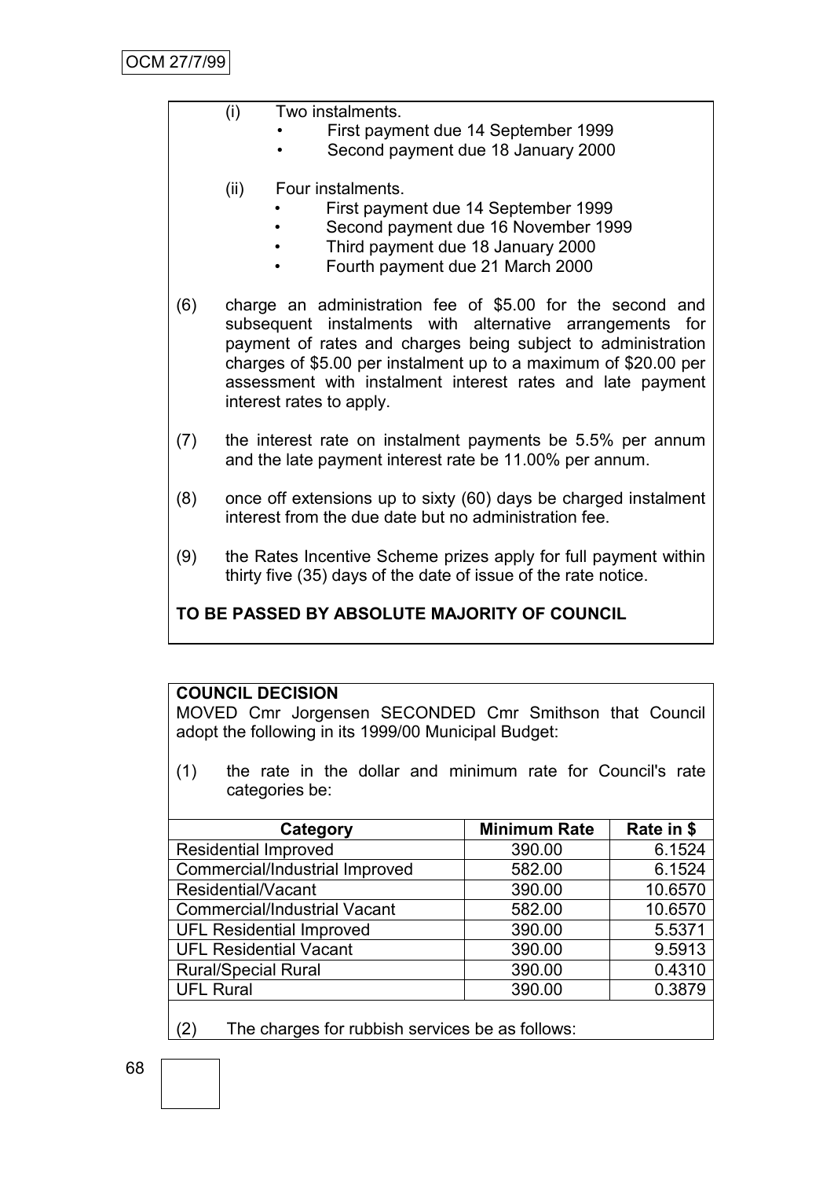| Two instalments.<br>(i) |
|-------------------------|
|-------------------------|

- First payment due 14 September 1999
- Second payment due 18 January 2000
- (ii) Four instalments.
	- First payment due 14 September 1999
	- Second payment due 16 November 1999
	- Third payment due 18 January 2000
	- Fourth payment due 21 March 2000
- (6) charge an administration fee of \$5.00 for the second and subsequent instalments with alternative arrangements for payment of rates and charges being subject to administration charges of \$5.00 per instalment up to a maximum of \$20.00 per assessment with instalment interest rates and late payment interest rates to apply.
- (7) the interest rate on instalment payments be 5.5% per annum and the late payment interest rate be 11.00% per annum.
- (8) once off extensions up to sixty (60) days be charged instalment interest from the due date but no administration fee.
- (9) the Rates Incentive Scheme prizes apply for full payment within thirty five (35) days of the date of issue of the rate notice.

# **TO BE PASSED BY ABSOLUTE MAJORITY OF COUNCIL**

# **COUNCIL DECISION**

MOVED Cmr Jorgensen SECONDED Cmr Smithson that Council adopt the following in its 1999/00 Municipal Budget:

(1) the rate in the dollar and minimum rate for Council's rate categories be:

| Category                            | <b>Minimum Rate</b> | Rate in \$ |
|-------------------------------------|---------------------|------------|
| <b>Residential Improved</b>         | 390.00              | 6.1524     |
| Commercial/Industrial Improved      | 582.00              | 6.1524     |
| Residential/Vacant                  | 390.00              | 10.6570    |
| <b>Commercial/Industrial Vacant</b> | 582.00              | 10.6570    |
| <b>UFL Residential Improved</b>     | 390.00              | 5.5371     |
| <b>UFL Residential Vacant</b>       | 390.00              | 9.5913     |
| <b>Rural/Special Rural</b>          | 390.00              | 0.4310     |
| <b>UFL Rural</b>                    | 390.00              | 0.3879     |
|                                     |                     |            |

(2) The charges for rubbish services be as follows: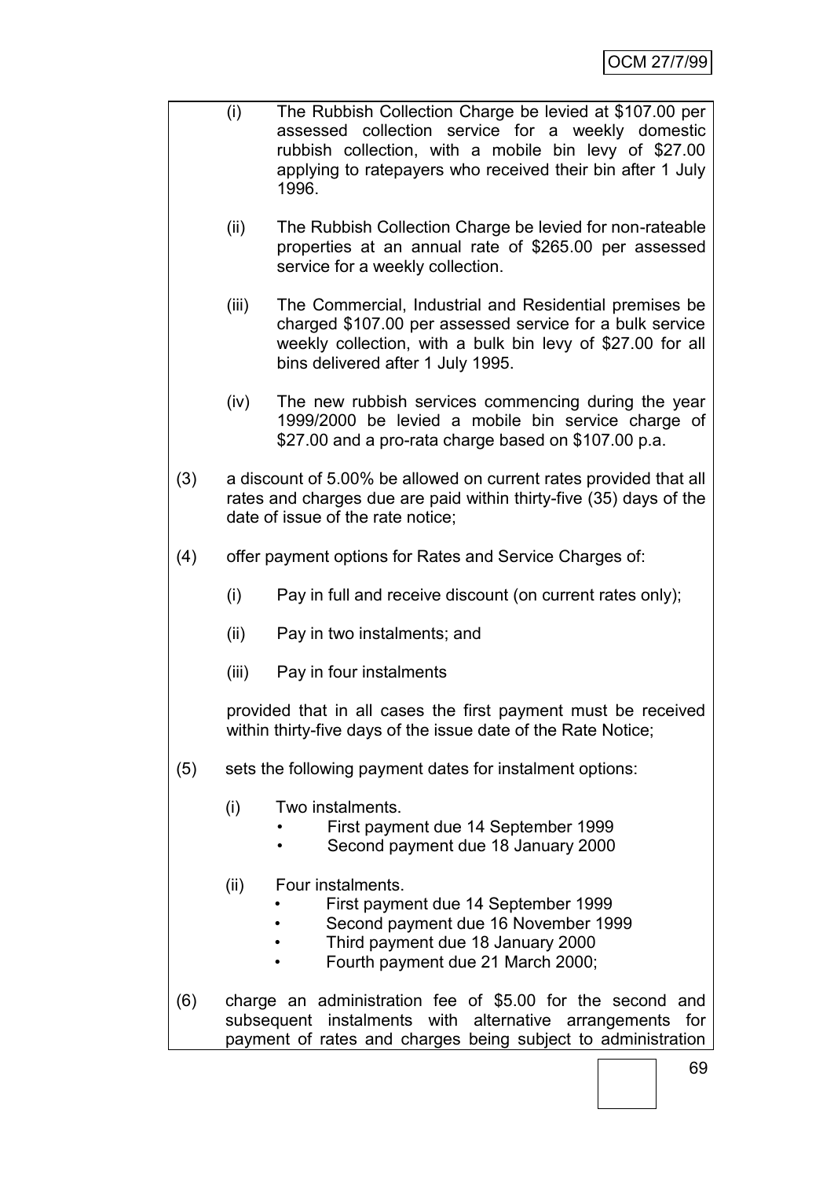- (i) The Rubbish Collection Charge be levied at \$107.00 per assessed collection service for a weekly domestic rubbish collection, with a mobile bin levy of \$27.00 applying to ratepayers who received their bin after 1 July 1996.
	- (ii) The Rubbish Collection Charge be levied for non-rateable properties at an annual rate of \$265.00 per assessed service for a weekly collection.
	- (iii) The Commercial, Industrial and Residential premises be charged \$107.00 per assessed service for a bulk service weekly collection, with a bulk bin levy of \$27.00 for all bins delivered after 1 July 1995.
	- (iv) The new rubbish services commencing during the year 1999/2000 be levied a mobile bin service charge of \$27.00 and a pro-rata charge based on \$107.00 p.a.
- (3) a discount of 5.00% be allowed on current rates provided that all rates and charges due are paid within thirty-five (35) days of the date of issue of the rate notice;
- (4) offer payment options for Rates and Service Charges of:
	- (i) Pay in full and receive discount (on current rates only);
	- (ii) Pay in two instalments; and
	- (iii) Pay in four instalments

provided that in all cases the first payment must be received within thirty-five days of the issue date of the Rate Notice;

- (5) sets the following payment dates for instalment options:
	- (i) Two instalments.
		- First payment due 14 September 1999
		- Second payment due 18 January 2000
	- (ii) Four instalments.
		- First payment due 14 September 1999
		- Second payment due 16 November 1999
		- Third payment due 18 January 2000
		- Fourth payment due 21 March 2000;
- (6) charge an administration fee of \$5.00 for the second and subsequent instalments with alternative arrangements for payment of rates and charges being subject to administration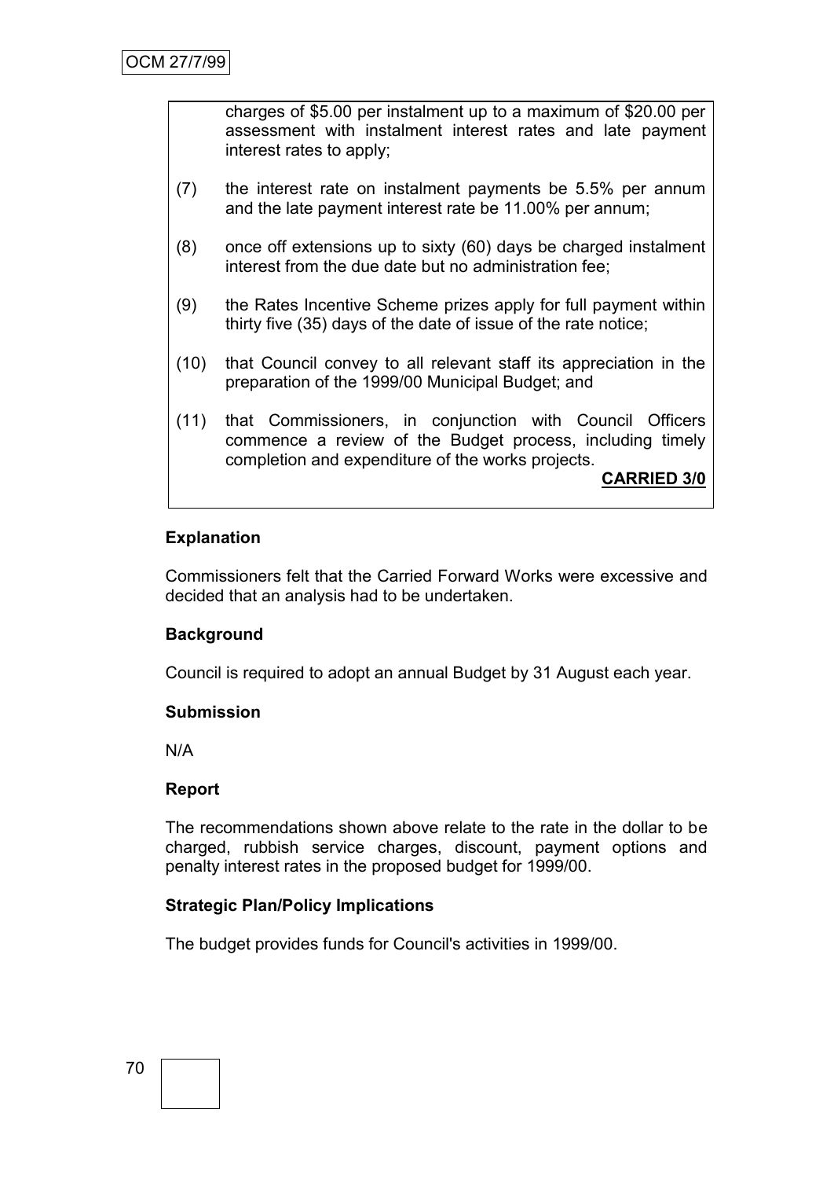charges of \$5.00 per instalment up to a maximum of \$20.00 per assessment with instalment interest rates and late payment interest rates to apply;

- (7) the interest rate on instalment payments be 5.5% per annum and the late payment interest rate be 11.00% per annum;
- (8) once off extensions up to sixty (60) days be charged instalment interest from the due date but no administration fee;
- (9) the Rates Incentive Scheme prizes apply for full payment within thirty five (35) days of the date of issue of the rate notice;
- (10) that Council convey to all relevant staff its appreciation in the preparation of the 1999/00 Municipal Budget; and
- (11) that Commissioners, in conjunction with Council Officers commence a review of the Budget process, including timely completion and expenditure of the works projects.

**CARRIED 3/0**

### **Explanation**

Commissioners felt that the Carried Forward Works were excessive and decided that an analysis had to be undertaken.

### **Background**

Council is required to adopt an annual Budget by 31 August each year.

### **Submission**

N/A

### **Report**

The recommendations shown above relate to the rate in the dollar to be charged, rubbish service charges, discount, payment options and penalty interest rates in the proposed budget for 1999/00.

### **Strategic Plan/Policy Implications**

The budget provides funds for Council's activities in 1999/00.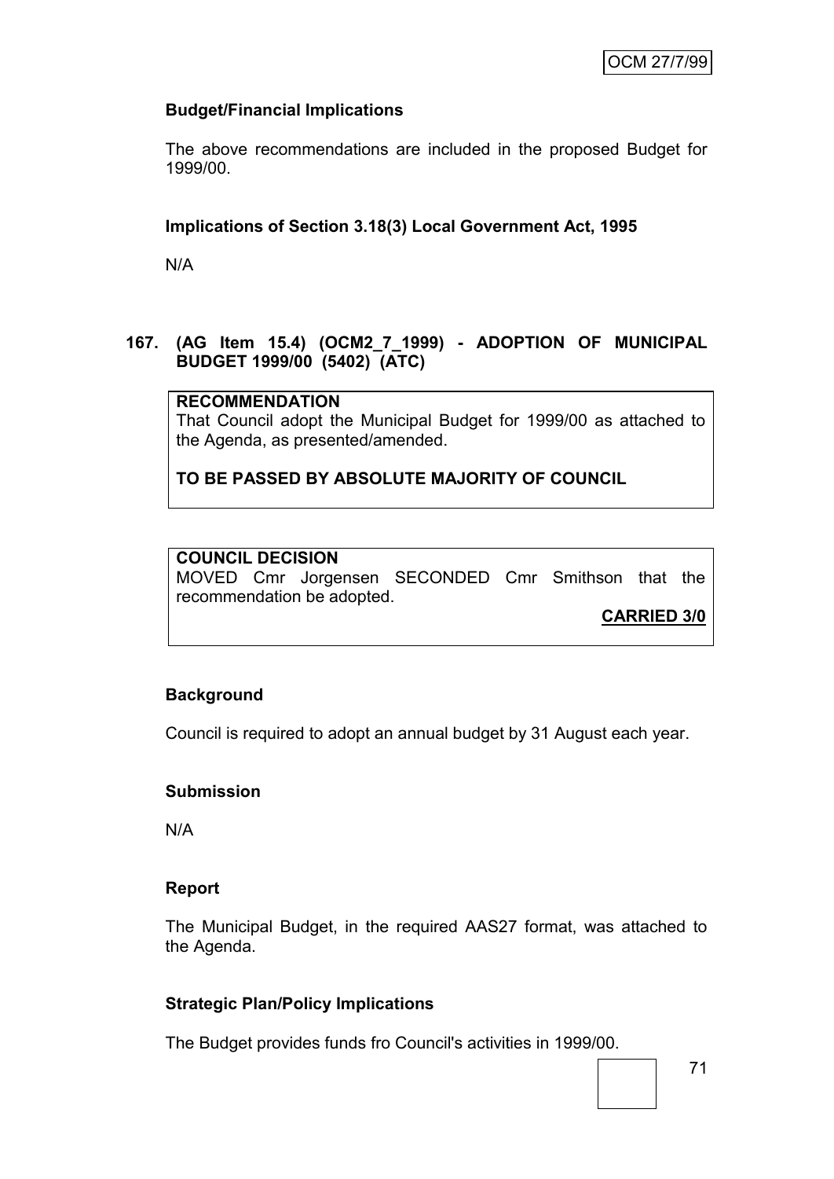# **Budget/Financial Implications**

The above recommendations are included in the proposed Budget for 1999/00.

## **Implications of Section 3.18(3) Local Government Act, 1995**

N/A

### **167. (AG Item 15.4) (OCM2\_7\_1999) - ADOPTION OF MUNICIPAL BUDGET 1999/00 (5402) (ATC)**

## **RECOMMENDATION**

That Council adopt the Municipal Budget for 1999/00 as attached to the Agenda, as presented/amended.

**TO BE PASSED BY ABSOLUTE MAJORITY OF COUNCIL**

## **COUNCIL DECISION**

MOVED Cmr Jorgensen SECONDED Cmr Smithson that the recommendation be adopted.

**CARRIED 3/0**

#### **Background**

Council is required to adopt an annual budget by 31 August each year.

#### **Submission**

N/A

#### **Report**

The Municipal Budget, in the required AAS27 format, was attached to the Agenda.

#### **Strategic Plan/Policy Implications**

The Budget provides funds fro Council's activities in 1999/00.